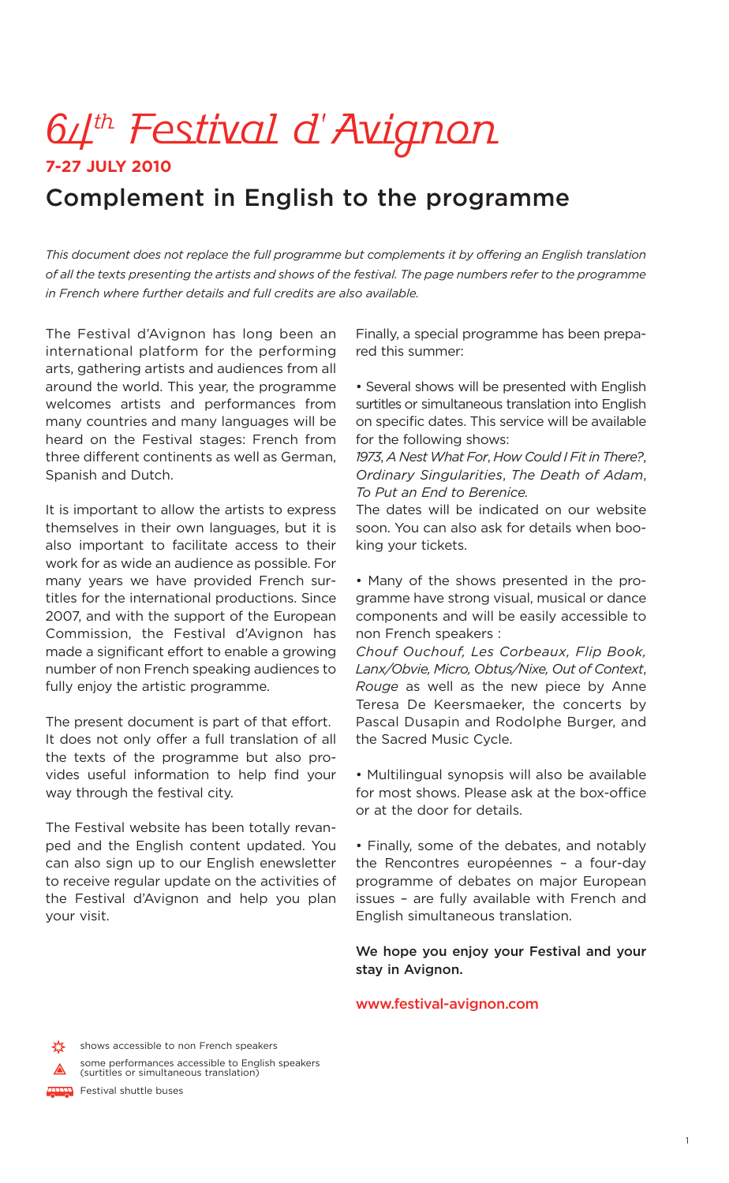# 64<sup>th</sup> Festival d'Avignon

### **7-27 JULY 2010**

# **Complement in English to the programme**

*This document does not replace the full programme but complements it by offering an English translation* of all the texts presenting the artists and shows of the festival. The page numbers refer to the programme *in French where further details and full credits are also available.*

The Festival d'Avignon has long been an international platform for the performing arts, gathering artists and audiences from all around the world. This year, the programme welcomes artists and performances from many countries and many languages will be heard on the Festival stages: French from three different continents as well as German, Spanish and Dutch.

It is important to allow the artists to express themselves in their own languages, but it is also important to facilitate access to their work for as wide an audience as possible. For many years we have provided French surtitles for the international productions. Since 2007, and with the support of the European Commission, the Festival d'Avignon has made a significant effort to enable a growing number of non French speaking audiences to fully enjoy the artistic programme.

The present document is part of that effort. It does not only offer a full translation of all the texts of the programme but also provides useful information to help find your way through the festival city.

The Festival website has been totally revanped and the English content updated. You can also sign up to our English enewsletter to receive regular update on the activities of the Festival d'Avignon and help you plan your visit.

some performances accessible to English speakers (surtitles or simultaneous translation)

Finally, a special programme has been prepared this summer:

• Several shows will be presented with English surtitles or simultaneous translation into English on specific dates. This service will be available for the following shows:

*1973*, *A NestWhat For*, *How Could I Fit in There?*, *Ordinary Singularities*, *The Death of Adam*, *To Put an End to Berenice.*

The dates will be indicated on our website soon. You can also ask for details when booking your tickets.

• Many of the shows presented in the programme have strong visual, musical or dance components and will be easily accessible to non French speakers :

*Chouf Ouchouf, Les Corbeaux, Flip Book, Lanx/Obvie, Micro, Obtus/Nixe, Out of Context*, *Rouge* as well as the new piece by Anne Teresa De Keersmaeker, the concerts by Pascal Dusapin and Rodolphe Burger, and the Sacred Music Cycle.

• Multilingual synopsis will also be available for most shows. Please ask at the box-office or at the door for details.

• Finally, some of the debates, and notably the Rencontres européennes – a four-day programme of debates on major European issues – are fully available with French and English simultaneous translation.

**We hope you enjoy your Festival and your stay in Avignon.**

**www.festival-avignon.com**

shows accessible to non French speakers

**Festival shuttle buses**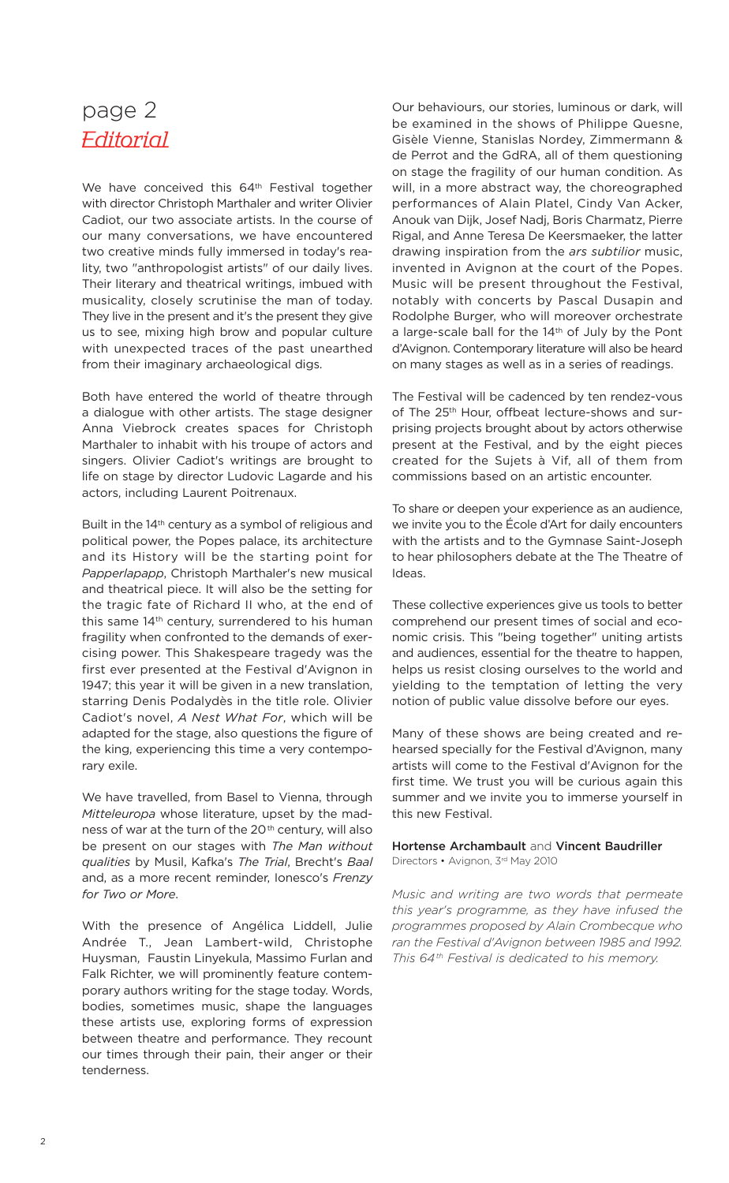# page 2 **Editorial**

We have conceived this 64<sup>th</sup> Festival together with director Christoph Marthaler and writer Olivier Cadiot, our two associate artists. In the course of our many conversations, we have encountered two creative minds fully immersed in today's reality, two "anthropologist artists" of our daily lives. Their literary and theatrical writings, imbued with musicality, closely scrutinise the man of today. They live in the present and it's the present they give us to see, mixing high brow and popular culture with unexpected traces of the past unearthed from their imaginary archaeological digs.

Both have entered the world of theatre through a dialogue with other artists. The stage designer Anna Viebrock creates spaces for Christoph Marthaler to inhabit with his troupe of actors and singers. Olivier Cadiot's writings are brought to life on stage by director Ludovic Lagarde and his actors, including Laurent Poitrenaux.

Built in the 14th century as a symbol of religious and political power, the Popes palace, its architecture and its History will be the starting point for *Papperlapapp*, Christoph Marthaler's new musical and theatrical piece. It will also be the setting for the tragic fate of Richard II who, at the end of this same 14<sup>th</sup> century, surrendered to his human fragility when confronted to the demands of exercising power. This Shakespeare tragedy was the first ever presented at the Festival d'Avignon in 1947; this year it will be given in a new translation, starring Denis Podalydès in the title role. Olivier Cadiot's novel, *A Nest What For*, which will be adapted for the stage, also questions the figure of the king, experiencing this time a very contemporary exile.

We have travelled, from Basel to Vienna, through *Mitteleuropa* whose literature, upset by the madness of war at the turn of the 20<sup>th</sup> century, will also be present on our stages with *The Man without qualities* by Musil, Kafka's *The Trial*, Brecht's *Baal* and, as a more recent reminder, Ionesco's *Frenzy for Two or More*.

With the presence of Angélica Liddell, Julie Andrée T., Jean Lambert-wild, Christophe Huysman, Faustin Linyekula, Massimo Furlan and Falk Richter, we will prominently feature contemporary authors writing for the stage today. Words, bodies, sometimes music, shape the languages these artists use, exploring forms of expression between theatre and performance. They recount our times through their pain, their anger or their tenderness.

Our behaviours, our stories, luminous or dark, will be examined in the shows of Philippe Quesne, Gisèle Vienne, Stanislas Nordey, Zimmermann & de Perrot and the GdRA, all of them questioning on stage the fragility of our human condition. As will, in a more abstract way, the choreographed performances of Alain Platel, Cindy Van Acker, Anouk van Dijk, Josef Nadj, Boris Charmatz, Pierre Rigal, and Anne Teresa De Keersmaeker, the latter drawing inspiration from the *ars subtilior* music, invented in Avignon at the court of the Popes. Music will be present throughout the Festival, notably with concerts by Pascal Dusapin and Rodolphe Burger, who will moreover orchestrate a large-scale ball for the 14<sup>th</sup> of July by the Pont d'Avignon. Contemporary literature will also be heard on many stages as well as in a series of readings.

The Festival will be cadenced by ten rendez-vous of The 25<sup>th</sup> Hour, offbeat lecture-shows and surprising projects brought about by actors otherwise present at the Festival, and by the eight pieces created for the Sujets à Vif, all of them from commissions based on an artistic encounter.

To share or deepen your experience as an audience, we invite you to the École d'Art for daily encounters with the artists and to the Gymnase Saint-Joseph to hear philosophers debate at the The Theatre of Ideas.

These collective experiences give us tools to better comprehend our present times of social and economic crisis. This "being together" uniting artists and audiences, essential for the theatre to happen, helps us resist closing ourselves to the world and yielding to the temptation of letting the very notion of public value dissolve before our eyes.

Many of these shows are being created and rehearsed specially for the Festival d'Avignon, many artists will come to the Festival d'Avignon for the first time. We trust you will be curious again this summer and we invite you to immerse yourself in this new Festival.

#### **Hortense Archambault** and **Vincent Baudriller** Directors • Avignon, 3rd May 2010

*Music and writing are two words that permeate this year's programme, as they have infused the programmes proposed by Alain Crombecque who ran the Festival d'Avignon between 1985 and 1992. This 64th Festival is dedicated to his memory.*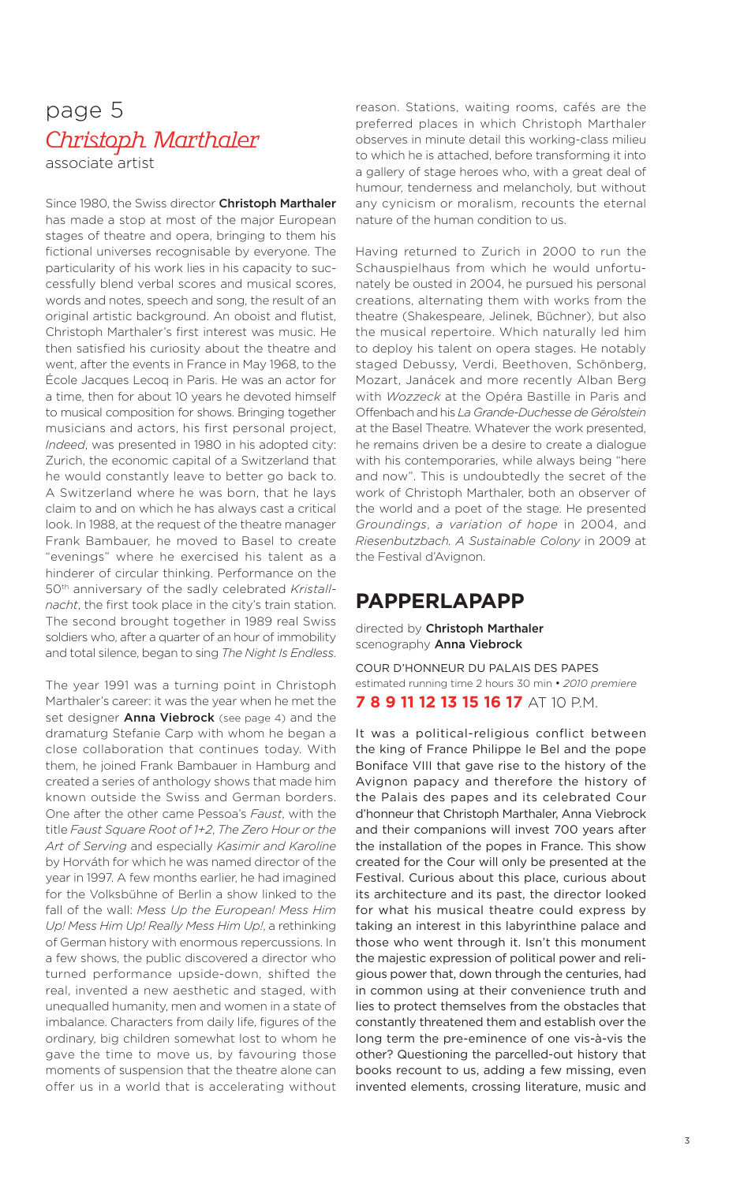### page 5 Christoph Marthaler associate artist

Since 1980, the Swiss director **Christoph Marthaler** has made a stop at most of the major European stages of theatre and opera, bringing to them his fictional universes recognisable by everyone. The particularity of his work lies in his capacity to successfully blend verbal scores and musical scores, words and notes, speech and song, the result of an original artistic background. An oboist and flutist, Christoph Marthaler's first interest was music. He then satisfied his curiosity about the theatre and went, after the events in France in May 1968, to the École Jacques Lecoq in Paris. He was an actor for a time, then for about 10 years he devoted himself to musical composition for shows. Bringing together musicians and actors, his first personal project, *Indeed*, was presented in 1980 in his adopted city: Zurich, the economic capital of a Switzerland that he would constantly leave to better go back to. A Switzerland where he was born, that he lays claim to and on which he has always cast a critical look. In 1988, at the request of the theatre manager Frank Bambauer, he moved to Basel to create "evenings" where he exercised his talent as a hinderer of circular thinking. Performance on the 50th anniversary of the sadly celebrated *Kristallnacht*, the first took place in the city's train station. The second brought together in 1989 real Swiss soldiers who, after a quarter of an hour of immobility and total silence, began to sing *The Night Is Endless*.

The year 1991 was a turning point in Christoph Marthaler's career: it was the year when he met the set designer **Anna Viebrock** (see page 4) and the dramaturg Stefanie Carp with whom he began a close collaboration that continues today. With them, he joined Frank Bambauer in Hamburg and created a series of anthology shows that made him known outside the Swiss and German borders. One after the other came Pessoa's *Faust*, with the title *Faust Square Root of 1+2*, *The Zero Hour or the Art of Serving* and especially *Kasimir and Karoline* by Horváth for which he was named director of the year in 1997. A few months earlier, he had imagined for the Volksbühne of Berlin a show linked to the fall of the wall: *Mess Up the European! Mess Him Up! Mess Him Up! Really Mess Him Up!*, a rethinking of German history with enormous repercussions. In a few shows, the public discovered a director who turned performance upside-down, shifted the real, invented a new aesthetic and staged, with unequalled humanity, men and women in a state of imbalance. Characters from daily life, figures of the ordinary, big children somewhat lost to whom he gave the time to move us, by favouring those moments of suspension that the theatre alone can offer us in a world that is accelerating without reason. Stations, waiting rooms, cafés are the preferred places in which Christoph Marthaler observes in minute detail this working-class milieu to which he is attached, before transforming it into a gallery of stage heroes who, with a great deal of humour, tenderness and melancholy, but without any cynicism or moralism, recounts the eternal nature of the human condition to us.

Having returned to Zurich in 2000 to run the Schauspielhaus from which he would unfortunately be ousted in 2004, he pursued his personal creations, alternating them with works from the theatre (Shakespeare, Jelinek, Büchner), but also the musical repertoire. Which naturally led him to deploy his talent on opera stages. He notably staged Debussy, Verdi, Beethoven, Schönberg, Mozart, Janácek and more recently Alban Berg with *Wozzeck* at the Opéra Bastille in Paris and Offenbach and his *La Grande-Duchesse de Gérolstein* at the Basel Theatre. Whatever the work presented, he remains driven be a desire to create a dialogue with his contemporaries, while always being "here and now". This is undoubtedly the secret of the work of Christoph Marthaler, both an observer of the world and a poet of the stage. He presented *Groundings*, *a variation of hope* in 2004, and *Riesenbutzbach. A Sustainable Colony* in 2009 at the Festival d'Avignon.

### **PAPPERLAPAPP**

directed by **Christoph Marthaler** scenography **Anna Viebrock**

COUR D'HONNEUR DU PALAIS DES PAPES estimated running time 2 hours 30 min • *2010 premiere* **7 8 9 11 12 13 15 16 17** AT 10 P.M.

It was a political-religious conflict between the king of France Philippe le Bel and the pope Boniface VIII that gave rise to the history of the Avignon papacy and therefore the history of the Palais des papes and its celebrated Cour d'honneur that Christoph Marthaler, Anna Viebrock and their companions will invest 700 years after the installation of the popes in France. This show created for the Cour will only be presented at the Festival. Curious about this place, curious about its architecture and its past, the director looked for what his musical theatre could express by taking an interest in this labyrinthine palace and those who went through it. Isn't this monument the majestic expression of political power and religious power that, down through the centuries, had in common using at their convenience truth and lies to protect themselves from the obstacles that constantly threatened them and establish over the long term the pre-eminence of one vis-à-vis the other? Questioning the parcelled-out history that books recount to us, adding a few missing, even invented elements, crossing literature, music and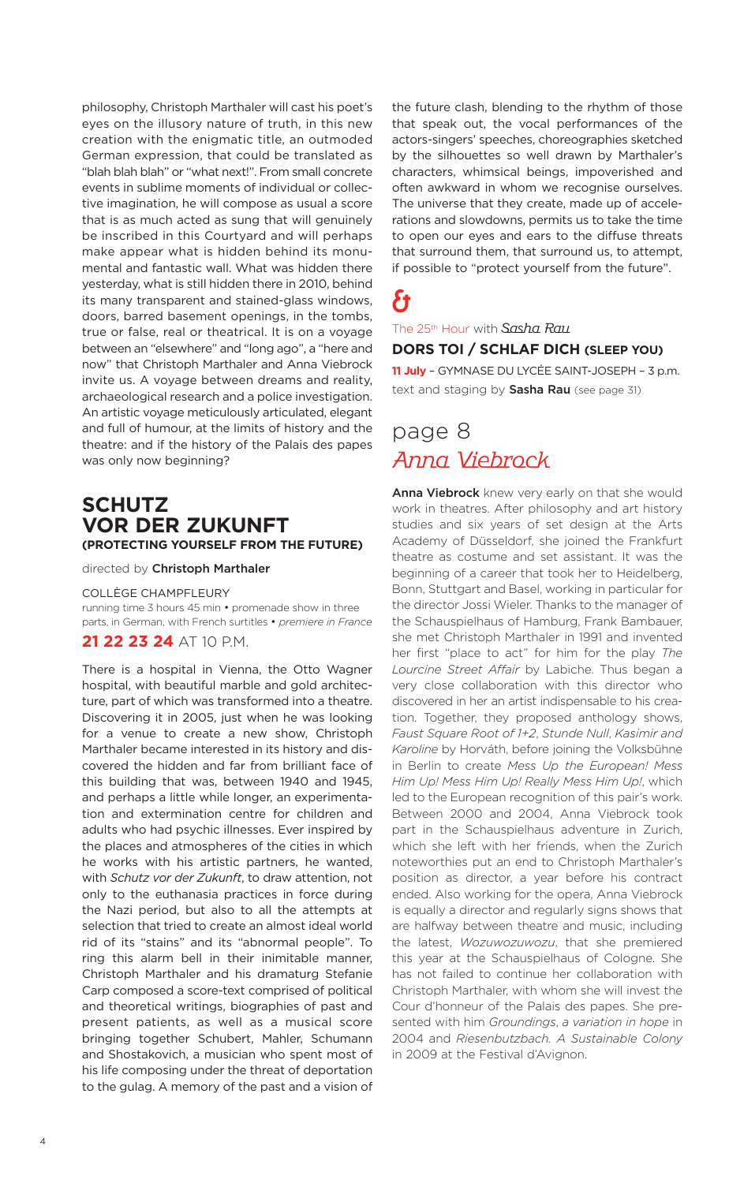philosophy, Christoph Marthaler will cast his poet's eyes on the illusory nature of truth, in this new creation with the enigmatic title, an outmoded German expression, that could be translated as "blah blah blah" or "what next!". From small concrete events in sublime moments of individual or collective imagination, he will compose as usual a score that is as much acted as sung that will genuinely be inscribed in this Courtyard and will perhaps make appear what is hidden behind its monumental and fantastic wall. What was hidden there yesterday, what is still hidden there in 2010, behind its many transparent and stained-glass windows, doors, barred basement openings, in the tombs, true or false, real or theatrical. It is on a voyage between an "elsewhere" and "long ago", a "here and now" that Christoph Marthaler and Anna Viebrock invite us. A voyage between dreams and reality, archaeological research and a police investigation. An artistic voyage meticulously articulated, elegant and full of humour, at the limits of history and the theatre: and if the history of the Palais des papes was only now beginning?

### **SCHUTZ VOR DER ZUKUNFT (PROTECTING YOURSELF FROM THE FUTURE)**

directed by **Christoph Marthaler**

#### COLLÈGE CHAMPFLEURY

running time 3 hours 45 min • promenade show in three parts, in German, with French surtitles • *premiere in France*

### **21 22 23 24** AT 10 P.M.

There is a hospital in Vienna, the Otto Wagner hospital, with beautiful marble and gold architecture, part of which was transformed into a theatre. Discovering it in 2005, just when he was looking for a venue to create a new show, Christoph Marthaler became interested in its history and discovered the hidden and far from brilliant face of this building that was, between 1940 and 1945, and perhaps a little while longer, an experimentation and extermination centre for children and adults who had psychic illnesses. Ever inspired by the places and atmospheres of the cities in which he works with his artistic partners, he wanted, with *Schutz vor der Zukunft*, to draw attention, not only to the euthanasia practices in force during the Nazi period, but also to all the attempts at selection that tried to create an almost ideal world rid of its "stains" and its "abnormal people". To ring this alarm bell in their inimitable manner, Christoph Marthaler and his dramaturg Stefanie Carp composed a score-text comprised of political and theoretical writings, biographies of past and present patients, as well as a musical score bringing together Schubert, Mahler, Schumann and Shostakovich, a musician who spent most of his life composing under the threat of deportation to the gulag. A memory of the past and a vision of

the future clash, blending to the rhythm of those that speak out, the vocal performances of the actors-singers' speeches, choreographies sketched by the silhouettes so well drawn by Marthaler's characters, whimsical beings, impoverished and often awkward in whom we recognise ourselves. The universe that they create, made up of accelerations and slowdowns, permits us to take the time to open our eyes and ears to the diffuse threats that surround them, that surround us, to attempt, if possible to "protect yourself from the future".

# &

The 25<sup>th</sup> Hour with Sasha Rau **DORS TOI / SCHLAF DICH (SLEEP YOU)**

**11 July** – GYMNASE DU LYCÉE SAINT-JOSEPH – 3 p.m. text and staging by **Sasha Rau** (see page 31)

# page 8 Anna Viebrock

**Anna Viebrock** knew very early on that she would work in theatres. After philosophy and art history studies and six years of set design at the Arts Academy of Düsseldorf, she joined the Frankfurt theatre as costume and set assistant. It was the beginning of a career that took her to Heidelberg, Bonn, Stuttgart and Basel, working in particular for the director Jossi Wieler. Thanks to the manager of the Schauspielhaus of Hamburg, Frank Bambauer, she met Christoph Marthaler in 1991 and invented her first "place to act" for him for the play *The Lourcine Street Affair* by Labiche. Thus began a very close collaboration with this director who discovered in her an artist indispensable to his creation. Together, they proposed anthology shows, *Faust Square Root of 1+2*, *Stunde Null*, *Kasimir and Karoline* by Horváth, before joining the Volksbühne in Berlin to create *Mess Up the European! Mess Him Up! Mess Him Up! Really Mess Him Up!*, which led to the European recognition of this pair's work. Between 2000 and 2004, Anna Viebrock took part in the Schauspielhaus adventure in Zurich, which she left with her friends, when the Zurich noteworthies put an end to Christoph Marthaler's position as director, a year before his contract ended. Also working for the opera, Anna Viebrock is equally a director and regularly signs shows that are halfway between theatre and music, including the latest, *Wozuwozuwozu*, that she premiered this year at the Schauspielhaus of Cologne. She has not failed to continue her collaboration with Christoph Marthaler, with whom she will invest the Cour d'honneur of the Palais des papes. She presented with him *Groundings*, *a variation in hope* in 2004 and *Riesenbutzbach. A Sustainable Colony* in 2009 at the Festival d'Avignon.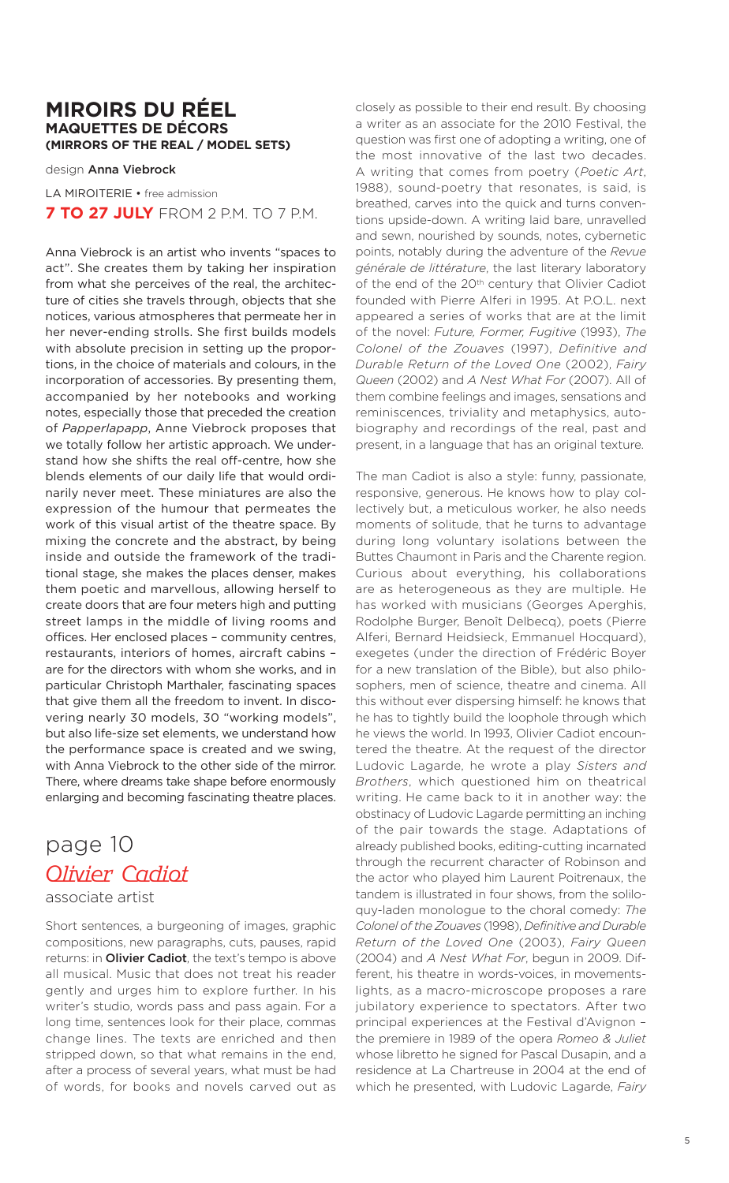### **MIROIRS DU RÉEL MAQUETTES DE DÉCORS (MIRRORS OF THE REAL / MODEL SETS)**

design **Anna Viebrock**

LA MIROITERIE • free admission **7 TO 27 JULY** FROM 2 P.M. TO 7 P.M.

Anna Viebrock is an artist who invents "spaces to act". She creates them by taking her inspiration from what she perceives of the real, the architecture of cities she travels through, objects that she notices, various atmospheres that permeate her in her never-ending strolls. She first builds models with absolute precision in setting up the proportions, in the choice of materials and colours, in the incorporation of accessories. By presenting them, accompanied by her notebooks and working notes, especially those that preceded the creation of *Papperlapapp*, Anne Viebrock proposes that we totally follow her artistic approach. We understand how she shifts the real off-centre, how she blends elements of our daily life that would ordinarily never meet. These miniatures are also the expression of the humour that permeates the work of this visual artist of the theatre space. By mixing the concrete and the abstract, by being inside and outside the framework of the traditional stage, she makes the places denser, makes them poetic and marvellous, allowing herself to create doors that are four meters high and putting street lamps in the middle of living rooms and offices. Her enclosed places – community centres, restaurants, interiors of homes, aircraft cabins – are for the directors with whom she works, and in particular Christoph Marthaler, fascinating spaces that give them all the freedom to invent. In discovering nearly 30 models, 30 "working models", but also life-size set elements, we understand how the performance space is created and we swing, with Anna Viebrock to the other side of the mirror. There, where dreams take shape before enormously enlarging and becoming fascinating theatre places.

# page 10 Olivier Cadiot

### associate artist

Short sentences, a burgeoning of images, graphic compositions, new paragraphs, cuts, pauses, rapid returns: in **Olivier Cadiot**, the text's tempo is above all musical. Music that does not treat his reader gently and urges him to explore further. In his writer's studio, words pass and pass again. For a long time, sentences look for their place, commas change lines. The texts are enriched and then stripped down, so that what remains in the end, after a process of several years, what must be had of words, for books and novels carved out as

closely as possible to their end result. By choosing a writer as an associate for the 2010 Festival, the question was first one of adopting a writing, one of the most innovative of the last two decades. A writing that comes from poetry (*Poetic Art*, 1988), sound-poetry that resonates, is said, is breathed, carves into the quick and turns conventions upside-down. A writing laid bare, unravelled and sewn, nourished by sounds, notes, cybernetic points, notably during the adventure of the *Revue générale de littérature*, the last literary laboratory of the end of the 20<sup>th</sup> century that Olivier Cadiot founded with Pierre Alferi in 1995. At P.O.L. next appeared a series of works that are at the limit of the novel: *Future, Former, Fugitive* (1993), *The Colonel of the Zouaves* (1997), *Definitive and Durable Return of the Loved One* (2002), *Fairy Queen* (2002) and *A Nest What For* (2007). All of them combine feelings and images, sensations and reminiscences, triviality and metaphysics, autobiography and recordings of the real, past and present, in a language that has an original texture.

The man Cadiot is also a style: funny, passionate, responsive, generous. He knows how to play collectively but, a meticulous worker, he also needs moments of solitude, that he turns to advantage during long voluntary isolations between the Buttes Chaumont in Paris and the Charente region. Curious about everything, his collaborations are as heterogeneous as they are multiple. He has worked with musicians (Georges Aperghis, Rodolphe Burger, Benoît Delbecq), poets (Pierre Alferi, Bernard Heidsieck, Emmanuel Hocquard), exegetes (under the direction of Frédéric Boyer for a new translation of the Bible), but also philosophers, men of science, theatre and cinema. All this without ever dispersing himself: he knows that he has to tightly build the loophole through which he views the world. In 1993, Olivier Cadiot encountered the theatre. At the request of the director Ludovic Lagarde, he wrote a play *Sisters and Brothers*, which questioned him on theatrical writing. He came back to it in another way: the obstinacy of Ludovic Lagarde permitting an inching of the pair towards the stage. Adaptations of already published books, editing-cutting incarnated through the recurrent character of Robinson and the actor who played him Laurent Poitrenaux, the tandem is illustrated in four shows, from the soliloquy-laden monologue to the choral comedy: *The Colonel ofthe Zouaves* (1998), *Definitive and Durable Return of the Loved One* (2003), *Fairy Queen* (2004) and *A Nest What For*, begun in 2009. Different, his theatre in words-voices, in movementslights, as a macro-microscope proposes a rare jubilatory experience to spectators. After two principal experiences at the Festival d'Avignon – the premiere in 1989 of the opera *Romeo & Juliet* whose libretto he signed for Pascal Dusapin, and a residence at La Chartreuse in 2004 at the end of which he presented, with Ludovic Lagarde, *Fairy*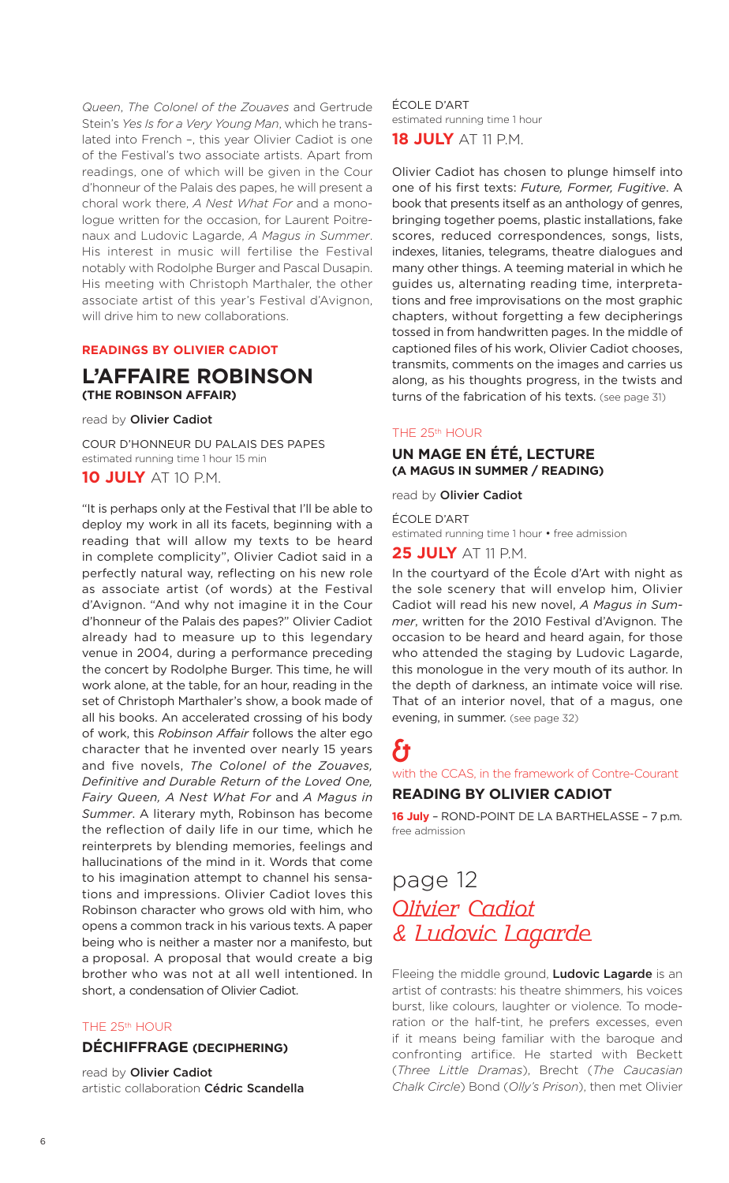*Queen*, *The Colonel of the Zouaves* and Gertrude Stein's *Yes Is for a Very Young Man*, which he translated into French –, this year Olivier Cadiot is one of the Festival's two associate artists. Apart from readings, one of which will be given in the Cour d'honneur of the Palais des papes, he will present a choral work there, *A Nest What For* and a monologue written for the occasion, for Laurent Poitrenaux and Ludovic Lagarde, *A Magus in Summer*. His interest in music will fertilise the Festival notably with Rodolphe Burger and Pascal Dusapin. His meeting with Christoph Marthaler, the other associate artist of this year's Festival d'Avignon, will drive him to new collaborations.

### **READINGS BY OLIVIER CADIOT**

### **L'AFFAIRE ROBINSON (THE ROBINSON AFFAIR)**

read by **Olivier Cadiot**

COUR D'HONNEUR DU PALAIS DES PAPES estimated running time 1 hour 15 min

### **10 JULY** AT 10 P.M.

"It is perhaps only at the Festival that I'll be able to deploy my work in all its facets, beginning with a reading that will allow my texts to be heard in complete complicity", Olivier Cadiot said in a perfectly natural way, reflecting on his new role as associate artist (of words) at the Festival d'Avignon. "And why not imagine it in the Cour d'honneur of the Palais des papes?" Olivier Cadiot already had to measure up to this legendary venue in 2004, during a performance preceding the concert by Rodolphe Burger. This time, he will work alone, at the table, for an hour, reading in the set of Christoph Marthaler's show, a book made of all his books. An accelerated crossing of his body of work, this *Robinson Affair* follows the alter ego character that he invented over nearly 15 years and five novels, *The Colonel of the Zouaves, Definitive and Durable Return of the Loved One, Fairy Queen, A Nest What For* and *A Magus in Summer*. A literary myth, Robinson has become the reflection of daily life in our time, which he reinterprets by blending memories, feelings and hallucinations of the mind in it. Words that come to his imagination attempt to channel his sensations and impressions. Olivier Cadiot loves this Robinson character who grows old with him, who opens a common track in his various texts. A paper being who is neither a master nor a manifesto, but a proposal. A proposal that would create a big brother who was not at all well intentioned. In short, a condensation of Olivier Cadiot.

### THE 25th HOUR

### **DÉCHIFFRAGE (DECIPHERING)**

read by **Olivier Cadiot** artistic collaboration **Cédric Scandella** ÉCOLE D'ART estimated running time 1 hour **18 JULY** AT 11 P.M.

Olivier Cadiot has chosen to plunge himself into one of his first texts: *Future, Former, Fugitive*. A book that presents itself as an anthology of genres, bringing together poems, plastic installations, fake scores, reduced correspondences, songs, lists, indexes, litanies, telegrams, theatre dialogues and many other things. A teeming material in which he guides us, alternating reading time, interpretations and free improvisations on the most graphic chapters, without forgetting a few decipherings tossed in from handwritten pages. In the middle of captioned files of his work, Olivier Cadiot chooses, transmits, comments on the images and carries us along, as his thoughts progress, in the twists and turns of the fabrication of his texts. (see page 31)

#### THE 25th HOUR

### **UN MAGE EN ÉTÉ, LECTURE (A MAGUS IN SUMMER / READING)**

read by **Olivier Cadiot**

#### ÉCOLE D'ART

estimated running time 1 hour • free admission

### **25 JULY** AT 11 P.M.

In the courtyard of the École d'Art with night as the sole scenery that will envelop him, Olivier Cadiot will read his new novel, *A Magus in Summer*, written for the 2010 Festival d'Avignon. The occasion to be heard and heard again, for those who attended the staging by Ludovic Lagarde, this monologue in the very mouth of its author. In the depth of darkness, an intimate voice will rise. That of an interior novel, that of a magus, one evening, in summer. (see page 32)

# &

with the CCAS, in the framework of Contre-Courant **READING BY OLIVIER CADIOT**

**16 July** – ROND-POINT DE LA BARTHELASSE – 7 p.m. free admission

# page 12 Olivier Cadiot & Ludovic Lagarde

Fleeing the middle ground, **Ludovic Lagarde** is an artist of contrasts: his theatre shimmers, his voices burst, like colours, laughter or violence. To moderation or the half-tint, he prefers excesses, even if it means being familiar with the baroque and confronting artifice. He started with Beckett (*Three Little Dramas*), Brecht (*The Caucasian Chalk Circle*) Bond (*Olly's Prison*), then met Olivier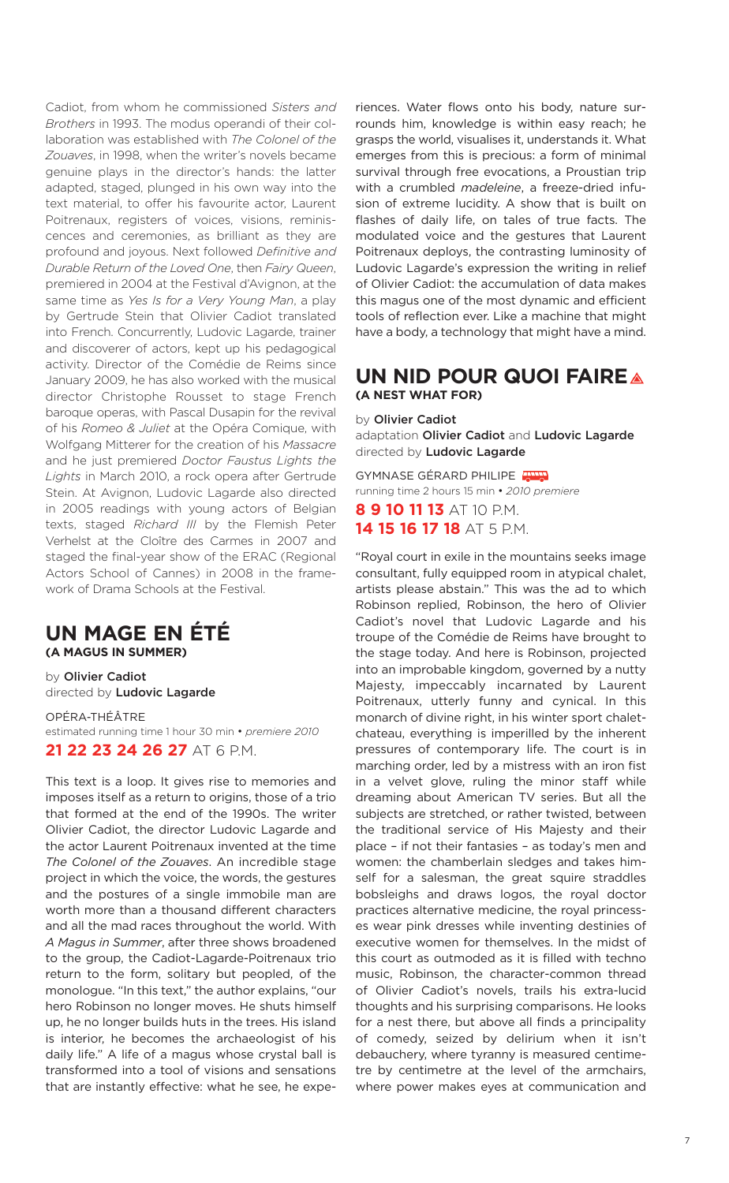Cadiot, from whom he commissioned *Sisters and Brothers* in 1993. The modus operandi of their collaboration was established with *The Colonel of the Zouaves*, in 1998, when the writer's novels became genuine plays in the director's hands: the latter adapted, staged, plunged in his own way into the text material, to offer his favourite actor, Laurent Poitrenaux, registers of voices, visions, reminiscences and ceremonies, as brilliant as they are profound and joyous. Next followed *Definitive and Durable Return of the Loved One*, then *Fairy Queen*, premiered in 2004 at the Festival d'Avignon, at the same time as *Yes Is for a Very Young Man*, a play by Gertrude Stein that Olivier Cadiot translated into French. Concurrently, Ludovic Lagarde, trainer and discoverer of actors, kept up his pedagogical activity. Director of the Comédie de Reims since January 2009, he has also worked with the musical director Christophe Rousset to stage French baroque operas, with Pascal Dusapin for the revival of his *Romeo & Juliet* at the Opéra Comique, with Wolfgang Mitterer for the creation of his *Massacre* and he just premiered *Doctor Faustus Lights the Lights* in March 2010, a rock opera after Gertrude Stein. At Avignon, Ludovic Lagarde also directed in 2005 readings with young actors of Belgian texts, staged *Richard III* by the Flemish Peter Verhelst at the Cloître des Carmes in 2007 and staged the final-year show of the ERAC (Regional Actors School of Cannes) in 2008 in the framework of Drama Schools at the Festival.

# **UN MAGE EN ÉTÉ**

**(A MAGUS IN SUMMER)**

by **Olivier Cadiot** directed by **Ludovic Lagarde**

OPÉRA-THÉÂTRE estimated running time 1 hour 30 min • *premiere 2010* **21 22 23 24 26 27** AT 6 P.M.

This text is a loop. It gives rise to memories and imposes itself as a return to origins, those of a trio that formed at the end of the 1990s. The writer Olivier Cadiot, the director Ludovic Lagarde and the actor Laurent Poitrenaux invented at the time *The Colonel of the Zouaves*. An incredible stage project in which the voice, the words, the gestures and the postures of a single immobile man are worth more than a thousand different characters and all the mad races throughout the world. With *A Magus in Summer*, after three shows broadened to the group, the Cadiot-Lagarde-Poitrenaux trio return to the form, solitary but peopled, of the monologue. "In this text," the author explains, "our hero Robinson no longer moves. He shuts himself up, he no longer builds huts in the trees. His island is interior, he becomes the archaeologist of his daily life." A life of a magus whose crystal ball is transformed into a tool of visions and sensations that are instantly effective: what he see, he expe-

riences. Water flows onto his body, nature surrounds him, knowledge is within easy reach; he grasps the world, visualises it, understands it. What emerges from this is precious: a form of minimal survival through free evocations, a Proustian trip with a crumbled *madeleine*, a freeze-dried infusion of extreme lucidity. A show that is built on flashes of daily life, on tales of true facts. The modulated voice and the gestures that Laurent Poitrenaux deploys, the contrasting luminosity of Ludovic Lagarde's expression the writing in relief of Olivier Cadiot: the accumulation of data makes this magus one of the most dynamic and efficient tools of reflection ever. Like a machine that might have a body, a technology that might have a mind.

### **UN NID POUR QUOI FAIRE (A NEST WHAT FOR)**

by **Olivier Cadiot** adaptation **Olivier Cadiot** and **Ludovic Lagarde** directed by **Ludovic Lagarde**

GYMNASE GÉRARD PHILIPE running time 2 hours 15 min • *2010 premiere* **8 9 10 11 13** AT 10 P.M.

**14 15 16 17 18** AT 5 P.M.

"Royal court in exile in the mountains seeks image consultant, fully equipped room in atypical chalet, artists please abstain." This was the ad to which Robinson replied, Robinson, the hero of Olivier Cadiot's novel that Ludovic Lagarde and his troupe of the Comédie de Reims have brought to the stage today. And here is Robinson, projected into an improbable kingdom, governed by a nutty Majesty, impeccably incarnated by Laurent Poitrenaux, utterly funny and cynical. In this monarch of divine right, in his winter sport chaletchateau, everything is imperilled by the inherent pressures of contemporary life. The court is in marching order, led by a mistress with an iron fist in a velvet glove, ruling the minor staff while dreaming about American TV series. But all the subjects are stretched, or rather twisted, between the traditional service of His Majesty and their place – if not their fantasies – as today's men and women: the chamberlain sledges and takes himself for a salesman, the great squire straddles bobsleighs and draws logos, the royal doctor practices alternative medicine, the royal princesses wear pink dresses while inventing destinies of executive women for themselves. In the midst of this court as outmoded as it is filled with techno music, Robinson, the character-common thread of Olivier Cadiot's novels, trails his extra-lucid thoughts and his surprising comparisons. He looks for a nest there, but above all finds a principality of comedy, seized by delirium when it isn't debauchery, where tyranny is measured centimetre by centimetre at the level of the armchairs, where power makes eyes at communication and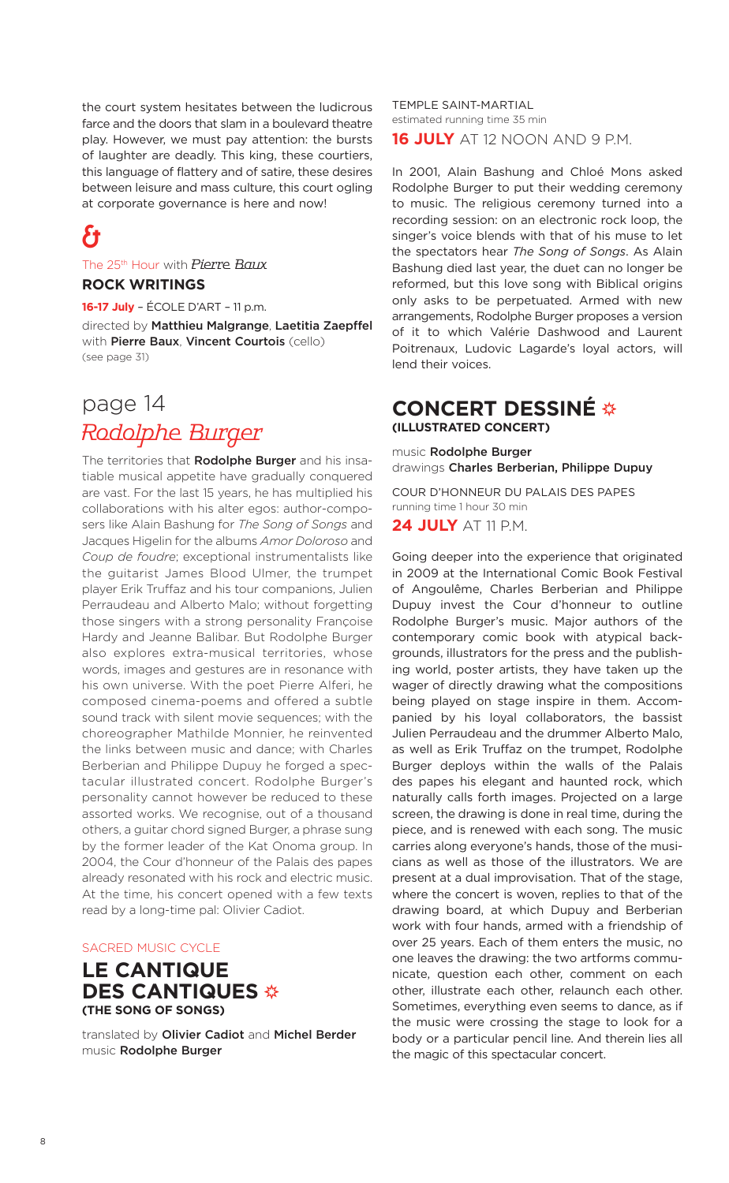the court system hesitates between the ludicrous farce and the doors that slam in a boulevard theatre play. However, we must pay attention: the bursts of laughter are deadly. This king, these courtiers, this language of flattery and of satire, these desires between leisure and mass culture, this court ogling at corporate governance is here and now!

# &

The 25<sup>th</sup> Hour with Pierre Baux

### **ROCK WRITINGS**

**16-17 July** – ÉCOLE D'ART – 11 p.m. directed by **Matthieu Malgrange**, **Laetitia Zaepffel** with **Pierre Baux**, **Vincent Courtois** (cello) (see page 31)

# page 14 Rodolphe Burger

The territories that **Rodolphe Burger** and his insatiable musical appetite have gradually conquered are vast. For the last 15 years, he has multiplied his collaborations with his alter egos: author-composers like Alain Bashung for *The Song of Songs* and Jacques Higelin for the albums *Amor Doloroso* and *Coup de foudre*; exceptional instrumentalists like the guitarist James Blood Ulmer, the trumpet player Erik Truffaz and his tour companions, Julien Perraudeau and Alberto Malo; without forgetting those singers with a strong personality Françoise Hardy and Jeanne Balibar. But Rodolphe Burger also explores extra-musical territories, whose words, images and gestures are in resonance with his own universe. With the poet Pierre Alferi, he composed cinema-poems and offered a subtle sound track with silent movie sequences; with the choreographer Mathilde Monnier, he reinvented the links between music and dance; with Charles Berberian and Philippe Dupuy he forged a spectacular illustrated concert. Rodolphe Burger's personality cannot however be reduced to these assorted works. We recognise, out of a thousand others, a guitar chord signed Burger, a phrase sung by the former leader of the Kat Onoma group. In 2004, the Cour d'honneur of the Palais des papes already resonated with his rock and electric music. At the time, his concert opened with a few texts read by a long-time pal: Olivier Cadiot.

### SACRED MUSIC CYCLE

### **LE CANTIQUE DES CANTIQUES (THE SONG OF SONGS)**

translated by **Olivier Cadiot** and **Michel Berder** music **Rodolphe Burger**

TEMPLE SAINT-MARTIAL estimated running time 35 min **16 JULY** AT 12 NOON AND 9 P.M.

In 2001, Alain Bashung and Chloé Mons asked Rodolphe Burger to put their wedding ceremony to music. The religious ceremony turned into a recording session: on an electronic rock loop, the singer's voice blends with that of his muse to let the spectators hear *The Song of Songs*. As Alain Bashung died last year, the duet can no longer be reformed, but this love song with Biblical origins only asks to be perpetuated. Armed with new arrangements, Rodolphe Burger proposes a version of it to which Valérie Dashwood and Laurent Poitrenaux, Ludovic Lagarde's loyal actors, will lend their voices.

### **CONCERT DESSINÉ (ILLUSTRATED CONCERT)**

music **Rodolphe Burger** drawings **Charles Berberian, Philippe Dupuy**

COUR D'HONNEUR DU PALAIS DES PAPES running time 1 hour 30 min

**24 JULY** AT 11 P.M.

Going deeper into the experience that originated in 2009 at the International Comic Book Festival of Angoulême, Charles Berberian and Philippe Dupuy invest the Cour d'honneur to outline Rodolphe Burger's music. Major authors of the contemporary comic book with atypical backgrounds, illustrators for the press and the publishing world, poster artists, they have taken up the wager of directly drawing what the compositions being played on stage inspire in them. Accompanied by his loyal collaborators, the bassist Julien Perraudeau and the drummer Alberto Malo, as well as Erik Truffaz on the trumpet, Rodolphe Burger deploys within the walls of the Palais des papes his elegant and haunted rock, which naturally calls forth images. Projected on a large screen, the drawing is done in real time, during the piece, and is renewed with each song. The music carries along everyone's hands, those of the musicians as well as those of the illustrators. We are present at a dual improvisation. That of the stage, where the concert is woven, replies to that of the drawing board, at which Dupuy and Berberian work with four hands, armed with a friendship of over 25 years. Each of them enters the music, no one leaves the drawing: the two artforms communicate, question each other, comment on each other, illustrate each other, relaunch each other. Sometimes, everything even seems to dance, as if the music were crossing the stage to look for a body or a particular pencil line. And therein lies all the magic of this spectacular concert.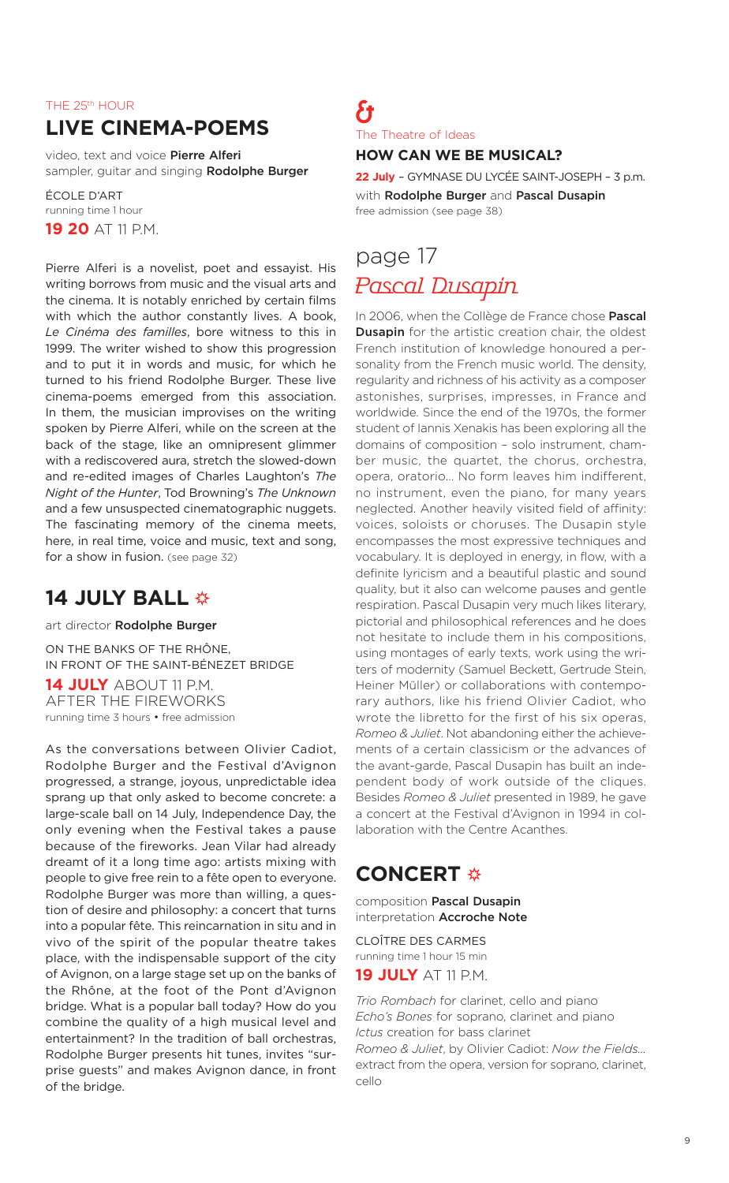### THE 25th HOUR

### **LIVE CINEMA-POEMS**

video, text and voice **Pierre Alferi** sampler, guitar and singing **Rodolphe Burger**

ÉCOLE D'ART running time 1 hour **19 20 AT 11 PM.** 

Pierre Alferi is a novelist, poet and essayist. His writing borrows from music and the visual arts and the cinema. It is notably enriched by certain films with which the author constantly lives. A book, *Le Cinéma des familles*, bore witness to this in 1999. The writer wished to show this progression and to put it in words and music, for which he turned to his friend Rodolphe Burger. These live cinema-poems emerged from this association. In them, the musician improvises on the writing spoken by Pierre Alferi, while on the screen at the back of the stage, like an omnipresent glimmer with a rediscovered aura, stretch the slowed-down and re-edited images of Charles Laughton's *The Night of the Hunter*, Tod Browning's *The Unknown* and a few unsuspected cinematographic nuggets. The fascinating memory of the cinema meets, here, in real time, voice and music, text and song, for a show in fusion. (see page 32)

### **14 JULY BALL**

art director **Rodolphe Burger**

ON THE BANKS OF THE RHÔNE, IN FRONT OF THE SAINT-BÉNEZET BRIDGE **14 JULY** ABOUT 11 P.M. AFTER THE FIREWORKS running time 3 hours • free admission

As the conversations between Olivier Cadiot, Rodolphe Burger and the Festival d'Avignon progressed, a strange, joyous, unpredictable idea sprang up that only asked to become concrete: a large-scale ball on 14 July, Independence Day, the only evening when the Festival takes a pause because of the fireworks. Jean Vilar had already dreamt of it a long time ago: artists mixing with people to give free rein to a fête open to everyone. Rodolphe Burger was more than willing, a question of desire and philosophy: a concert that turns into a popular fête. This reincarnation in situ and in vivo of the spirit of the popular theatre takes place, with the indispensable support of the city of Avignon, on a large stage set up on the banks of the Rhône, at the foot of the Pont d'Avignon bridge. What is a popular ball today? How do you combine the quality of a high musical level and entertainment? In the tradition of ball orchestras, Rodolphe Burger presents hit tunes, invites "surprise guests" and makes Avignon dance, in front of the bridge.

### & The Theatre of Ideas **HOW CAN WE BE MUSICAL?**

**22 July** – GYMNASE DU LYCÉE SAINT-JOSEPH – 3 p.m.

with **Rodolphe Burger** and **Pascal Dusapin** free admission (see page 38)

# page 17 Pascal Dusapin

In 2006, when the Collège de France chose **Pascal Dusapin** for the artistic creation chair, the oldest French institution of knowledge honoured a personality from the French music world. The density, regularity and richness of his activity as a composer astonishes, surprises, impresses, in France and worldwide. Since the end of the 1970s, the former student of Iannis Xenakis has been exploring all the domains of composition – solo instrument, chamber music, the quartet, the chorus, orchestra, opera, oratorio… No form leaves him indifferent, no instrument, even the piano, for many years neglected. Another heavily visited field of affinity: voices, soloists or choruses. The Dusapin style encompasses the most expressive techniques and vocabulary. It is deployed in energy, in flow, with a definite lyricism and a beautiful plastic and sound quality, but it also can welcome pauses and gentle respiration. Pascal Dusapin very much likes literary, pictorial and philosophical references and he does not hesitate to include them in his compositions, using montages of early texts, work using the writers of modernity (Samuel Beckett, Gertrude Stein, Heiner Müller) or collaborations with contemporary authors, like his friend Olivier Cadiot, who wrote the libretto for the first of his six operas, *Romeo & Juliet*. Not abandoning either the achievements of a certain classicism or the advances of the avant-garde, Pascal Dusapin has built an independent body of work outside of the cliques. Besides *Romeo & Juliet* presented in 1989, he gave a concert at the Festival d'Avignon in 1994 in collaboration with the Centre Acanthes.

### **CONCERT ※**

composition **Pascal Dusapin** interpretation **Accroche Note**

CLOÎTRE DES CARMES running time 1 hour 15 min **19 JULY** AT 11 P.M.

*Trio Rombach* for clarinet, cello and piano *Echo's Bones* for soprano, clarinet and piano *Ictus* creation for bass clarinet *Romeo & Juliet*, by Olivier Cadiot: *Now the Fields…* extract from the opera, version for soprano, clarinet, cello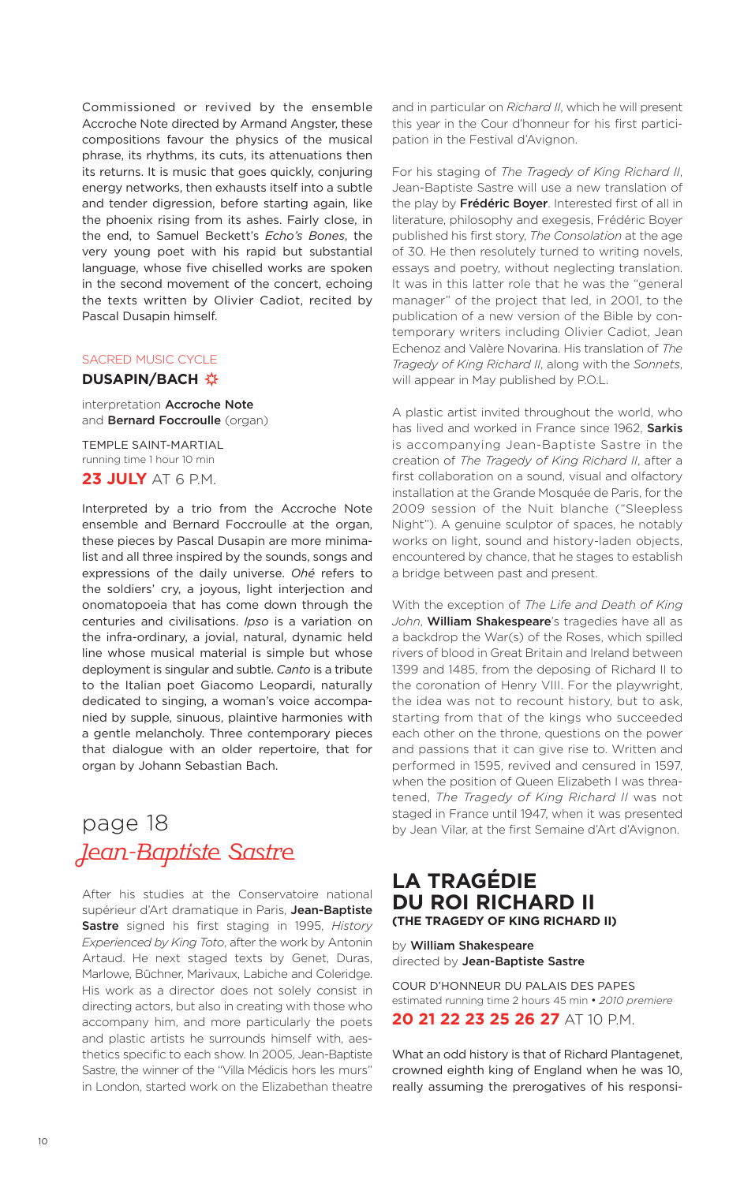Commissioned or revived by the ensemble Accroche Note directed by Armand Angster, these compositions favour the physics of the musical phrase, its rhythms, its cuts, its attenuations then its returns. It is music that goes quickly, conjuring energy networks, then exhausts itself into a subtle and tender digression, before starting again, like the phoenix rising from its ashes. Fairly close, in the end, to Samuel Beckett's *Echo's Bones*, the very young poet with his rapid but substantial language, whose five chiselled works are spoken in the second movement of the concert, echoing the texts written by Olivier Cadiot, recited by Pascal Dusapin himself.

### SACRED MUSIC CYCLE

### **DUSAPIN/BACH ※**

interpretation **Accroche Note** and **Bernard Foccroulle** (organ)

TEMPLE SAINT-MARTIAL running time 1 hour 10 min **23 JULY** AT 6 P.M.

Interpreted by a trio from the Accroche Note ensemble and Bernard Foccroulle at the organ, these pieces by Pascal Dusapin are more minimalist and all three inspired by the sounds, songs and expressions of the daily universe. *Ohé* refers to the soldiers' cry, a joyous, light interjection and onomatopoeia that has come down through the centuries and civilisations. *Ipso* is a variation on the infra-ordinary, a jovial, natural, dynamic held line whose musical material is simple but whose deployment is singular and subtle. *Canto* is a tribute to the Italian poet Giacomo Leopardi, naturally dedicated to singing, a woman's voice accompanied by supple, sinuous, plaintive harmonies with a gentle melancholy. Three contemporary pieces that dialogue with an older repertoire, that for organ by Johann Sebastian Bach.

# page 18 Jean-Baptiste Sastre

After his studies at the Conservatoire national supérieur d'Art dramatique in Paris, **Jean-Baptiste Sastre** signed his first staging in 1995, *History Experienced by King Toto*, after the work by Antonin Artaud. He next staged texts by Genet, Duras, Marlowe, Büchner, Marivaux, Labiche and Coleridge. His work as a director does not solely consist in directing actors, but also in creating with those who accompany him, and more particularly the poets and plastic artists he surrounds himself with, aesthetics specific to each show. In 2005, Jean-Baptiste Sastre, the winner of the "Villa Médicis hors les murs" in London, started work on the Elizabethan theatre and in particular on *Richard II*, which he will present this year in the Cour d'honneur for his first participation in the Festival d'Avignon.

For his staging of *The Tragedy of King Richard II*, Jean-Baptiste Sastre will use a new translation of the play by **Frédéric Boyer**. Interested first of all in literature, philosophy and exegesis, Frédéric Boyer published his first story, *The Consolation* at the age of 30. He then resolutely turned to writing novels, essays and poetry, without neglecting translation. It was in this latter role that he was the "general manager" of the project that led, in 2001, to the publication of a new version of the Bible by contemporary writers including Olivier Cadiot, Jean Echenoz and Valère Novarina. His translation of *The Tragedy of King Richard II*, along with the *Sonnets*, will appear in May published by P.O.L.

A plastic artist invited throughout the world, who has lived and worked in France since 1962, **Sarkis** is accompanying Jean-Baptiste Sastre in the creation of *The Tragedy of King Richard II*, after a first collaboration on a sound, visual and olfactory installation at the Grande Mosquée de Paris, for the 2009 session of the Nuit blanche ("Sleepless Night"). A genuine sculptor of spaces, he notably works on light, sound and history-laden objects, encountered by chance, that he stages to establish a bridge between past and present.

With the exception of *The Life and Death of King John*, **William Shakespeare**'s tragedies have all as a backdrop the War(s) of the Roses, which spilled rivers of blood in Great Britain and Ireland between 1399 and 1485, from the deposing of Richard II to the coronation of Henry VIII. For the playwright, the idea was not to recount history, but to ask, starting from that of the kings who succeeded each other on the throne, questions on the power and passions that it can give rise to. Written and performed in 1595, revived and censured in 1597, when the position of Queen Elizabeth I was threatened, *The Tragedy of King Richard II* was not staged in France until 1947, when it was presented by Jean Vilar, at the first Semaine d'Art d'Avignon.

### **LA TRAGÉDIE DU ROI RICHARD II (THE TRAGEDY OF KING RICHARD II)**

by **William Shakespeare** directed by **Jean-Baptiste Sastre**

COUR D'HONNEUR DU PALAIS DES PAPES estimated running time 2 hours 45 min • *2010 premiere* **20 21 22 23 25 26 27** AT 10 P.M.

What an odd history is that of Richard Plantagenet, crowned eighth king of England when he was 10, really assuming the prerogatives of his responsi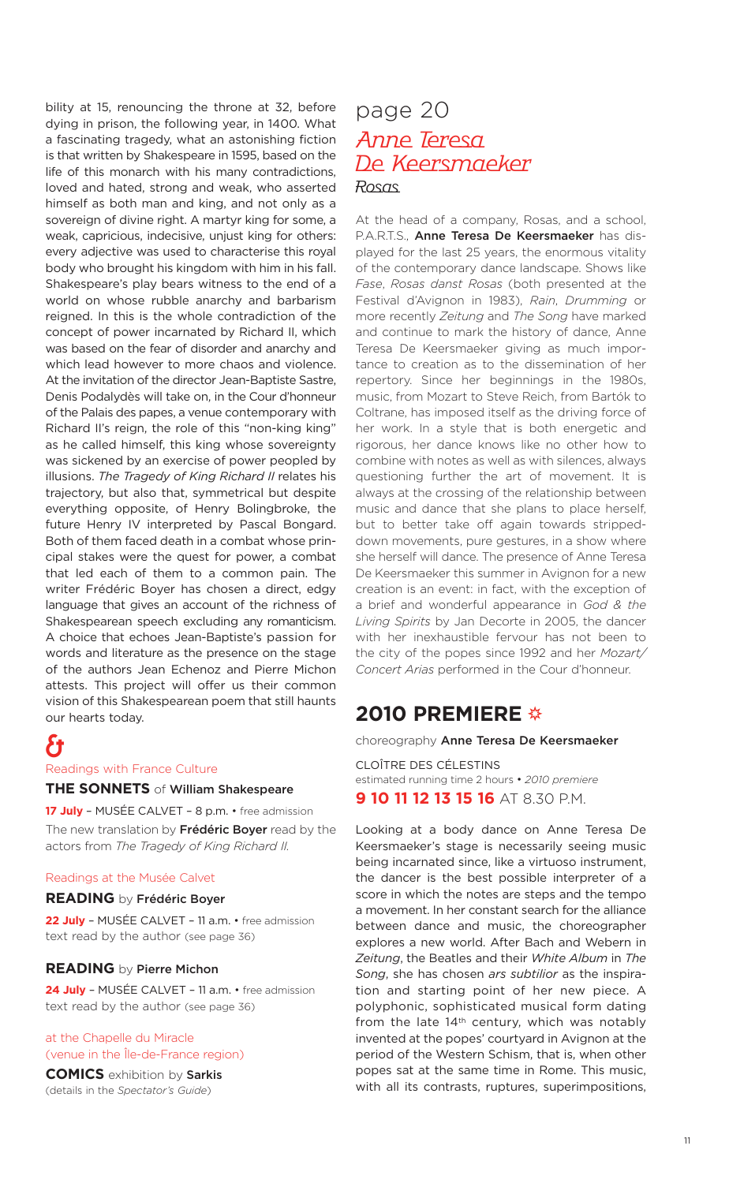bility at 15, renouncing the throne at 32, before dying in prison, the following year, in 1400. What a fascinating tragedy, what an astonishing fiction is that written by Shakespeare in 1595, based on the life of this monarch with his many contradictions, loved and hated, strong and weak, who asserted himself as both man and king, and not only as a sovereign of divine right. A martyr king for some, a weak, capricious, indecisive, unjust king for others: every adjective was used to characterise this royal body who brought his kingdom with him in his fall. Shakespeare's play bears witness to the end of a world on whose rubble anarchy and barbarism reigned. In this is the whole contradiction of the concept of power incarnated by Richard II, which was based on the fear of disorder and anarchy and which lead however to more chaos and violence. At the invitation of the director Jean-Baptiste Sastre, Denis Podalydès will take on, in the Cour d'honneur of the Palais des papes, a venue contemporary with Richard II's reign, the role of this "non-king king" as he called himself, this king whose sovereignty was sickened by an exercise of power peopled by illusions. *The Tragedy of King Richard II* relates his trajectory, but also that, symmetrical but despite everything opposite, of Henry Bolingbroke, the future Henry IV interpreted by Pascal Bongard. Both of them faced death in a combat whose principal stakes were the quest for power, a combat that led each of them to a common pain. The writer Frédéric Boyer has chosen a direct, edgy language that gives an account of the richness of Shakespearean speech excluding any romanticism. A choice that echoes Jean-Baptiste's passion for words and literature as the presence on the stage of the authors Jean Echenoz and Pierre Michon attests. This project will offer us their common vision of this Shakespearean poem that still haunts our hearts today.

### &

Readings with France Culture

### **THE SONNETS** of **William Shakespeare**

**17 July** – MUSÉE CALVET – 8 p.m. • free admission The new translation by **Frédéric Boyer** read by the actors from *The Tragedy of King Richard II.*

#### Readings at the Musée Calvet

### **READING** by **Frédéric Boyer**

**22 July** – MUSÉE CALVET – 11 a.m. • free admission text read by the author (see page 36)

#### **READING** by **Pierre Michon**

**24 July** – MUSÉE CALVET – 11 a.m. • free admission text read by the author (see page 36)

### at the Chapelle du Miracle (venue in the Île-de-France region)

**COMICS** exhibition by **Sarkis** (details in the *Spectator's Guide*)

### page 20 Anne Teresa De Keersmaeker Rosas

At the head of a company, Rosas, and a school, P.A.R.T.S., **Anne Teresa De Keersmaeker** has displayed for the last 25 years, the enormous vitality of the contemporary dance landscape. Shows like *Fase*, *Rosas danst Rosas* (both presented at the Festival d'Avignon in 1983), *Rain*, *Drumming* or more recently *Zeitung* and *The Song* have marked and continue to mark the history of dance, Anne Teresa De Keersmaeker giving as much importance to creation as to the dissemination of her repertory. Since her beginnings in the 1980s, music, from Mozart to Steve Reich, from Bartók to Coltrane, has imposed itself as the driving force of her work. In a style that is both energetic and rigorous, her dance knows like no other how to combine with notes as well as with silences, always questioning further the art of movement. It is always at the crossing of the relationship between music and dance that she plans to place herself, but to better take off again towards strippeddown movements, pure gestures, in a show where she herself will dance. The presence of Anne Teresa De Keersmaeker this summer in Avignon for a new creation is an event: in fact, with the exception of a brief and wonderful appearance in *God & the Living Spirits* by Jan Decorte in 2005, the dancer with her inexhaustible fervour has not been to the city of the popes since 1992 and her *Mozart/ Concert Arias* performed in the Cour d'honneur.

### **2010 PREMIERE**

choreography **Anne Teresa De Keersmaeker**

CLOÎTRE DES CÉLESTINS estimated running time 2 hours • *2010 premiere* **9 10 11 12 13 15 16** AT 8.30 P.M.

Looking at a body dance on Anne Teresa De Keersmaeker's stage is necessarily seeing music being incarnated since, like a virtuoso instrument, the dancer is the best possible interpreter of a score in which the notes are steps and the tempo a movement. In her constant search for the alliance between dance and music, the choreographer explores a new world. After Bach and Webern in *Zeitung*, the Beatles and their *White Album* in *The Song*, she has chosen *ars subtilior* as the inspiration and starting point of her new piece. A polyphonic, sophisticated musical form dating from the late 14<sup>th</sup> century, which was notably invented at the popes' courtyard in Avignon at the period of the Western Schism, that is, when other popes sat at the same time in Rome. This music, with all its contrasts, ruptures, superimpositions,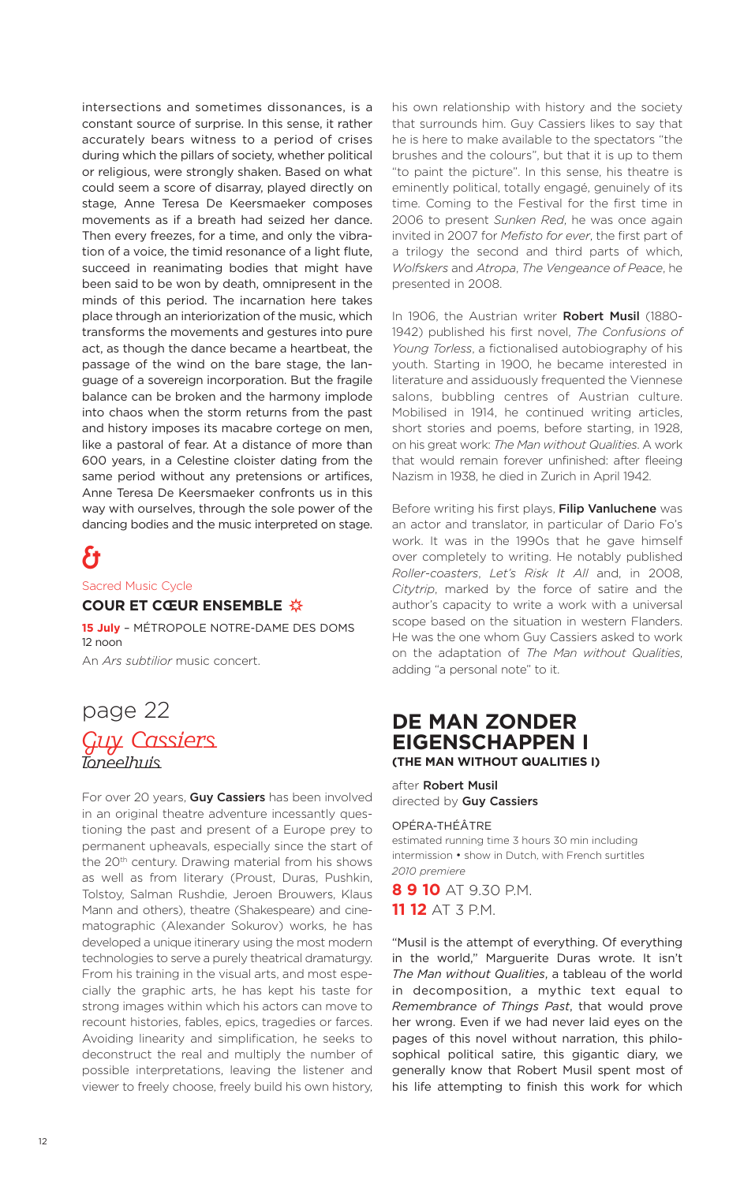intersections and sometimes dissonances, is a constant source of surprise. In this sense, it rather accurately bears witness to a period of crises during which the pillars of society, whether political or religious, were strongly shaken. Based on what could seem a score of disarray, played directly on stage, Anne Teresa De Keersmaeker composes movements as if a breath had seized her dance. Then every freezes, for a time, and only the vibration of a voice, the timid resonance of a light flute, succeed in reanimating bodies that might have been said to be won by death, omnipresent in the minds of this period. The incarnation here takes place through an interiorization of the music, which transforms the movements and gestures into pure act, as though the dance became a heartbeat, the passage of the wind on the bare stage, the language of a sovereign incorporation. But the fragile balance can be broken and the harmony implode into chaos when the storm returns from the past and history imposes its macabre cortege on men, like a pastoral of fear. At a distance of more than 600 years, in a Celestine cloister dating from the same period without any pretensions or artifices, Anne Teresa De Keersmaeker confronts us in this way with ourselves, through the sole power of the dancing bodies and the music interpreted on stage.

# &

Sacred Music Cycle

### **COUR ET CŒUR ENSEMBLE**

**15 July** – MÉTROPOLE NOTRE-DAME DES DOMS 12 noon An *Ars subtilior* music concert.

## page 22 Guy Cassiers Toneelhuis

For over 20 years, **Guy Cassiers** has been involved in an original theatre adventure incessantly questioning the past and present of a Europe prey to permanent upheavals, especially since the start of the 20<sup>th</sup> century. Drawing material from his shows as well as from literary (Proust, Duras, Pushkin, Tolstoy, Salman Rushdie, Jeroen Brouwers, Klaus Mann and others), theatre (Shakespeare) and cinematographic (Alexander Sokurov) works, he has developed a unique itinerary using the most modern technologies to serve a purely theatrical dramaturgy. From his training in the visual arts, and most especially the graphic arts, he has kept his taste for strong images within which his actors can move to recount histories, fables, epics, tragedies or farces. Avoiding linearity and simplification, he seeks to deconstruct the real and multiply the number of possible interpretations, leaving the listener and viewer to freely choose, freely build his own history, his own relationship with history and the society that surrounds him. Guy Cassiers likes to say that he is here to make available to the spectators "the brushes and the colours", but that it is up to them "to paint the picture". In this sense, his theatre is eminently political, totally engagé, genuinely of its time. Coming to the Festival for the first time in 2006 to present *Sunken Red*, he was once again invited in 2007 for *Mefisto for ever*, the first part of a trilogy the second and third parts of which, *Wolfskers* and *Atropa*, *The Vengeance of Peace*, he presented in 2008.

In 1906, the Austrian writer **Robert Musil** (1880- 1942) published his first novel, *The Confusions of Young Torless*, a fictionalised autobiography of his youth. Starting in 1900, he became interested in literature and assiduously frequented the Viennese salons, bubbling centres of Austrian culture. Mobilised in 1914, he continued writing articles, short stories and poems, before starting, in 1928, on his great work: *The Man without Qualities*. A work that would remain forever unfinished: after fleeing Nazism in 1938, he died in Zurich in April 1942.

Before writing his first plays, **Filip Vanluchene** was an actor and translator, in particular of Dario Fo's work. It was in the 1990s that he gave himself over completely to writing. He notably published *Roller-coasters*, *Let's Risk It All* and, in 2008, *Citytrip*, marked by the force of satire and the author's capacity to write a work with a universal scope based on the situation in western Flanders. He was the one whom Guy Cassiers asked to work on the adaptation of *The Man without Qualities*, adding "a personal note" to it.

### **DE MAN ZONDER EIGENSCHAPPEN I (THE MAN WITHOUT QUALITIES I)**

after **Robert Musil** directed by **Guy Cassiers**

### OPÉRA-THÉÂTRE

estimated running time 3 hours 30 min including intermission • show in Dutch, with French surtitles *2010 premiere*

**8 9 10** AT 9.30 P.M. **11 12** AT 3 P.M.

"Musil is the attempt of everything. Of everything in the world," Marguerite Duras wrote. It isn't *The Man without Qualities*, a tableau of the world in decomposition, a mythic text equal to *Remembrance of Things Past*, that would prove her wrong. Even if we had never laid eyes on the pages of this novel without narration, this philosophical political satire, this gigantic diary, we generally know that Robert Musil spent most of his life attempting to finish this work for which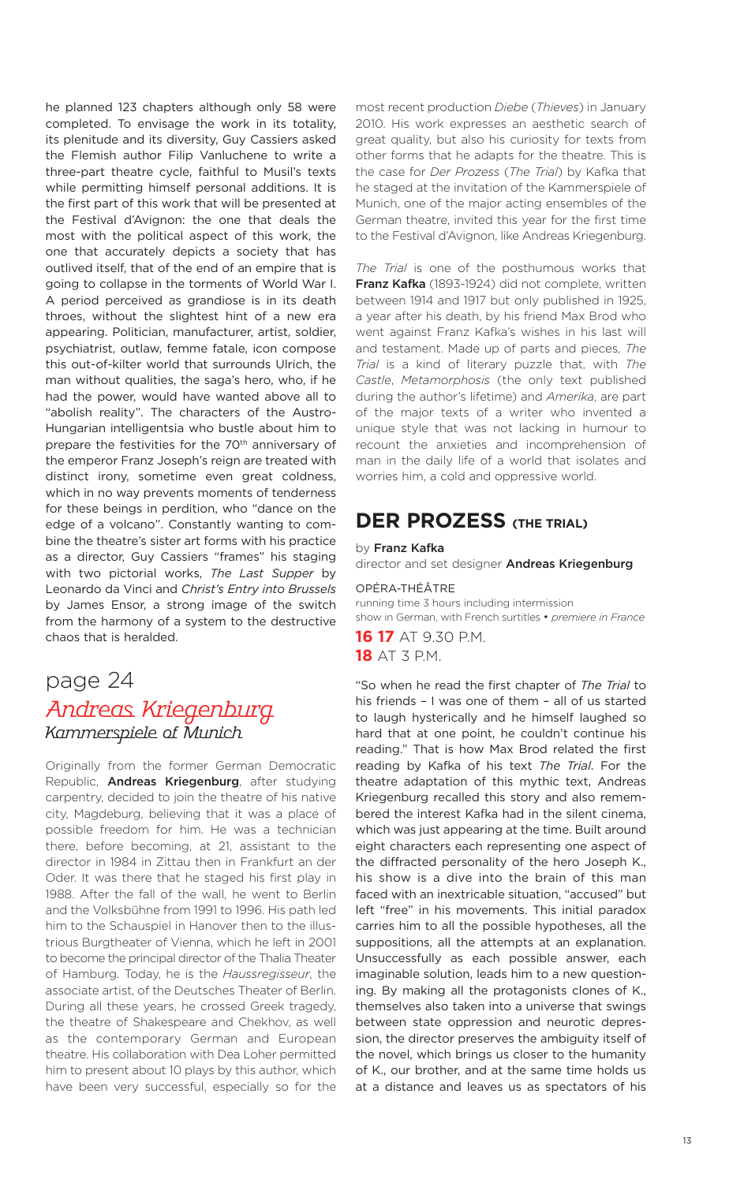he planned 123 chapters although only 58 were completed. To envisage the work in its totality, its plenitude and its diversity, Guy Cassiers asked the Flemish author Filip Vanluchene to write a three-part theatre cycle, faithful to Musil's texts while permitting himself personal additions. It is the first part of this work that will be presented at the Festival d'Avignon: the one that deals the most with the political aspect of this work, the one that accurately depicts a society that has outlived itself, that of the end of an empire that is going to collapse in the torments of World War I. A period perceived as grandiose is in its death throes, without the slightest hint of a new era appearing. Politician, manufacturer, artist, soldier, psychiatrist, outlaw, femme fatale, icon compose this out-of-kilter world that surrounds Ulrich, the man without qualities, the saga's hero, who, if he had the power, would have wanted above all to "abolish reality". The characters of the Austro-Hungarian intelligentsia who bustle about him to prepare the festivities for the 70<sup>th</sup> anniversary of the emperor Franz Joseph's reign are treated with distinct irony, sometime even great coldness, which in no way prevents moments of tenderness for these beings in perdition, who "dance on the edge of a volcano". Constantly wanting to combine the theatre's sister art forms with his practice as a director, Guy Cassiers "frames" his staging with two pictorial works, *The Last Supper* by Leonardo da Vinci and *Christ's Entry into Brussels* by James Ensor, a strong image of the switch from the harmony of a system to the destructive chaos that is heralded.

### page 24 Andreas Kriegenburg Kammerspiele of Munich

Originally from the former German Democratic Republic, **Andreas Kriegenburg**, after studying carpentry, decided to join the theatre of his native city, Magdeburg, believing that it was a place of possible freedom for him. He was a technician there, before becoming, at 21, assistant to the director in 1984 in Zittau then in Frankfurt an der Oder. It was there that he staged his first play in 1988. After the fall of the wall, he went to Berlin and the Volksbühne from 1991 to 1996. His path led him to the Schauspiel in Hanover then to the illustrious Burgtheater of Vienna, which he left in 2001 to become the principal director of the Thalia Theater of Hamburg. Today, he is the *Haussregisseur*, the associate artist, of the Deutsches Theater of Berlin. During all these years, he crossed Greek tragedy, the theatre of Shakespeare and Chekhov, as well as the contemporary German and European theatre. His collaboration with Dea Loher permitted him to present about 10 plays by this author, which have been very successful, especially so for the most recent production *Diebe* (*Thieves*) in January 2010. His work expresses an aesthetic search of great quality, but also his curiosity for texts from other forms that he adapts for the theatre. This is the case for *Der Prozess* (*The Trial*) by Kafka that he staged at the invitation of the Kammerspiele of Munich, one of the major acting ensembles of the German theatre, invited this year for the first time to the Festival d'Avignon, like Andreas Kriegenburg.

*The Trial* is one of the posthumous works that **Franz Kafka** (1893-1924) did not complete, written between 1914 and 1917 but only published in 1925, a year after his death, by his friend Max Brod who went against Franz Kafka's wishes in his last will and testament. Made up of parts and pieces, *The Trial* is a kind of literary puzzle that, with *The Castle*, *Metamorphosis* (the only text published during the author's lifetime) and *Amerika*, are part of the major texts of a writer who invented a unique style that was not lacking in humour to recount the anxieties and incomprehension of man in the daily life of a world that isolates and worries him, a cold and oppressive world.

### **DER PROZESS (THE TRIAL)**

by **Franz Kafka**

director and set designer **Andreas Kriegenburg**

OPÉRA-THÉÂTRE running time 3 hours including intermission show in German, with French surtitles • *premiere in France*

**16 17** AT 9.30 P.M. **18** AT 3 P.M.

"So when he read the first chapter of *The Trial* to his friends – I was one of them – all of us started to laugh hysterically and he himself laughed so hard that at one point, he couldn't continue his reading." That is how Max Brod related the first reading by Kafka of his text *The Trial*. For the theatre adaptation of this mythic text, Andreas Kriegenburg recalled this story and also remembered the interest Kafka had in the silent cinema, which was just appearing at the time. Built around eight characters each representing one aspect of the diffracted personality of the hero Joseph K., his show is a dive into the brain of this man faced with an inextricable situation, "accused" but left "free" in his movements. This initial paradox carries him to all the possible hypotheses, all the suppositions, all the attempts at an explanation. Unsuccessfully as each possible answer, each imaginable solution, leads him to a new questioning. By making all the protagonists clones of K., themselves also taken into a universe that swings between state oppression and neurotic depression, the director preserves the ambiguity itself of the novel, which brings us closer to the humanity of K., our brother, and at the same time holds us at a distance and leaves us as spectators of his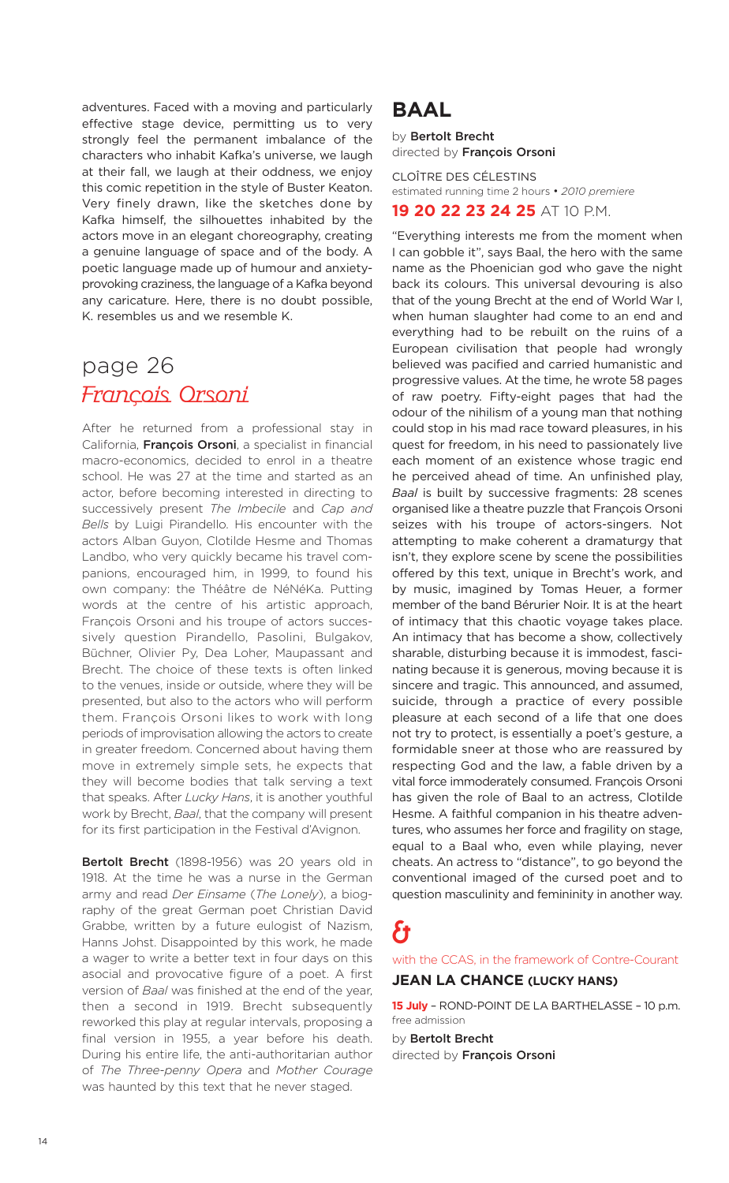adventures. Faced with a moving and particularly effective stage device, permitting us to very strongly feel the permanent imbalance of the characters who inhabit Kafka's universe, we laugh at their fall, we laugh at their oddness, we enjoy this comic repetition in the style of Buster Keaton. Very finely drawn, like the sketches done by Kafka himself, the silhouettes inhabited by the actors move in an elegant choreography, creating a genuine language of space and of the body. A poetic language made up of humour and anxietyprovoking craziness, the language of a Kafka beyond any caricature. Here, there is no doubt possible, K. resembles us and we resemble K.

# page 26 François Orsoni

After he returned from a professional stay in California, **François Orsoni**, a specialist in financial macro-economics, decided to enrol in a theatre school. He was 27 at the time and started as an actor, before becoming interested in directing to successively present *The Imbecile* and *Cap and Bells* by Luigi Pirandello. His encounter with the actors Alban Guyon, Clotilde Hesme and Thomas Landbo, who very quickly became his travel companions, encouraged him, in 1999, to found his own company: the Théâtre de NéNéKa. Putting words at the centre of his artistic approach, François Orsoni and his troupe of actors successively question Pirandello, Pasolini, Bulgakov, Büchner, Olivier Py, Dea Loher, Maupassant and Brecht. The choice of these texts is often linked to the venues, inside or outside, where they will be presented, but also to the actors who will perform them. François Orsoni likes to work with long periods of improvisation allowing the actors to create in greater freedom. Concerned about having them move in extremely simple sets, he expects that they will become bodies that talk serving a text that speaks. After *Lucky Hans*, it is another youthful work by Brecht, *Baal*, that the company will present for its first participation in the Festival d'Avignon.

**Bertolt Brecht** (1898-1956) was 20 years old in 1918. At the time he was a nurse in the German army and read *Der Einsame* (*The Lonely*), a biography of the great German poet Christian David Grabbe, written by a future eulogist of Nazism, Hanns Johst. Disappointed by this work, he made a wager to write a better text in four days on this asocial and provocative figure of a poet. A first version of *Baal* was finished at the end of the year, then a second in 1919. Brecht subsequently reworked this play at regular intervals, proposing a final version in 1955, a year before his death. During his entire life, the anti-authoritarian author of *The Three-penny Opera* and *Mother Courage* was haunted by this text that he never staged.

### **BAAL**

by **Bertolt Brecht** directed by **François Orsoni**

CLOÎTRE DES CÉLESTINS estimated running time 2 hours • *2010 premiere* **19 20 22 23 24 25** AT 10 P.M.

"Everything interests me from the moment when

I can gobble it", says Baal, the hero with the same name as the Phoenician god who gave the night back its colours. This universal devouring is also that of the young Brecht at the end of World War I, when human slaughter had come to an end and everything had to be rebuilt on the ruins of a European civilisation that people had wrongly believed was pacified and carried humanistic and progressive values. At the time, he wrote 58 pages of raw poetry. Fifty-eight pages that had the odour of the nihilism of a young man that nothing could stop in his mad race toward pleasures, in his quest for freedom, in his need to passionately live each moment of an existence whose tragic end he perceived ahead of time. An unfinished play, *Baal* is built by successive fragments: 28 scenes organised like a theatre puzzle that François Orsoni seizes with his troupe of actors-singers. Not attempting to make coherent a dramaturgy that isn't, they explore scene by scene the possibilities offered by this text, unique in Brecht's work, and by music, imagined by Tomas Heuer, a former member of the band Bérurier Noir. It is at the heart of intimacy that this chaotic voyage takes place. An intimacy that has become a show, collectively sharable, disturbing because it is immodest, fascinating because it is generous, moving because it is sincere and tragic. This announced, and assumed, suicide, through a practice of every possible pleasure at each second of a life that one does not try to protect, is essentially a poet's gesture, a formidable sneer at those who are reassured by

respecting God and the law, a fable driven by a vital force immoderately consumed. François Orsoni has given the role of Baal to an actress, Clotilde Hesme. A faithful companion in his theatre adventures, who assumes her force and fragility on stage, equal to a Baal who, even while playing, never cheats. An actress to "distance", to go beyond the conventional imaged of the cursed poet and to question masculinity and femininity in another way.

# &

with the CCAS, in the framework of Contre-Courant

### **JEAN LA CHANCE (LUCKY HANS)**

**15 July** – ROND-POINT DE LA BARTHELASSE – 10 p.m. free admission

by **Bertolt Brecht** directed by **François Orsoni**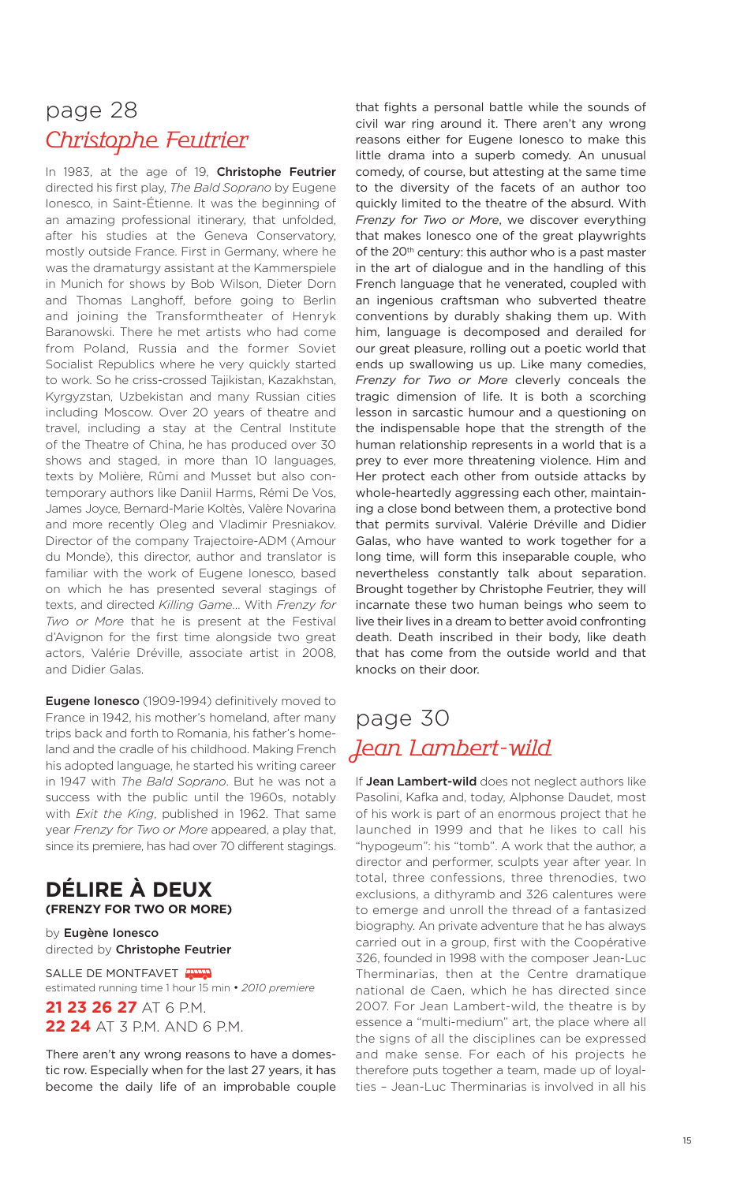# page 28 Christophe Feutrier

In 1983, at the age of 19, **Christophe Feutrier** directed his first play, *The Bald Soprano* by Eugene Ionesco, in Saint-Étienne. It was the beginning of an amazing professional itinerary, that unfolded, after his studies at the Geneva Conservatory, mostly outside France. First in Germany, where he was the dramaturgy assistant at the Kammerspiele in Munich for shows by Bob Wilson, Dieter Dorn and Thomas Langhoff, before going to Berlin and joining the Transformtheater of Henryk Baranowski. There he met artists who had come from Poland, Russia and the former Soviet Socialist Republics where he very quickly started to work. So he criss-crossed Tajikistan, Kazakhstan, Kyrgyzstan, Uzbekistan and many Russian cities including Moscow. Over 20 years of theatre and travel, including a stay at the Central Institute of the Theatre of China, he has produced over 30 shows and staged, in more than 10 languages, texts by Molière, Rûmi and Musset but also contemporary authors like Daniil Harms, Rémi De Vos, James Joyce, Bernard-Marie Koltès, Valère Novarina and more recently Oleg and Vladimir Presniakov. Director of the company Trajectoire-ADM (Amour du Monde), this director, author and translator is familiar with the work of Eugene Ionesco, based on which he has presented several stagings of texts, and directed *Killing Game*… With *Frenzy for Two or More* that he is present at the Festival d'Avignon for the first time alongside two great actors, Valérie Dréville, associate artist in 2008, and Didier Galas.

**Eugene Ionesco** (1909-1994) definitively moved to France in 1942, his mother's homeland, after many trips back and forth to Romania, his father's homeland and the cradle of his childhood. Making French his adopted language, he started his writing career in 1947 with *The Bald Soprano*. But he was not a success with the public until the 1960s, notably with *Exit the King*, published in 1962. That same year *Frenzy for Two or More* appeared, a play that, since its premiere, has had over 70 different stagings.

### **DÉLIRE À DEUX (FRENZY FOR TWO OR MORE)**

by **Eugène Ionesco** directed by **Christophe Feutrier**

SALLE DE MONTFAVET estimated running time 1 hour 15 min • *2010 premiere*

**21 23 26 27** AT 6 P.M. **22 24** AT 3 P.M. AND 6 P.M.

There aren't any wrong reasons to have a domestic row. Especially when for the last 27 years, it has become the daily life of an improbable couple

that fights a personal battle while the sounds of civil war ring around it. There aren't any wrong reasons either for Eugene Ionesco to make this little drama into a superb comedy. An unusual comedy, of course, but attesting at the same time to the diversity of the facets of an author too quickly limited to the theatre of the absurd. With *Frenzy for Two or More*, we discover everything that makes Ionesco one of the great playwrights of the 20<sup>th</sup> century: this author who is a past master in the art of dialogue and in the handling of this French language that he venerated, coupled with an ingenious craftsman who subverted theatre conventions by durably shaking them up. With him, language is decomposed and derailed for our great pleasure, rolling out a poetic world that ends up swallowing us up. Like many comedies, *Frenzy for Two or More* cleverly conceals the tragic dimension of life. It is both a scorching lesson in sarcastic humour and a questioning on the indispensable hope that the strength of the human relationship represents in a world that is a prey to ever more threatening violence. Him and Her protect each other from outside attacks by whole-heartedly aggressing each other, maintaining a close bond between them, a protective bond that permits survival. Valérie Dréville and Didier Galas, who have wanted to work together for a long time, will form this inseparable couple, who nevertheless constantly talk about separation. Brought together by Christophe Feutrier, they will incarnate these two human beings who seem to live their lives in a dream to better avoid confronting death. Death inscribed in their body, like death that has come from the outside world and that knocks on their door.

# page 30 Jean Lambert-wild

If **Jean Lambert-wild** does not neglect authors like Pasolini, Kafka and, today, Alphonse Daudet, most of his work is part of an enormous project that he launched in 1999 and that he likes to call his "hypogeum": his "tomb". A work that the author, a director and performer, sculpts year after year. In total, three confessions, three threnodies, two exclusions, a dithyramb and 326 calentures were to emerge and unroll the thread of a fantasized biography. An private adventure that he has always carried out in a group, first with the Coopérative 326, founded in 1998 with the composer Jean-Luc Therminarias, then at the Centre dramatique national de Caen, which he has directed since 2007. For Jean Lambert-wild, the theatre is by essence a "multi-medium" art, the place where all the signs of all the disciplines can be expressed and make sense. For each of his projects he therefore puts together a team, made up of loyalties – Jean-Luc Therminarias is involved in all his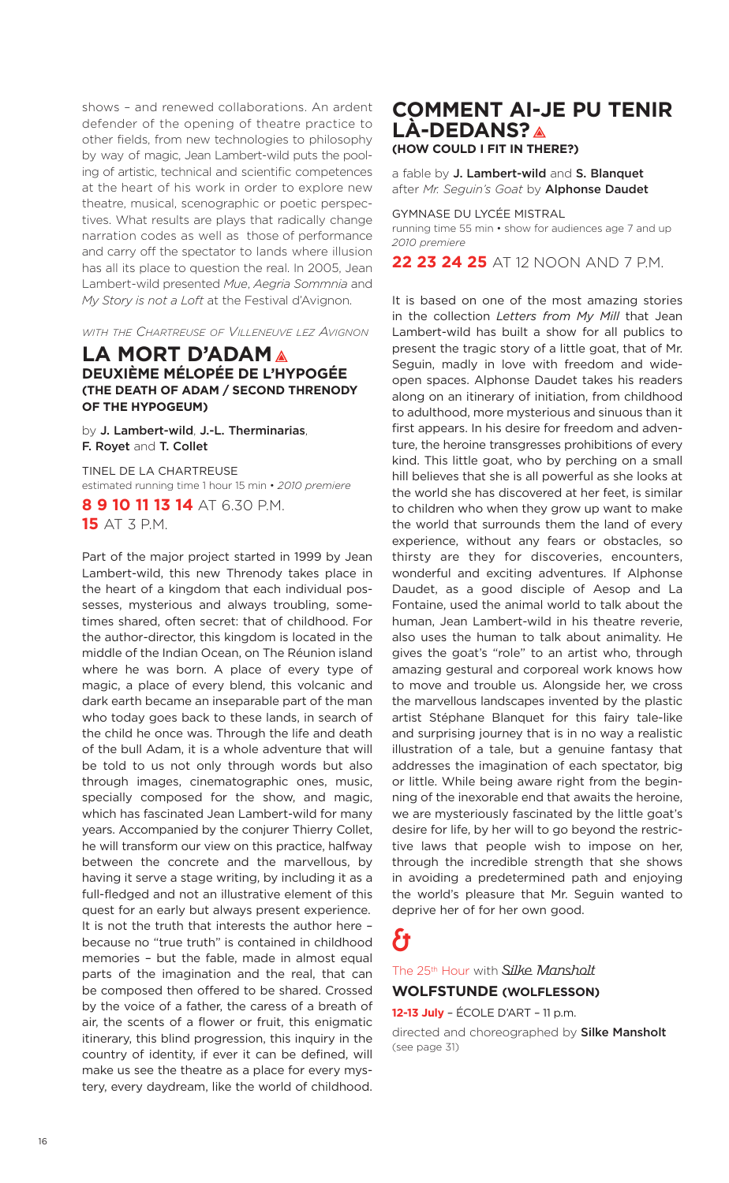shows – and renewed collaborations. An ardent defender of the opening of theatre practice to other fields, from new technologies to philosophy by way of magic, Jean Lambert-wild puts the pooling of artistic, technical and scientific competences at the heart of his work in order to explore new theatre, musical, scenographic or poetic perspectives. What results are plays that radically change narration codes as well as those of performance and carry off the spectator to lands where illusion has all its place to question the real. In 2005, Jean Lambert-wild presented *Mue*, *Aegria Sommnia* and *My Story is not a Loft* at the Festival d'Avignon.

*WITH THE CHARTREUSE OF VILLENEUVE LEZ AVIGNON*

### **LA MORT D'ADAM DEUXIÈME MÉLOPÉE DE L'HYPOGÉE (THE DEATH OF ADAM / SECOND THRENODY OF THE HYPOGEUM)**

by **J. Lambert-wild**, **J.-L. Therminarias**, **F. Royet** and **T. Collet**

TINEL DE LA CHARTREUSE estimated running time 1 hour 15 min • *2010 premiere* **8 9 10 11 13 14** AT 6.30 P.M. **15** AT 3 P.M.

Part of the major project started in 1999 by Jean Lambert-wild, this new Threnody takes place in the heart of a kingdom that each individual possesses, mysterious and always troubling, sometimes shared, often secret: that of childhood. For the author-director, this kingdom is located in the middle of the Indian Ocean, on The Réunion island where he was born. A place of every type of magic, a place of every blend, this volcanic and dark earth became an inseparable part of the man who today goes back to these lands, in search of the child he once was. Through the life and death of the bull Adam, it is a whole adventure that will be told to us not only through words but also through images, cinematographic ones, music, specially composed for the show, and magic, which has fascinated Jean Lambert-wild for many years. Accompanied by the conjurer Thierry Collet, he will transform our view on this practice, halfway between the concrete and the marvellous, by having it serve a stage writing, by including it as a full-fledged and not an illustrative element of this quest for an early but always present experience. It is not the truth that interests the author here – because no "true truth" is contained in childhood memories – but the fable, made in almost equal parts of the imagination and the real, that can be composed then offered to be shared. Crossed by the voice of a father, the caress of a breath of air, the scents of a flower or fruit, this enigmatic itinerary, this blind progression, this inquiry in the country of identity, if ever it can be defined, will make us see the theatre as a place for every mystery, every daydream, like the world of childhood.

### **COMMENT AI-JE PU TENIR LÀ-DEDANS? (HOW COULD I FIT IN THERE?)**

a fable by **J. Lambert-wild** and **S. Blanquet** after *Mr. Seguin's Goat* by **Alphonse Daudet**

GYMNASE DU LYCÉE MISTRAL running time 55 min • show for audiences age 7 and up *2010 premiere*

**22 23 24 25** AT 12 NOON AND 7 P.M.

It is based on one of the most amazing stories in the collection *Letters from My Mill* that Jean Lambert-wild has built a show for all publics to present the tragic story of a little goat, that of Mr. Seguin, madly in love with freedom and wideopen spaces. Alphonse Daudet takes his readers along on an itinerary of initiation, from childhood to adulthood, more mysterious and sinuous than it first appears. In his desire for freedom and adventure, the heroine transgresses prohibitions of every kind. This little goat, who by perching on a small hill believes that she is all powerful as she looks at the world she has discovered at her feet, is similar to children who when they grow up want to make the world that surrounds them the land of every experience, without any fears or obstacles, so thirsty are they for discoveries, encounters, wonderful and exciting adventures. If Alphonse Daudet, as a good disciple of Aesop and La Fontaine, used the animal world to talk about the human, Jean Lambert-wild in his theatre reverie, also uses the human to talk about animality. He gives the goat's "role" to an artist who, through amazing gestural and corporeal work knows how to move and trouble us. Alongside her, we cross the marvellous landscapes invented by the plastic artist Stéphane Blanquet for this fairy tale-like and surprising journey that is in no way a realistic illustration of a tale, but a genuine fantasy that addresses the imagination of each spectator, big or little. While being aware right from the beginning of the inexorable end that awaits the heroine, we are mysteriously fascinated by the little goat's desire for life, by her will to go beyond the restrictive laws that people wish to impose on her, through the incredible strength that she shows in avoiding a predetermined path and enjoying the world's pleasure that Mr. Seguin wanted to deprive her of for her own good.

# &

The 25th Hour with Silke Mansholt **WOLFSTUNDE (WOLFLESSON)**

**12-13 July** – ÉCOLE D'ART – 11 p.m.

directed and choreographed by **Silke Mansholt** (see page 31)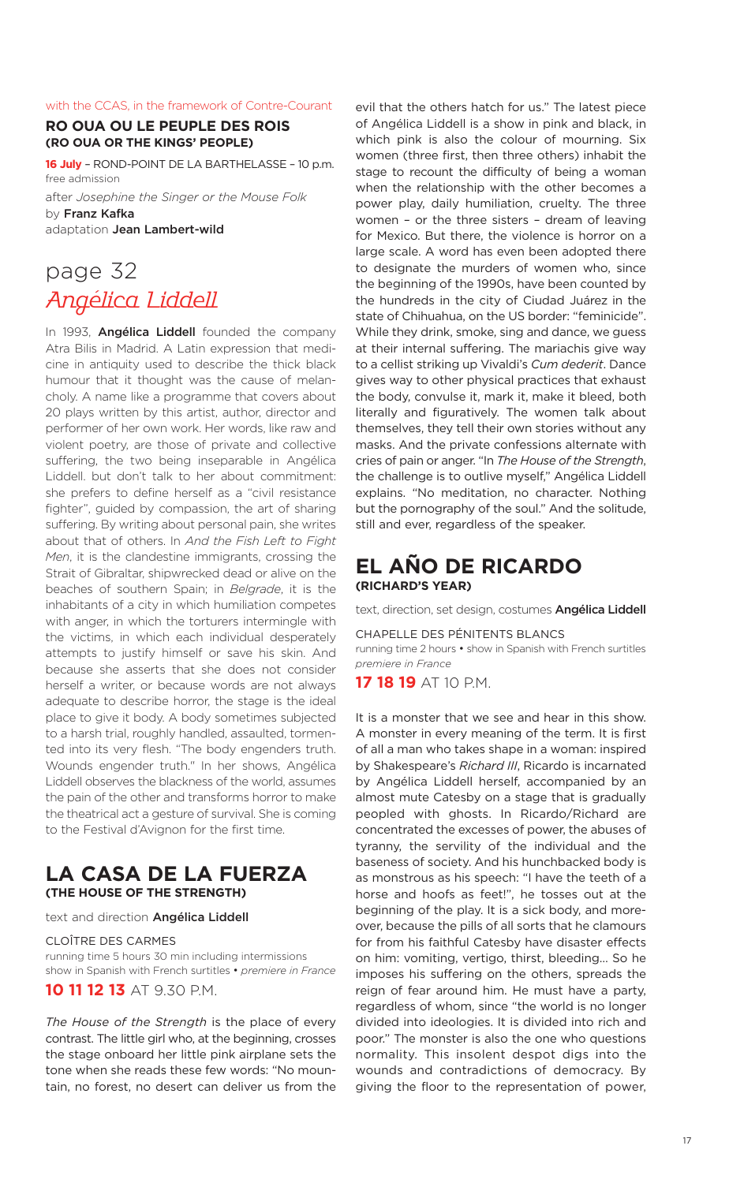#### with the CCAS, in the framework of Contre-Courant

### **RO OUA OU LE PEUPLE DES ROIS (RO OUA OR THE KINGS' PEOPLE)**

**16 July** – ROND-POINT DE LA BARTHELASSE – 10 p.m. free admission

after *Josephine the Singer or the Mouse Folk* by **Franz Kafka** adaptation **Jean Lambert-wild**

# page 32 Angélica Liddell

In 1993, **Angélica Liddell** founded the company Atra Bilis in Madrid. A Latin expression that medicine in antiquity used to describe the thick black humour that it thought was the cause of melancholy. A name like a programme that covers about 20 plays written by this artist, author, director and performer of her own work. Her words, like raw and violent poetry, are those of private and collective suffering, the two being inseparable in Angélica Liddell. but don't talk to her about commitment: she prefers to define herself as a "civil resistance fighter", guided by compassion, the art of sharing suffering. By writing about personal pain, she writes about that of others. In *And the Fish Left to Fight Men*, it is the clandestine immigrants, crossing the Strait of Gibraltar, shipwrecked dead or alive on the beaches of southern Spain; in *Belgrade*, it is the inhabitants of a city in which humiliation competes with anger, in which the torturers intermingle with the victims, in which each individual desperately attempts to justify himself or save his skin. And because she asserts that she does not consider herself a writer, or because words are not always adequate to describe horror, the stage is the ideal place to give it body. A body sometimes subjected to a harsh trial, roughly handled, assaulted, tormented into its very flesh. "The body engenders truth. Wounds engender truth." In her shows, Angélica Liddell observes the blackness of the world, assumes the pain of the other and transforms horror to make the theatrical act a gesture of survival. She is coming to the Festival d'Avignon for the first time.

### **LA CASA DE LA FUERZA (THE HOUSE OF THE STRENGTH)**

text and direction **Angélica Liddell**

CLOÎTRE DES CARMES running time 5 hours 30 min including intermissions show in Spanish with French surtitles • *premiere in France* **10 11 12 13** AT 9.30 P.M.

*The House of the Strength* is the place of every contrast. The little girl who, at the beginning, crosses the stage onboard her little pink airplane sets the tone when she reads these few words: "No mountain, no forest, no desert can deliver us from the

evil that the others hatch for us." The latest piece of Angélica Liddell is a show in pink and black, in which pink is also the colour of mourning. Six women (three first, then three others) inhabit the stage to recount the difficulty of being a woman when the relationship with the other becomes a power play, daily humiliation, cruelty. The three women – or the three sisters – dream of leaving for Mexico. But there, the violence is horror on a large scale. A word has even been adopted there to designate the murders of women who, since the beginning of the 1990s, have been counted by the hundreds in the city of Ciudad Juárez in the state of Chihuahua, on the US border: "feminicide". While they drink, smoke, sing and dance, we guess at their internal suffering. The mariachis give way to a cellist striking up Vivaldi's *Cum dederit*. Dance gives way to other physical practices that exhaust the body, convulse it, mark it, make it bleed, both literally and figuratively. The women talk about themselves, they tell their own stories without any masks. And the private confessions alternate with cries of pain or anger. "In *The House of the Strength*, the challenge is to outlive myself," Angélica Liddell explains. "No meditation, no character. Nothing but the pornography of the soul." And the solitude, still and ever, regardless of the speaker.

### **EL AÑO DE RICARDO (RICHARD'S YEAR)**

text, direction, set design, costumes **Angélica Liddell**

CHAPELLE DES PÉNITENTS BLANCS running time 2 hours • show in Spanish with French surtitles *premiere in France*

**17 18 19** AT 10 P.M.

It is a monster that we see and hear in this show. A monster in every meaning of the term. It is first of all a man who takes shape in a woman: inspired by Shakespeare's *Richard III*, Ricardo is incarnated by Angélica Liddell herself, accompanied by an almost mute Catesby on a stage that is gradually peopled with ghosts. In Ricardo/Richard are concentrated the excesses of power, the abuses of tyranny, the servility of the individual and the baseness of society. And his hunchbacked body is as monstrous as his speech: "I have the teeth of a horse and hoofs as feet!", he tosses out at the beginning of the play. It is a sick body, and moreover, because the pills of all sorts that he clamours for from his faithful Catesby have disaster effects on him: vomiting, vertigo, thirst, bleeding… So he imposes his suffering on the others, spreads the reign of fear around him. He must have a party, regardless of whom, since "the world is no longer divided into ideologies. It is divided into rich and poor." The monster is also the one who questions normality. This insolent despot digs into the wounds and contradictions of democracy. By giving the floor to the representation of power,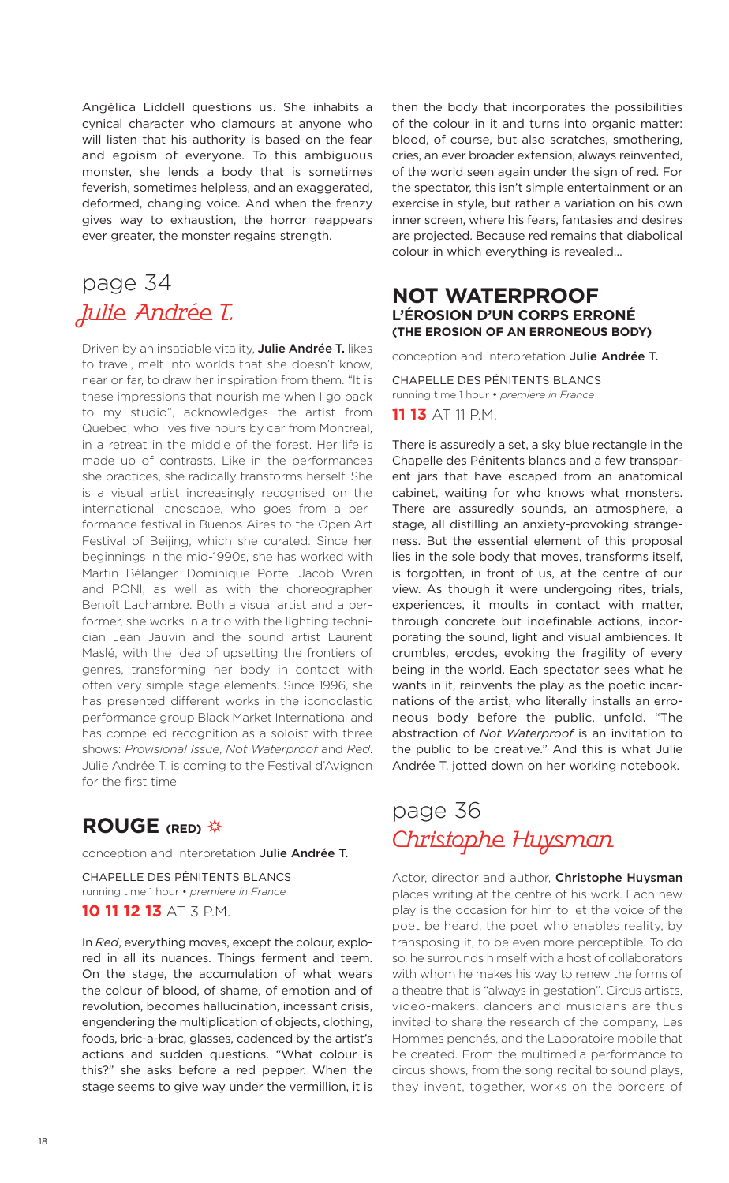Angélica Liddell questions us. She inhabits a cynical character who clamours at anyone who will listen that his authority is based on the fear and egoism of everyone. To this ambiguous monster, she lends a body that is sometimes feverish, sometimes helpless, and an exaggerated, deformed, changing voice. And when the frenzy gives way to exhaustion, the horror reappears ever greater, the monster regains strength.

# page 34 Julie Andrée T.

Driven by an insatiable vitality, **Julie Andrée T.** likes to travel, melt into worlds that she doesn't know, near or far, to draw her inspiration from them. "It is these impressions that nourish me when I go back to my studio", acknowledges the artist from Quebec, who lives five hours by car from Montreal, in a retreat in the middle of the forest. Her life is made up of contrasts. Like in the performances she practices, she radically transforms herself. She is a visual artist increasingly recognised on the international landscape, who goes from a performance festival in Buenos Aires to the Open Art Festival of Beijing, which she curated. Since her beginnings in the mid-1990s, she has worked with Martin Bélanger, Dominique Porte, Jacob Wren and PONI, as well as with the choreographer Benoît Lachambre. Both a visual artist and a performer, she works in a trio with the lighting technician Jean Jauvin and the sound artist Laurent Maslé, with the idea of upsetting the frontiers of genres, transforming her body in contact with often very simple stage elements. Since 1996, she has presented different works in the iconoclastic performance group Black Market International and has compelled recognition as a soloist with three shows: *Provisional Issue*, *Not Waterproof* and *Red*. Julie Andrée T. is coming to the Festival d'Avignon for the first time.

### **ROUGE (RED)**

conception and interpretation **Julie Andrée T.**

CHAPELLE DES PÉNITENTS BLANCS running time 1 hour • *premiere in France*

### **10 11 12 13** AT 3 P.M.

In *Red*, everything moves, except the colour, explored in all its nuances. Things ferment and teem. On the stage, the accumulation of what wears the colour of blood, of shame, of emotion and of revolution, becomes hallucination, incessant crisis, engendering the multiplication of objects, clothing, foods, bric-a-brac, glasses, cadenced by the artist's actions and sudden questions. "What colour is this?" she asks before a red pepper. When the stage seems to give way under the vermillion, it is then the body that incorporates the possibilities of the colour in it and turns into organic matter: blood, of course, but also scratches, smothering, cries, an ever broader extension, always reinvented, of the world seen again under the sign of red. For the spectator, this isn't simple entertainment or an exercise in style, but rather a variation on his own inner screen, where his fears, fantasies and desires are projected. Because red remains that diabolical colour in which everything is revealed…

### **NOT WATERPROOF L'ÉROSION D'UN CORPS ERRONÉ (THE EROSION OF AN ERRONEOUS BODY)**

conception and interpretation **Julie Andrée T.**

CHAPELLE DES PÉNITENTS BLANCS running time 1 hour • *premiere in France* **11 13** AT 11 P.M.

There is assuredly a set, a sky blue rectangle in the Chapelle des Pénitents blancs and a few transparent jars that have escaped from an anatomical cabinet, waiting for who knows what monsters. There are assuredly sounds, an atmosphere, a stage, all distilling an anxiety-provoking strangeness. But the essential element of this proposal lies in the sole body that moves, transforms itself, is forgotten, in front of us, at the centre of our view. As though it were undergoing rites, trials, experiences, it moults in contact with matter, through concrete but indefinable actions, incorporating the sound, light and visual ambiences. It crumbles, erodes, evoking the fragility of every being in the world. Each spectator sees what he wants in it, reinvents the play as the poetic incarnations of the artist, who literally installs an erroneous body before the public, unfold. "The abstraction of *Not Waterproof* is an invitation to the public to be creative." And this is what Julie Andrée T. jotted down on her working notebook.

# page 36 Christophe Huysman

Actor, director and author, **Christophe Huysman** places writing at the centre of his work. Each new play is the occasion for him to let the voice of the poet be heard, the poet who enables reality, by transposing it, to be even more perceptible. To do so, he surrounds himself with a host of collaborators with whom he makes his way to renew the forms of a theatre that is "always in gestation". Circus artists, video-makers, dancers and musicians are thus invited to share the research of the company, Les Hommes penchés, and the Laboratoire mobile that he created. From the multimedia performance to circus shows, from the song recital to sound plays, they invent, together, works on the borders of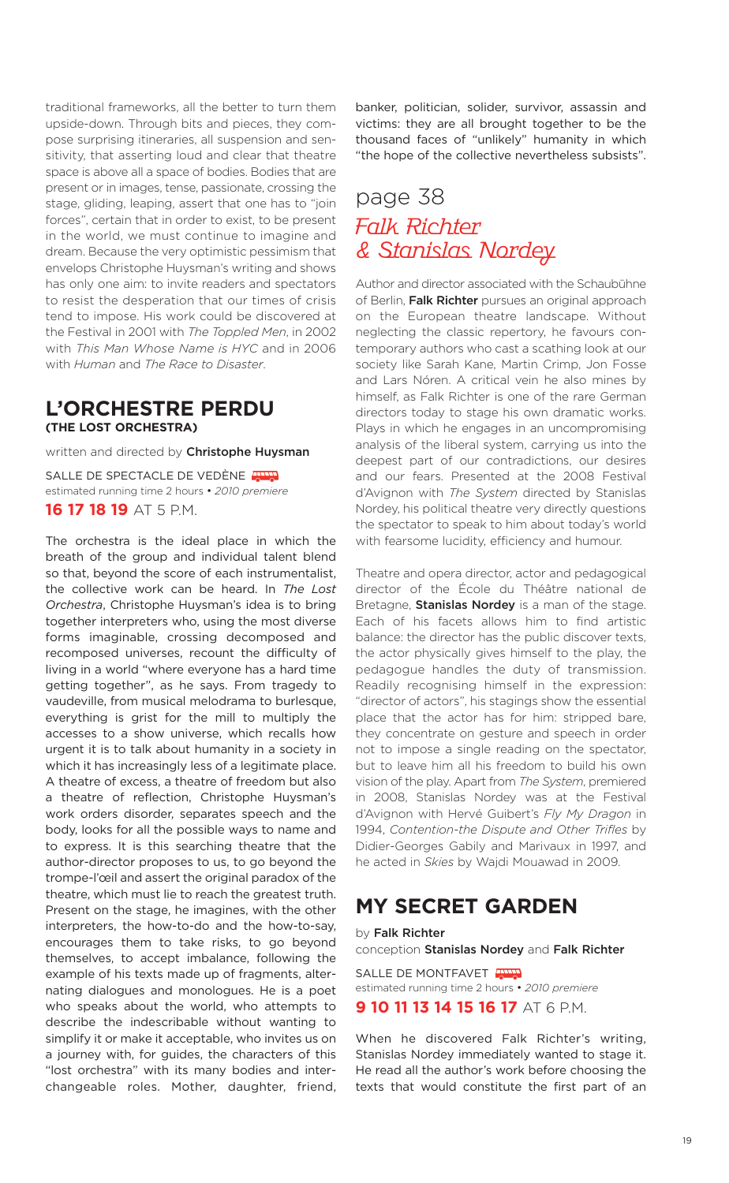traditional frameworks, all the better to turn them upside-down. Through bits and pieces, they compose surprising itineraries, all suspension and sensitivity, that asserting loud and clear that theatre space is above all a space of bodies. Bodies that are present or in images, tense, passionate, crossing the stage, gliding, leaping, assert that one has to "join forces", certain that in order to exist, to be present in the world, we must continue to imagine and dream. Because the very optimistic pessimism that envelops Christophe Huysman's writing and shows has only one aim: to invite readers and spectators to resist the desperation that our times of crisis tend to impose. His work could be discovered at the Festival in 2001 with *The Toppled Men*, in 2002 with *This Man Whose Name is HYC* and in 2006 with *Human* and *The Race to Disaster*.

### **L'ORCHESTRE PERDU (THE LOST ORCHESTRA)**

written and directed by **Christophe Huysman**

SALLE DE SPECTACLE DE VEDÈNE THE estimated running time 2 hours • *2010 premiere* **16 17 18 19** AT 5 P.M.

The orchestra is the ideal place in which the breath of the group and individual talent blend so that, beyond the score of each instrumentalist, the collective work can be heard. In *The Lost Orchestra*, Christophe Huysman's idea is to bring together interpreters who, using the most diverse forms imaginable, crossing decomposed and recomposed universes, recount the difficulty of living in a world "where everyone has a hard time getting together", as he says. From tragedy to vaudeville, from musical melodrama to burlesque, everything is grist for the mill to multiply the accesses to a show universe, which recalls how urgent it is to talk about humanity in a society in which it has increasingly less of a legitimate place. A theatre of excess, a theatre of freedom but also a theatre of reflection, Christophe Huysman's work orders disorder, separates speech and the body, looks for all the possible ways to name and to express. It is this searching theatre that the author-director proposes to us, to go beyond the trompe-l'œil and assert the original paradox of the theatre, which must lie to reach the greatest truth. Present on the stage, he imagines, with the other interpreters, the how-to-do and the how-to-say, encourages them to take risks, to go beyond themselves, to accept imbalance, following the example of his texts made up of fragments, alternating dialogues and monologues. He is a poet who speaks about the world, who attempts to describe the indescribable without wanting to simplify it or make it acceptable, who invites us on a journey with, for guides, the characters of this "lost orchestra" with its many bodies and interchangeable roles. Mother, daughter, friend, banker, politician, solider, survivor, assassin and victims: they are all brought together to be the thousand faces of "unlikely" humanity in which "the hope of the collective nevertheless subsists".

# page 38 Falk Richter & Stanislas Nordey

Author and director associated with the Schaubühne of Berlin, **Falk Richter** pursues an original approach on the European theatre landscape. Without neglecting the classic repertory, he favours contemporary authors who cast a scathing look at our society like Sarah Kane, Martin Crimp, Jon Fosse and Lars Nóren. A critical vein he also mines by himself, as Falk Richter is one of the rare German directors today to stage his own dramatic works. Plays in which he engages in an uncompromising analysis of the liberal system, carrying us into the deepest part of our contradictions, our desires and our fears. Presented at the 2008 Festival d'Avignon with *The System* directed by Stanislas Nordey, his political theatre very directly questions the spectator to speak to him about today's world with fearsome lucidity, efficiency and humour.

Theatre and opera director, actor and pedagogical director of the École du Théâtre national de Bretagne, **Stanislas Nordey** is a man of the stage. Each of his facets allows him to find artistic balance: the director has the public discover texts, the actor physically gives himself to the play, the pedagogue handles the duty of transmission. Readily recognising himself in the expression: "director of actors", his stagings show the essential place that the actor has for him: stripped bare, they concentrate on gesture and speech in order not to impose a single reading on the spectator, but to leave him all his freedom to build his own vision of the play. Apart from *The System*, premiered in 2008, Stanislas Nordey was at the Festival d'Avignon with Hervé Guibert's *Fly My Dragon* in 1994, *Contention-the Dispute and Other Trifles* by Didier-Georges Gabily and Marivaux in 1997, and he acted in *Skies* by Wajdi Mouawad in 2009.

# **MY SECRET GARDEN**

by **Falk Richter** conception **Stanislas Nordey** and **Falk Richter**

SALLE DE MONTFAVET estimated running time 2 hours • *2010 premiere*

**9 10 11 13 14 15 16 17** AT 6 P.M.

When he discovered Falk Richter's writing, Stanislas Nordey immediately wanted to stage it. He read all the author's work before choosing the texts that would constitute the first part of an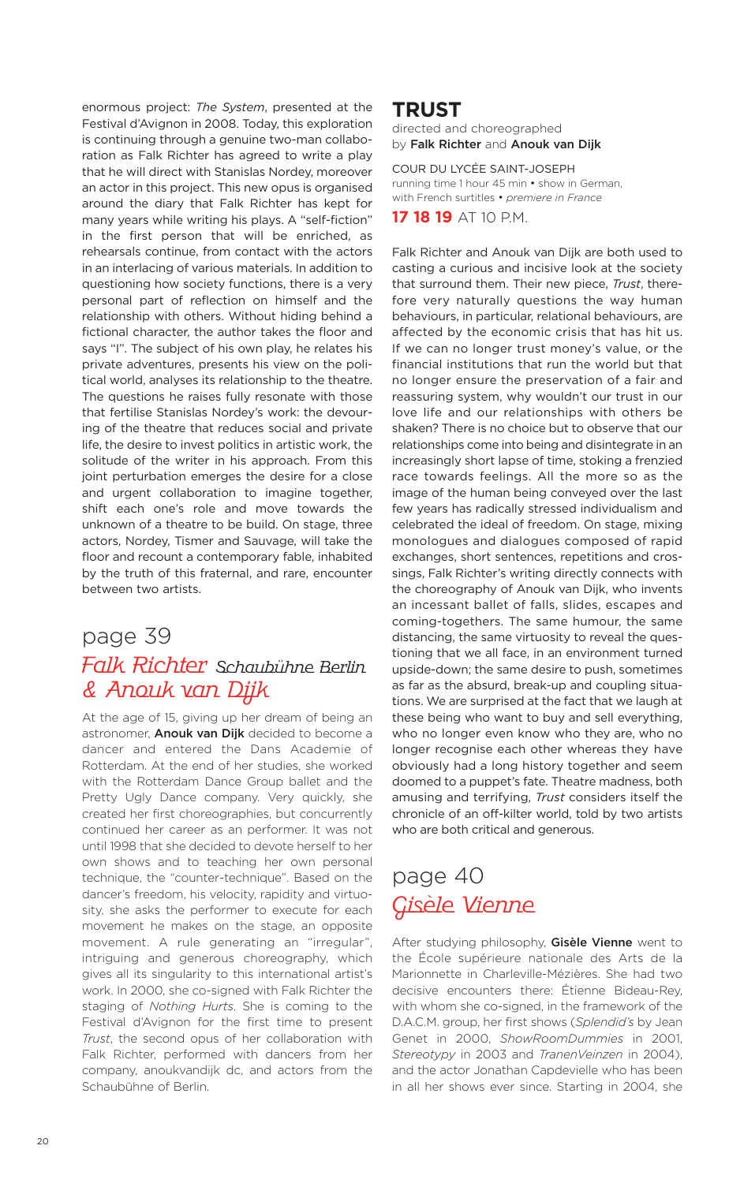enormous project: *The System*, presented at the Festival d'Avignon in 2008. Today, this exploration is continuing through a genuine two-man collaboration as Falk Richter has agreed to write a play that he will direct with Stanislas Nordey, moreover an actor in this project. This new opus is organised around the diary that Falk Richter has kept for many years while writing his plays. A "self-fiction" in the first person that will be enriched, as rehearsals continue, from contact with the actors in an interlacing of various materials. In addition to questioning how society functions, there is a very personal part of reflection on himself and the relationship with others. Without hiding behind a fictional character, the author takes the floor and says "I". The subject of his own play, he relates his private adventures, presents his view on the political world, analyses its relationship to the theatre. The questions he raises fully resonate with those that fertilise Stanislas Nordey's work: the devouring of the theatre that reduces social and private life, the desire to invest politics in artistic work, the solitude of the writer in his approach. From this joint perturbation emerges the desire for a close and urgent collaboration to imagine together, shift each one's role and move towards the unknown of a theatre to be build. On stage, three actors, Nordey, Tismer and Sauvage, will take the floor and recount a contemporary fable, inhabited by the truth of this fraternal, and rare, encounter between two artists.

# page 39 Falk Richter Schaubühne Berlin & Anouk van Dijk

At the age of 15, giving up her dream of being an astronomer, **Anouk van Dijk** decided to become a dancer and entered the Dans Academie of Rotterdam. At the end of her studies, she worked with the Rotterdam Dance Group ballet and the Pretty Ugly Dance company. Very quickly, she created her first choreographies, but concurrently continued her career as an performer. It was not until 1998 that she decided to devote herself to her own shows and to teaching her own personal technique, the "counter-technique". Based on the dancer's freedom, his velocity, rapidity and virtuosity, she asks the performer to execute for each movement he makes on the stage, an opposite movement. A rule generating an "irregular", intriguing and generous choreography, which gives all its singularity to this international artist's work. In 2000, she co-signed with Falk Richter the staging of *Nothing Hurts*. She is coming to the Festival d'Avignon for the first time to present *Trust*, the second opus of her collaboration with Falk Richter, performed with dancers from her company, anoukvandijk dc, and actors from the Schaubühne of Berlin.

### **TRUST**

directed and choreographed by **Falk Richter** and **Anouk van Dijk**

COUR DU LYCÉE SAINT-JOSEPH running time 1 hour 45 min • show in German, with French surtitles • *premiere in France*

**17 18 19** AT 10 P.M.

Falk Richter and Anouk van Dijk are both used to casting a curious and incisive look at the society that surround them. Their new piece, *Trust*, therefore very naturally questions the way human behaviours, in particular, relational behaviours, are affected by the economic crisis that has hit us. If we can no longer trust money's value, or the financial institutions that run the world but that no longer ensure the preservation of a fair and reassuring system, why wouldn't our trust in our love life and our relationships with others be shaken? There is no choice but to observe that our relationships come into being and disintegrate in an increasingly short lapse of time, stoking a frenzied race towards feelings. All the more so as the image of the human being conveyed over the last few years has radically stressed individualism and celebrated the ideal of freedom. On stage, mixing monologues and dialogues composed of rapid exchanges, short sentences, repetitions and crossings, Falk Richter's writing directly connects with the choreography of Anouk van Dijk, who invents an incessant ballet of falls, slides, escapes and coming-togethers. The same humour, the same distancing, the same virtuosity to reveal the questioning that we all face, in an environment turned upside-down; the same desire to push, sometimes as far as the absurd, break-up and coupling situations. We are surprised at the fact that we laugh at these being who want to buy and sell everything, who no longer even know who they are, who no longer recognise each other whereas they have obviously had a long history together and seem doomed to a puppet's fate. Theatre madness, both amusing and terrifying, *Trust* considers itself the chronicle of an off-kilter world, told by two artists who are both critical and generous.

# page 40 Gisèle Vienne

After studying philosophy, **Gisèle Vienne** went to the École supérieure nationale des Arts de la Marionnette in Charleville-Mézières. She had two decisive encounters there: Étienne Bideau-Rey, with whom she co-signed, in the framework of the D.A.C.M. group, her first shows (*Splendid's* by Jean Genet in 2000, *ShowRoomDummies* in 2001, *Stereotypy* in 2003 and *TranenVeinzen* in 2004), and the actor Jonathan Capdevielle who has been in all her shows ever since. Starting in 2004, she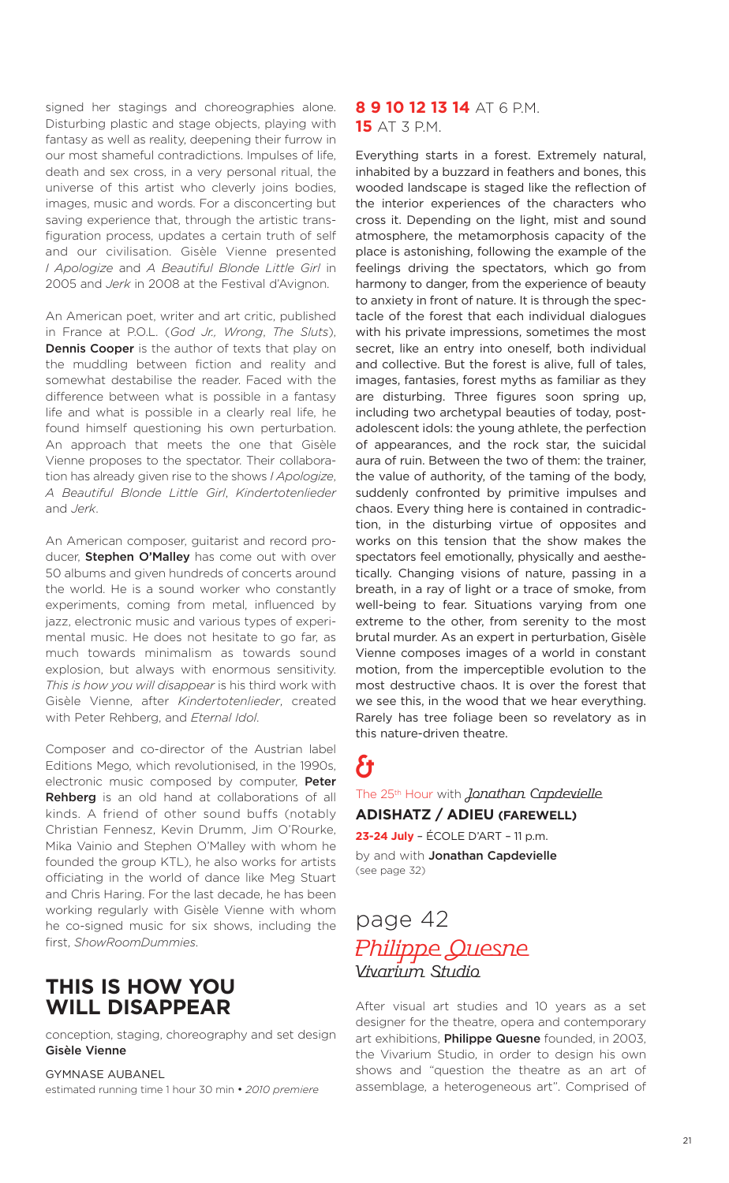signed her stagings and choreographies alone. Disturbing plastic and stage objects, playing with fantasy as well as reality, deepening their furrow in our most shameful contradictions. Impulses of life, death and sex cross, in a very personal ritual, the universe of this artist who cleverly joins bodies, images, music and words. For a disconcerting but saving experience that, through the artistic transfiguration process, updates a certain truth of self and our civilisation. Gisèle Vienne presented *I Apologize* and *A Beautiful Blonde Little Girl* in 2005 and *Jerk* in 2008 at the Festival d'Avignon.

An American poet, writer and art critic, published in France at P.O.L. (*God Jr., Wrong*, *The Sluts*), **Dennis Cooper** is the author of texts that play on the muddling between fiction and reality and somewhat destabilise the reader. Faced with the difference between what is possible in a fantasy life and what is possible in a clearly real life, he found himself questioning his own perturbation. An approach that meets the one that Gisèle Vienne proposes to the spectator. Their collaboration has already given rise to the shows *I Apologize*, *A Beautiful Blonde Little Girl*, *Kindertotenlieder* and *Jerk*.

An American composer, guitarist and record producer, **Stephen O'Malley** has come out with over 50 albums and given hundreds of concerts around the world. He is a sound worker who constantly experiments, coming from metal, influenced by jazz, electronic music and various types of experimental music. He does not hesitate to go far, as much towards minimalism as towards sound explosion, but always with enormous sensitivity. *This is how you will disappear* is his third work with Gisèle Vienne, after *Kindertotenlieder*, created with Peter Rehberg, and *Eternal Idol*.

Composer and co-director of the Austrian label Editions Mego, which revolutionised, in the 1990s, electronic music composed by computer, **Peter Rehberg** is an old hand at collaborations of all kinds. A friend of other sound buffs (notably Christian Fennesz, Kevin Drumm, Jim O'Rourke, Mika Vainio and Stephen O'Malley with whom he founded the group KTL), he also works for artists officiating in the world of dance like Meg Stuart and Chris Haring. For the last decade, he has been working regularly with Gisèle Vienne with whom he co-signed music for six shows, including the first, *ShowRoomDummies*.

### **THIS IS HOW YOU WILL DISAPPEAR**

conception, staging, choreography and set design **Gisèle Vienne**

### GYMNASE AUBANEL

estimated running time 1 hour 30 min • *2010 premiere*

### **8 9 10 12 13 14** AT 6 P.M. **15** AT 3 P.M.

Everything starts in a forest. Extremely natural, inhabited by a buzzard in feathers and bones, this wooded landscape is staged like the reflection of the interior experiences of the characters who cross it. Depending on the light, mist and sound atmosphere, the metamorphosis capacity of the place is astonishing, following the example of the feelings driving the spectators, which go from harmony to danger, from the experience of beauty to anxiety in front of nature. It is through the spectacle of the forest that each individual dialogues with his private impressions, sometimes the most secret, like an entry into oneself, both individual and collective. But the forest is alive, full of tales, images, fantasies, forest myths as familiar as they are disturbing. Three figures soon spring up, including two archetypal beauties of today, postadolescent idols: the young athlete, the perfection of appearances, and the rock star, the suicidal aura of ruin. Between the two of them: the trainer, the value of authority, of the taming of the body, suddenly confronted by primitive impulses and chaos. Every thing here is contained in contradiction, in the disturbing virtue of opposites and works on this tension that the show makes the spectators feel emotionally, physically and aesthetically. Changing visions of nature, passing in a breath, in a ray of light or a trace of smoke, from well-being to fear. Situations varying from one extreme to the other, from serenity to the most brutal murder. As an expert in perturbation, Gisèle Vienne composes images of a world in constant motion, from the imperceptible evolution to the most destructive chaos. It is over the forest that we see this, in the wood that we hear everything. Rarely has tree foliage been so revelatory as in this nature-driven theatre.

# & The 25<sup>th</sup> Hour with *Jonathan Capdevielle*

**ADISHATZ / ADIEU (FAREWELL)**

**23-24 July** – ÉCOLE D'ART – 11 p.m.

by and with **Jonathan Capdevielle** (see page 32)

## page 42 Philippe Quesne Vivarium Studio

After visual art studies and 10 years as a set designer for the theatre, opera and contemporary art exhibitions, **Philippe Quesne** founded, in 2003, the Vivarium Studio, in order to design his own shows and "question the theatre as an art of assemblage, a heterogeneous art". Comprised of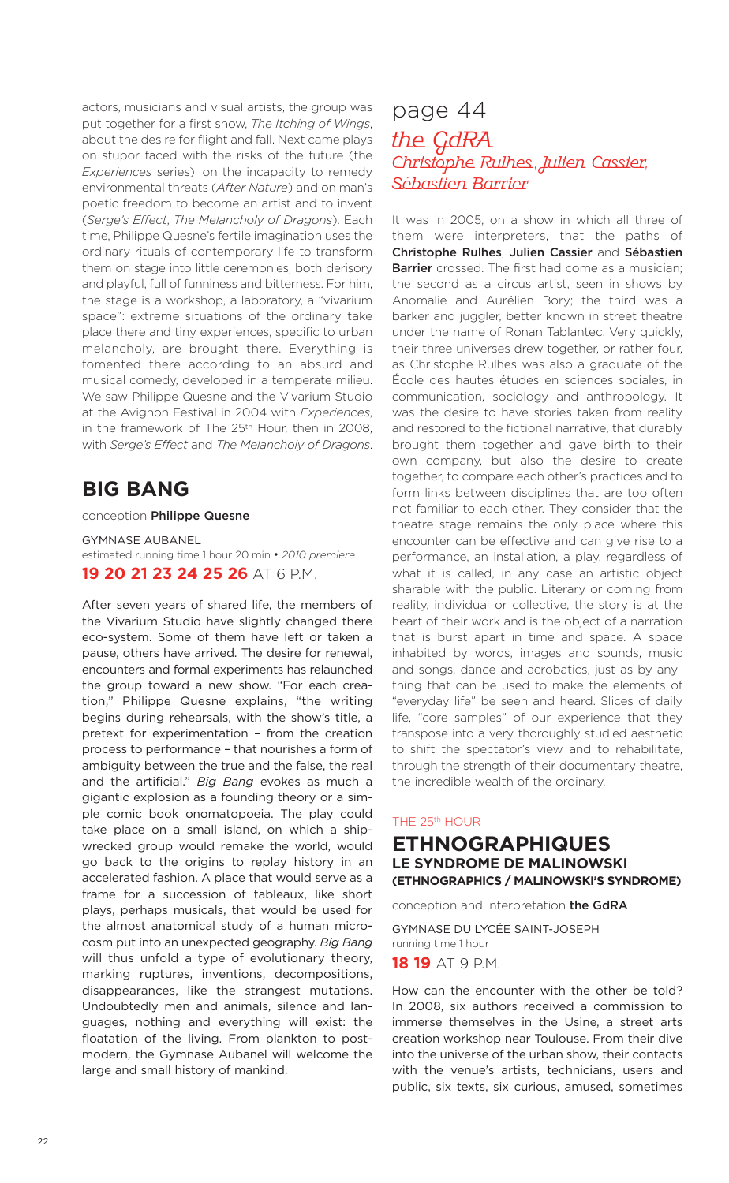actors, musicians and visual artists, the group was put together for a first show, *The Itching of Wings*, about the desire for flight and fall. Next came plays on stupor faced with the risks of the future (the *Experiences* series), on the incapacity to remedy environmental threats (*After Nature*) and on man's poetic freedom to become an artist and to invent (*Serge's Effect*, *The Melancholy of Dragons*). Each time, Philippe Quesne's fertile imagination uses the ordinary rituals of contemporary life to transform them on stage into little ceremonies, both derisory and playful, full of funniness and bitterness. For him, the stage is a workshop, a laboratory, a "vivarium space": extreme situations of the ordinary take place there and tiny experiences, specific to urban melancholy, are brought there. Everything is fomented there according to an absurd and musical comedy, developed in a temperate milieu. We saw Philippe Quesne and the Vivarium Studio at the Avignon Festival in 2004 with *Experiences*, in the framework of The 25<sup>th</sup> Hour, then in 2008, with *Serge's Effect* and *The Melancholy of Dragons*.

## **BIG BANG**

### conception **Philippe Quesne**

GYMNASE AUBANEL estimated running time 1 hour 20 min • *2010 premiere* **19 20 21 23 24 25 26** AT 6 P.M.

After seven years of shared life, the members of the Vivarium Studio have slightly changed there eco-system. Some of them have left or taken a pause, others have arrived. The desire for renewal, encounters and formal experiments has relaunched the group toward a new show. "For each creation," Philippe Quesne explains, "the writing begins during rehearsals, with the show's title, a pretext for experimentation – from the creation process to performance – that nourishes a form of ambiguity between the true and the false, the real and the artificial." *Big Bang* evokes as much a gigantic explosion as a founding theory or a simple comic book onomatopoeia. The play could take place on a small island, on which a shipwrecked group would remake the world, would go back to the origins to replay history in an accelerated fashion. A place that would serve as a frame for a succession of tableaux, like short plays, perhaps musicals, that would be used for the almost anatomical study of a human microcosm put into an unexpected geography. *Big Bang* will thus unfold a type of evolutionary theory, marking ruptures, inventions, decompositions, disappearances, like the strangest mutations. Undoubtedly men and animals, silence and languages, nothing and everything will exist: the floatation of the living. From plankton to postmodern, the Gymnase Aubanel will welcome the large and small history of mankind.

### page 44

### the GdRA Christophe Rulhes, Julien Cassier, Sébastien Barrier

It was in 2005, on a show in which all three of them were interpreters, that the paths of **Christophe Rulhes**, **Julien Cassier** and **Sébastien Barrier** crossed. The first had come as a musician; the second as a circus artist, seen in shows by Anomalie and Aurélien Bory; the third was a barker and juggler, better known in street theatre under the name of Ronan Tablantec. Very quickly, their three universes drew together, or rather four, as Christophe Rulhes was also a graduate of the École des hautes études en sciences sociales, in communication, sociology and anthropology. It was the desire to have stories taken from reality and restored to the fictional narrative, that durably brought them together and gave birth to their own company, but also the desire to create together, to compare each other's practices and to form links between disciplines that are too often not familiar to each other. They consider that the theatre stage remains the only place where this encounter can be effective and can give rise to a performance, an installation, a play, regardless of what it is called, in any case an artistic object sharable with the public. Literary or coming from reality, individual or collective, the story is at the heart of their work and is the object of a narration that is burst apart in time and space. A space inhabited by words, images and sounds, music and songs, dance and acrobatics, just as by anything that can be used to make the elements of "everyday life" be seen and heard. Slices of daily life, "core samples" of our experience that they transpose into a very thoroughly studied aesthetic to shift the spectator's view and to rehabilitate, through the strength of their documentary theatre, the incredible wealth of the ordinary.

### THE 25th HOUR

### **ETHNOGRAPHIQUES LE SYNDROME DE MALINOWSKI (ETHNOGRAPHICS / MALINOWSKI'S SYNDROME)**

conception and interpretation **the GdRA**

GYMNASE DU LYCÉE SAINT-JOSEPH running time 1 hour

**18 19** AT 9 P.M.

How can the encounter with the other be told? In 2008, six authors received a commission to immerse themselves in the Usine, a street arts creation workshop near Toulouse. From their dive into the universe of the urban show, their contacts with the venue's artists, technicians, users and public, six texts, six curious, amused, sometimes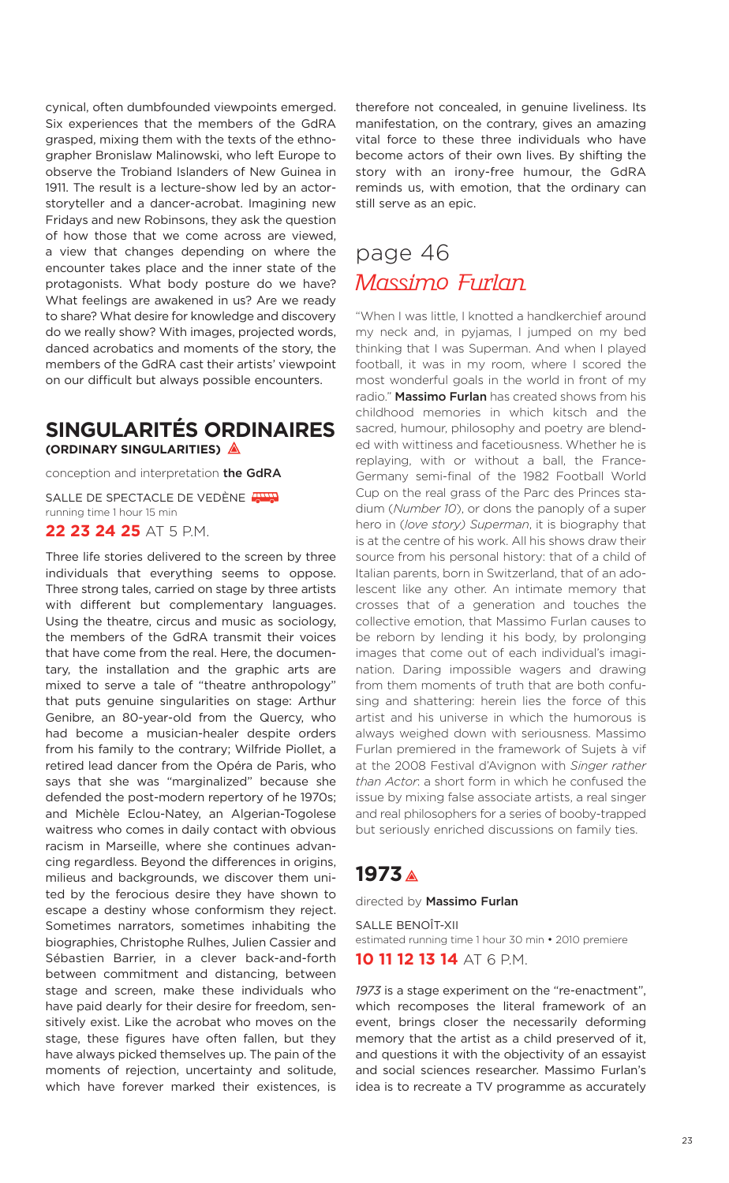cynical, often dumbfounded viewpoints emerged. Six experiences that the members of the GdRA grasped, mixing them with the texts of the ethnographer Bronislaw Malinowski, who left Europe to observe the Trobiand Islanders of New Guinea in 1911. The result is a lecture-show led by an actorstoryteller and a dancer-acrobat. Imagining new Fridays and new Robinsons, they ask the question of how those that we come across are viewed, a view that changes depending on where the encounter takes place and the inner state of the protagonists. What body posture do we have? What feelings are awakened in us? Are we ready to share? What desire for knowledge and discovery do we really show? With images, projected words, danced acrobatics and moments of the story, the members of the GdRA cast their artists' viewpoint on our difficult but always possible encounters.

### **SINGULARITÉS ORDINAIRES (ORDINARY SINGULARITIES)**

conception and interpretation **the GdRA**

SALLE DE SPECTACLE DE VEDÈNE THE running time 1 hour 15 min **22 23 24 25** AT 5 P.M.

Three life stories delivered to the screen by three individuals that everything seems to oppose. Three strong tales, carried on stage by three artists with different but complementary languages. Using the theatre, circus and music as sociology, the members of the GdRA transmit their voices that have come from the real. Here, the documentary, the installation and the graphic arts are mixed to serve a tale of "theatre anthropology" that puts genuine singularities on stage: Arthur Genibre, an 80-year-old from the Quercy, who had become a musician-healer despite orders from his family to the contrary; Wilfride Piollet, a retired lead dancer from the Opéra de Paris, who says that she was "marginalized" because she defended the post-modern repertory of he 1970s; and Michèle Eclou-Natey, an Algerian-Togolese waitress who comes in daily contact with obvious racism in Marseille, where she continues advancing regardless. Beyond the differences in origins, milieus and backgrounds, we discover them united by the ferocious desire they have shown to escape a destiny whose conformism they reject. Sometimes narrators, sometimes inhabiting the biographies, Christophe Rulhes, Julien Cassier and Sébastien Barrier, in a clever back-and-forth between commitment and distancing, between stage and screen, make these individuals who have paid dearly for their desire for freedom, sensitively exist. Like the acrobat who moves on the stage, these figures have often fallen, but they have always picked themselves up. The pain of the moments of rejection, uncertainty and solitude, which have forever marked their existences, is

therefore not concealed, in genuine liveliness. Its manifestation, on the contrary, gives an amazing vital force to these three individuals who have become actors of their own lives. By shifting the story with an irony-free humour, the GdRA reminds us, with emotion, that the ordinary can still serve as an epic.

# page 46 Massimo Furlan

"When I was little, I knotted a handkerchief around my neck and, in pyjamas, I jumped on my bed thinking that I was Superman. And when I played football, it was in my room, where I scored the most wonderful goals in the world in front of my radio." **Massimo Furlan** has created shows from his childhood memories in which kitsch and the sacred, humour, philosophy and poetry are blended with wittiness and facetiousness. Whether he is replaying, with or without a ball, the France-Germany semi-final of the 1982 Football World Cup on the real grass of the Parc des Princes stadium (*Number 10*), or dons the panoply of a super hero in (*love story) Superman*, it is biography that is at the centre of his work. All his shows draw their source from his personal history: that of a child of Italian parents, born in Switzerland, that of an adolescent like any other. An intimate memory that crosses that of a generation and touches the collective emotion, that Massimo Furlan causes to be reborn by lending it his body, by prolonging images that come out of each individual's imagination. Daring impossible wagers and drawing from them moments of truth that are both confusing and shattering: herein lies the force of this artist and his universe in which the humorous is always weighed down with seriousness. Massimo Furlan premiered in the framework of Sujets à vif at the 2008 Festival d'Avignon with *Singer rather than Actor*: a short form in which he confused the issue by mixing false associate artists, a real singer and real philosophers for a series of booby-trapped but seriously enriched discussions on family ties.

### **1973**

directed by **Massimo Furlan**

SALLE BENOÎT-XII estimated running time 1 hour 30 min • 2010 premiere

**10 11 12 13 14** AT 6 P.M.

*1973* is a stage experiment on the "re-enactment", which recomposes the literal framework of an event, brings closer the necessarily deforming memory that the artist as a child preserved of it, and questions it with the objectivity of an essayist and social sciences researcher. Massimo Furlan's idea is to recreate a TV programme as accurately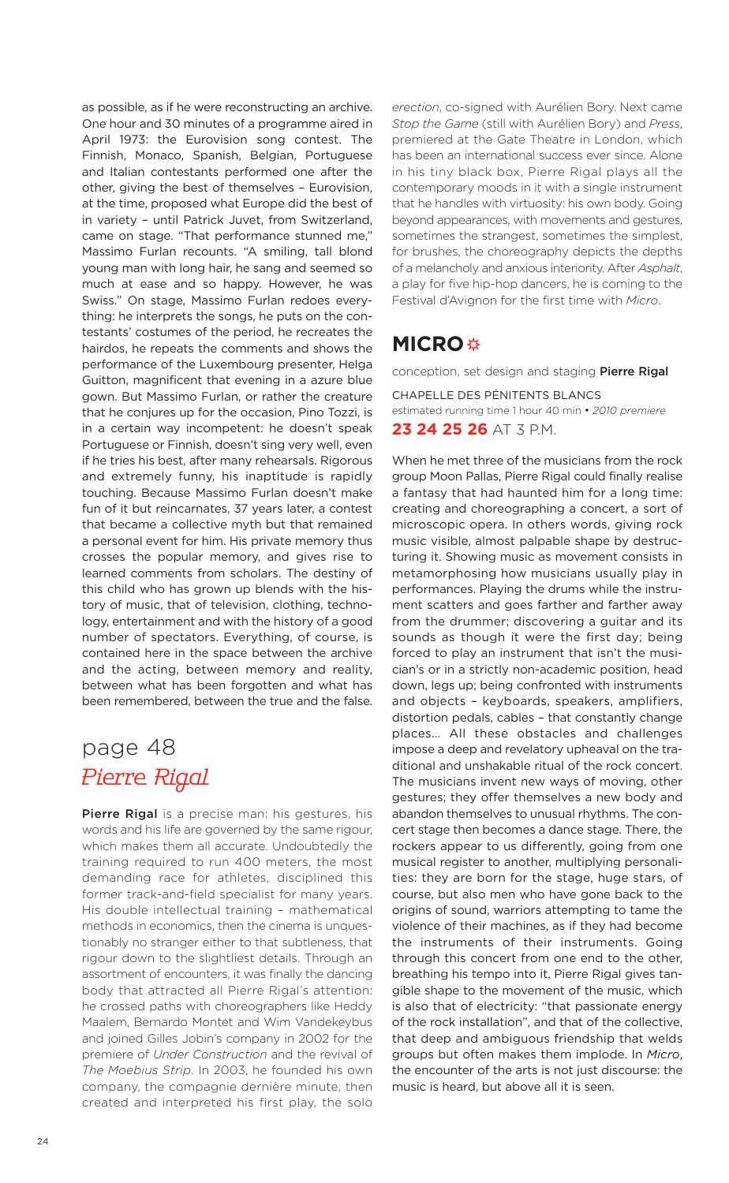as possible, as if he were reconstructing an archive. One hour and 30 minutes of a programme aired in April 1973: the Eurovision song contest. The Finnish, Monaco, Spanish, Belgian, Portuguese and Italian contestants performed one after the other, giving the best of themselves – Eurovision, at the time, proposed what Europe did the best of in variety – until Patrick Juvet, from Switzerland, came on stage. "That performance stunned me," Massimo Furlan recounts. "A smiling, tall blond young man with long hair, he sang and seemed so much at ease and so happy. However, he was Swiss." On stage, Massimo Furlan redoes everything: he interprets the songs, he puts on the contestants' costumes of the period, he recreates the hairdos, he repeats the comments and shows the performance of the Luxembourg presenter, Helga Guitton, magnificent that evening in a azure blue gown. But Massimo Furlan, or rather the creature that he conjures up for the occasion, Pino Tozzi, is in a certain way incompetent: he doesn't speak Portuguese or Finnish, doesn't sing very well, even if he tries his best, after many rehearsals. Rigorous and extremely funny, his inaptitude is rapidly touching. Because Massimo Furlan doesn't make fun of it but reincarnates, 37 years later, a contest that became a collective myth but that remained a personal event for him. His private memory thus crosses the popular memory, and gives rise to learned comments from scholars. The destiny of this child who has grown up blends with the history of music, that of television, clothing, technology, entertainment and with the history of a good number of spectators. Everything, of course, is contained here in the space between the archive and the acting, between memory and reality, between what has been forgotten and what has been remembered, between the true and the false.

# page 48 Pierre Rigal

**Pierre Rigal** is a precise man: his gestures, his words and his life are governed by the same rigour, which makes them all accurate. Undoubtedly the training required to run 400 meters, the most demanding race for athletes, disciplined this former track-and-field specialist for many years. His double intellectual training – mathematical methods in economics, then the cinema is unquestionably no stranger either to that subtleness, that rigour down to the slightliest details. Through an assortment of encounters, it was finally the dancing body that attracted all Pierre Rigal's attention: he crossed paths with choreographers like Heddy Maalem, Bernardo Montet and Wim Vandekeybus and joined Gilles Jobin's company in 2002 for the premiere of *Under Construction* and the revival of *The Moebius Strip*. In 2003, he founded his own company, the compagnie dernière minute, then created and interpreted his first play, the solo

*erection*, co-signed with Aurélien Bory. Next came *Stop the Game* (still with Aurélien Bory) and *Press*, premiered at the Gate Theatre in London, which has been an international success ever since. Alone in his tiny black box, Pierre Rigal plays all the contemporary moods in it with a single instrument that he handles with virtuosity: his own body. Going beyond appearances, with movements and gestures, sometimes the strangest, sometimes the simplest, for brushes, the choreography depicts the depths of a melancholy and anxious interiority. After *Asphalt*, a play for five hip-hop dancers, he is coming to the Festival d'Avignon for the first time with *Micro*.

### **MICRO**

conception, set design and staging **Pierre Rigal**

CHAPELLE DES PÉNITENTS BLANCS estimated running time 1 hour 40 min • *2010 premiere* **23 24 25 26** AT 3 P.M.

When he met three of the musicians from the rock group Moon Pallas, Pierre Rigal could finally realise a fantasy that had haunted him for a long time: creating and choreographing a concert, a sort of microscopic opera. In others words, giving rock music visible, almost palpable shape by destructuring it. Showing music as movement consists in metamorphosing how musicians usually play in performances. Playing the drums while the instrument scatters and goes farther and farther away from the drummer; discovering a guitar and its sounds as though it were the first day; being forced to play an instrument that isn't the musician's or in a strictly non-academic position, head down, legs up; being confronted with instruments and objects – keyboards, speakers, amplifiers, distortion pedals, cables – that constantly change places… All these obstacles and challenges impose a deep and revelatory upheaval on the traditional and unshakable ritual of the rock concert. The musicians invent new ways of moving, other gestures; they offer themselves a new body and abandon themselves to unusual rhythms. The concert stage then becomes a dance stage. There, the rockers appear to us differently, going from one musical register to another, multiplying personalities: they are born for the stage, huge stars, of course, but also men who have gone back to the origins of sound, warriors attempting to tame the violence of their machines, as if they had become the instruments of their instruments. Going through this concert from one end to the other, breathing his tempo into it, Pierre Rigal gives tangible shape to the movement of the music, which is also that of electricity: "that passionate energy of the rock installation", and that of the collective, that deep and ambiguous friendship that welds groups but often makes them implode. In *Micro*, the encounter of the arts is not just discourse: the music is heard, but above all it is seen.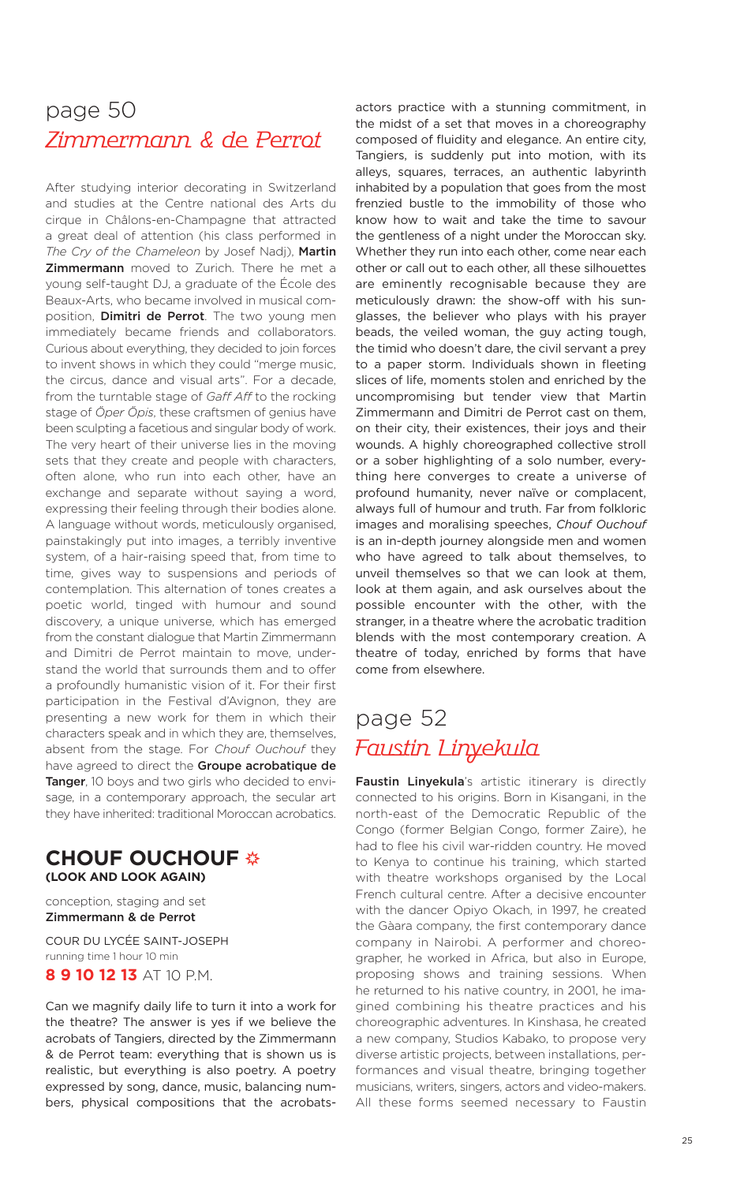# page 50 Zimmermann & de Perrot

After studying interior decorating in Switzerland and studies at the Centre national des Arts du cirque in Châlons-en-Champagne that attracted a great deal of attention (his class performed in *The Cry of the Chameleon* by Josef Nadj), **Martin Zimmermann** moved to Zurich. There he met a young self-taught DJ, a graduate of the École des Beaux-Arts, who became involved in musical composition, **Dimitri de Perrot**. The two young men immediately became friends and collaborators. Curious about everything, they decided to join forces to invent shows in which they could "merge music, the circus, dance and visual arts". For a decade, from the turntable stage of *Gaff Aff* to the rocking stage of *Öper Öpis*, these craftsmen of genius have been sculpting a facetious and singular body of work. The very heart of their universe lies in the moving sets that they create and people with characters, often alone, who run into each other, have an exchange and separate without saying a word, expressing their feeling through their bodies alone. A language without words, meticulously organised, painstakingly put into images, a terribly inventive system, of a hair-raising speed that, from time to time, gives way to suspensions and periods of contemplation. This alternation of tones creates a poetic world, tinged with humour and sound discovery, a unique universe, which has emerged from the constant dialogue that Martin Zimmermann and Dimitri de Perrot maintain to move, understand the world that surrounds them and to offer a profoundly humanistic vision of it. For their first participation in the Festival d'Avignon, they are presenting a new work for them in which their characters speak and in which they are, themselves, absent from the stage. For *Chouf Ouchouf* they have agreed to direct the **Groupe acrobatique de Tanger**, 10 boys and two girls who decided to envisage, in a contemporary approach, the secular art they have inherited: traditional Moroccan acrobatics.

### **CHOUF OUCHOUF (LOOK AND LOOK AGAIN)**

conception, staging and set **Zimmermann & de Perrot**

COUR DU LYCÉE SAINT-JOSEPH running time 1 hour 10 min **8 9 10 12 13** AT 10 P.M.

Can we magnify daily life to turn it into a work for the theatre? The answer is yes if we believe the acrobats of Tangiers, directed by the Zimmermann & de Perrot team: everything that is shown us is realistic, but everything is also poetry. A poetry expressed by song, dance, music, balancing numbers, physical compositions that the acrobatsactors practice with a stunning commitment, in the midst of a set that moves in a choreography composed of fluidity and elegance. An entire city, Tangiers, is suddenly put into motion, with its alleys, squares, terraces, an authentic labyrinth inhabited by a population that goes from the most frenzied bustle to the immobility of those who know how to wait and take the time to savour the gentleness of a night under the Moroccan sky. Whether they run into each other, come near each other or call out to each other, all these silhouettes are eminently recognisable because they are meticulously drawn: the show-off with his sunglasses, the believer who plays with his prayer beads, the veiled woman, the guy acting tough, the timid who doesn't dare, the civil servant a prey to a paper storm. Individuals shown in fleeting slices of life, moments stolen and enriched by the uncompromising but tender view that Martin Zimmermann and Dimitri de Perrot cast on them, on their city, their existences, their joys and their wounds. A highly choreographed collective stroll or a sober highlighting of a solo number, everything here converges to create a universe of profound humanity, never naïve or complacent, always full of humour and truth. Far from folkloric images and moralising speeches, *Chouf Ouchouf* is an in-depth journey alongside men and women who have agreed to talk about themselves, to unveil themselves so that we can look at them, look at them again, and ask ourselves about the possible encounter with the other, with the stranger, in a theatre where the acrobatic tradition blends with the most contemporary creation. A theatre of today, enriched by forms that have come from elsewhere.

# page 52 Faustin Linyekula

**Faustin Linyekula**'s artistic itinerary is directly connected to his origins. Born in Kisangani, in the north-east of the Democratic Republic of the Congo (former Belgian Congo, former Zaire), he had to flee his civil war-ridden country. He moved to Kenya to continue his training, which started with theatre workshops organised by the Local French cultural centre. After a decisive encounter with the dancer Opiyo Okach, in 1997, he created the Gàara company, the first contemporary dance company in Nairobi. A performer and choreographer, he worked in Africa, but also in Europe, proposing shows and training sessions. When he returned to his native country, in 2001, he imagined combining his theatre practices and his choreographic adventures. In Kinshasa, he created a new company, Studios Kabako, to propose very diverse artistic projects, between installations, performances and visual theatre, bringing together musicians, writers, singers, actors and video-makers. All these forms seemed necessary to Faustin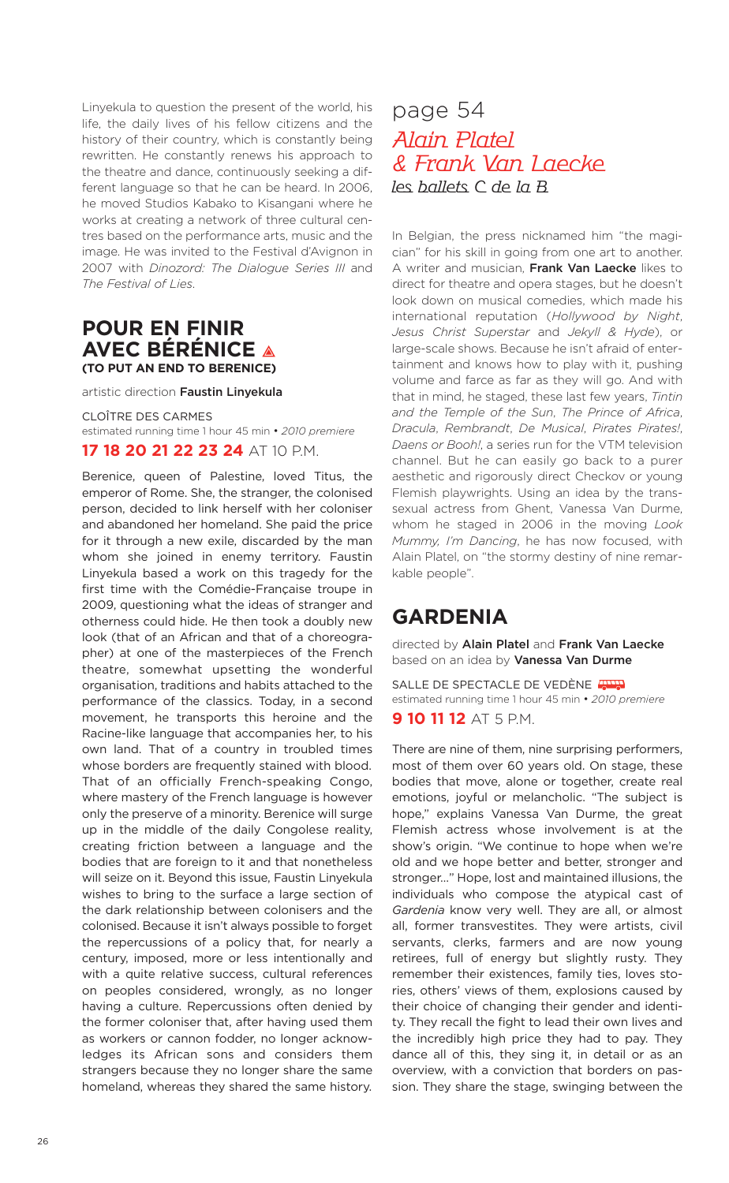Linyekula to question the present of the world, his life, the daily lives of his fellow citizens and the history of their country, which is constantly being rewritten. He constantly renews his approach to the theatre and dance, continuously seeking a different language so that he can be heard. In 2006, he moved Studios Kabako to Kisangani where he works at creating a network of three cultural centres based on the performance arts, music and the image. He was invited to the Festival d'Avignon in 2007 with *Dinozord: The Dialogue Series III* and *The Festival of Lies*.

### **POUR EN FINIR AVEC BÉRÉNICE (TO PUT AN END TO BERENICE)**

artistic direction **Faustin Linyekula**

CLOÎTRE DES CARMES estimated running time 1 hour 45 min • *2010 premiere* **17 18 20 21 22 23 24** AT 10 P.M.

Berenice, queen of Palestine, loved Titus, the emperor of Rome. She, the stranger, the colonised person, decided to link herself with her coloniser and abandoned her homeland. She paid the price for it through a new exile, discarded by the man whom she joined in enemy territory. Faustin Linyekula based a work on this tragedy for the first time with the Comédie-Française troupe in 2009, questioning what the ideas of stranger and otherness could hide. He then took a doubly new look (that of an African and that of a choreographer) at one of the masterpieces of the French theatre, somewhat upsetting the wonderful organisation, traditions and habits attached to the performance of the classics. Today, in a second movement, he transports this heroine and the Racine-like language that accompanies her, to his own land. That of a country in troubled times whose borders are frequently stained with blood. That of an officially French-speaking Congo, where mastery of the French language is however only the preserve of a minority. Berenice will surge up in the middle of the daily Congolese reality, creating friction between a language and the bodies that are foreign to it and that nonetheless will seize on it. Beyond this issue, Faustin Linyekula wishes to bring to the surface a large section of the dark relationship between colonisers and the colonised. Because it isn't always possible to forget the repercussions of a policy that, for nearly a century, imposed, more or less intentionally and with a quite relative success, cultural references on peoples considered, wrongly, as no longer having a culture. Repercussions often denied by the former coloniser that, after having used them as workers or cannon fodder, no longer acknowledges its African sons and considers them strangers because they no longer share the same homeland, whereas they shared the same history.

## page 54 Alain Platel & Frank Van Laecke les ballets C de la B

In Belgian, the press nicknamed him "the magician" for his skill in going from one art to another. A writer and musician, **Frank Van Laecke** likes to direct for theatre and opera stages, but he doesn't look down on musical comedies, which made his international reputation (*Hollywood by Night*, *Jesus Christ Superstar* and *Jekyll & Hyde*), or large-scale shows. Because he isn't afraid of entertainment and knows how to play with it, pushing volume and farce as far as they will go. And with that in mind, he staged, these last few years, *Tintin and the Temple of the Sun*, *The Prince of Africa*, *Dracula*, *Rembrandt*, *De Musical*, *Pirates Pirates!*, *Daens or Booh!*, a series run for the VTM television channel. But he can easily go back to a purer aesthetic and rigorously direct Checkov or young Flemish playwrights. Using an idea by the transsexual actress from Ghent, Vanessa Van Durme, whom he staged in 2006 in the moving *Look Mummy, I'm Dancing*, he has now focused, with Alain Platel, on "the stormy destiny of nine remarkable people".

### **GARDENIA**

directed by **Alain Platel** and **Frank Van Laecke** based on an idea by **Vanessa Van Durme**

SALLE DE SPECTACLE DE VEDÈNE estimated running time 1 hour 45 min • *2010 premiere*

**9 10 11 12** AT 5 P.M.

There are nine of them, nine surprising performers, most of them over 60 years old. On stage, these bodies that move, alone or together, create real emotions, joyful or melancholic. "The subject is hope," explains Vanessa Van Durme, the great Flemish actress whose involvement is at the show's origin. "We continue to hope when we're old and we hope better and better, stronger and stronger…" Hope, lost and maintained illusions, the individuals who compose the atypical cast of *Gardenia* know very well. They are all, or almost all, former transvestites. They were artists, civil servants, clerks, farmers and are now young retirees, full of energy but slightly rusty. They remember their existences, family ties, loves stories, others' views of them, explosions caused by their choice of changing their gender and identity. They recall the fight to lead their own lives and the incredibly high price they had to pay. They dance all of this, they sing it, in detail or as an overview, with a conviction that borders on passion. They share the stage, swinging between the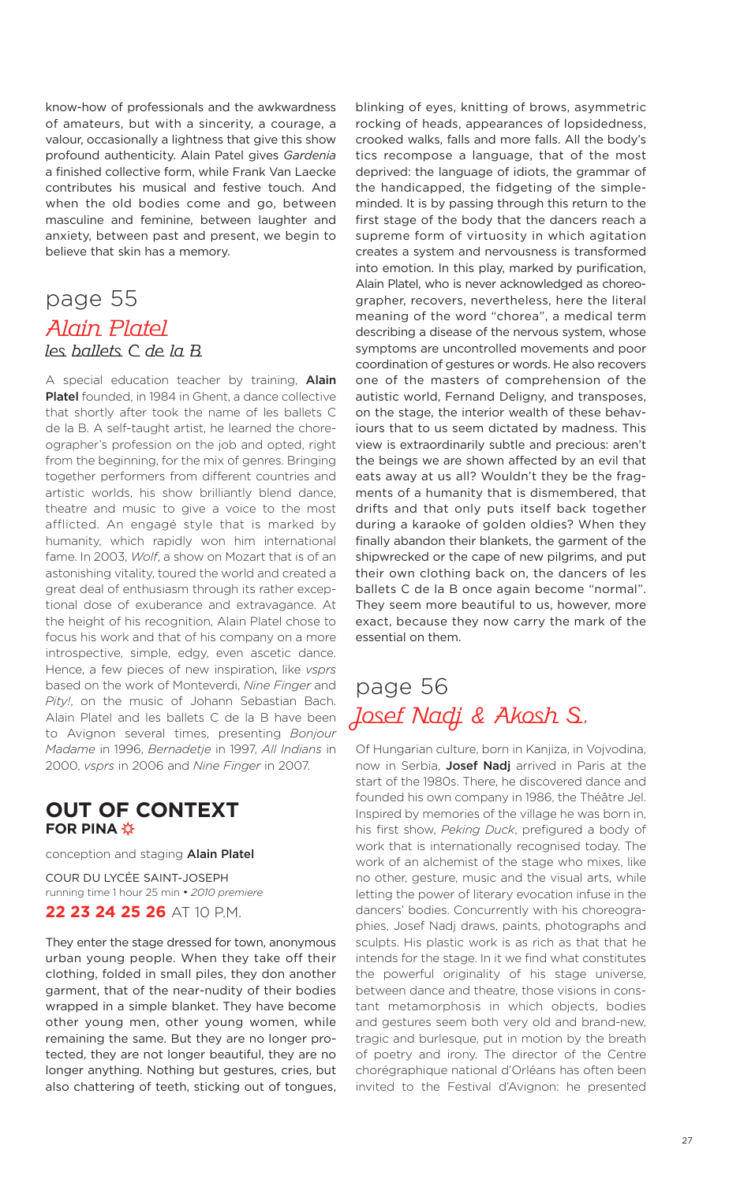know-how of professionals and the awkwardness of amateurs, but with a sincerity, a courage, a valour, occasionally a lightness that give this show profound authenticity. Alain Patel gives *Gardenia* a finished collective form, while Frank Van Laecke contributes his musical and festive touch. And when the old bodies come and go, between masculine and feminine, between laughter and anxiety, between past and present, we begin to believe that skin has a memory.

### page 55 Alain Platel les ballets C de la B

A special education teacher by training, **Alain Platel** founded, in 1984 in Ghent, a dance collective that shortly after took the name of les ballets C de la B. A self-taught artist, he learned the choreographer's profession on the job and opted, right from the beginning, for the mix of genres. Bringing together performers from different countries and artistic worlds, his show brilliantly blend dance, theatre and music to give a voice to the most afflicted. An engagé style that is marked by humanity, which rapidly won him international fame. In 2003, *Wolf*, a show on Mozart that is of an astonishing vitality, toured the world and created a great deal of enthusiasm through its rather exceptional dose of exuberance and extravagance. At the height of his recognition, Alain Platel chose to focus his work and that of his company on a more introspective, simple, edgy, even ascetic dance. Hence, a few pieces of new inspiration, like *vsprs* based on the work of Monteverdi, *Nine Finger* and *Pity!*, on the music of Johann Sebastian Bach. Alain Platel and les ballets C de la B have been to Avignon several times, presenting *Bonjour Madame* in 1996, *Bernadetje* in 1997, *All Indians* in 2000, *vsprs* in 2006 and *Nine Finger* in 2007.

### **OUT OF CONTEXT FOR PINA**

conception and staging **Alain Platel**

COUR DU LYCÉE SAINT-JOSEPH running time 1 hour 25 min • *2010 premiere*

### **22 23 24 25 26** AT 10 P.M.

They enter the stage dressed for town, anonymous urban young people. When they take off their clothing, folded in small piles, they don another garment, that of the near-nudity of their bodies wrapped in a simple blanket. They have become other young men, other young women, while remaining the same. But they are no longer protected, they are not longer beautiful, they are no longer anything. Nothing but gestures, cries, but also chattering of teeth, sticking out of tongues,

blinking of eyes, knitting of brows, asymmetric rocking of heads, appearances of lopsidedness, crooked walks, falls and more falls. All the body's tics recompose a language, that of the most deprived: the language of idiots, the grammar of the handicapped, the fidgeting of the simpleminded. It is by passing through this return to the first stage of the body that the dancers reach a supreme form of virtuosity in which agitation creates a system and nervousness is transformed into emotion. In this play, marked by purification, Alain Platel, who is never acknowledged as choreographer, recovers, nevertheless, here the literal meaning of the word "chorea", a medical term describing a disease of the nervous system, whose symptoms are uncontrolled movements and poor coordination of gestures or words. He also recovers one of the masters of comprehension of the autistic world, Fernand Deligny, and transposes, on the stage, the interior wealth of these behaviours that to us seem dictated by madness. This view is extraordinarily subtle and precious: aren't the beings we are shown affected by an evil that eats away at us all? Wouldn't they be the fragments of a humanity that is dismembered, that drifts and that only puts itself back together during a karaoke of golden oldies? When they finally abandon their blankets, the garment of the shipwrecked or the cape of new pilgrims, and put their own clothing back on, the dancers of les ballets C de la B once again become "normal". They seem more beautiful to us, however, more exact, because they now carry the mark of the essential on them.

# page 56 Josef Nadj & Akosh S.

Of Hungarian culture, born in Kanjiza, in Vojvodina, now in Serbia, **Josef Nadj** arrived in Paris at the start of the 1980s. There, he discovered dance and founded his own company in 1986, the Théâtre Jel. Inspired by memories of the village he was born in, his first show, *Peking Duck*, prefigured a body of work that is internationally recognised today. The work of an alchemist of the stage who mixes, like no other, gesture, music and the visual arts, while letting the power of literary evocation infuse in the dancers' bodies. Concurrently with his choreographies, Josef Nadj draws, paints, photographs and sculpts. His plastic work is as rich as that that he intends for the stage. In it we find what constitutes the powerful originality of his stage universe, between dance and theatre, those visions in constant metamorphosis in which objects, bodies and gestures seem both very old and brand-new, tragic and burlesque, put in motion by the breath of poetry and irony. The director of the Centre chorégraphique national d'Orléans has often been invited to the Festival d'Avignon: he presented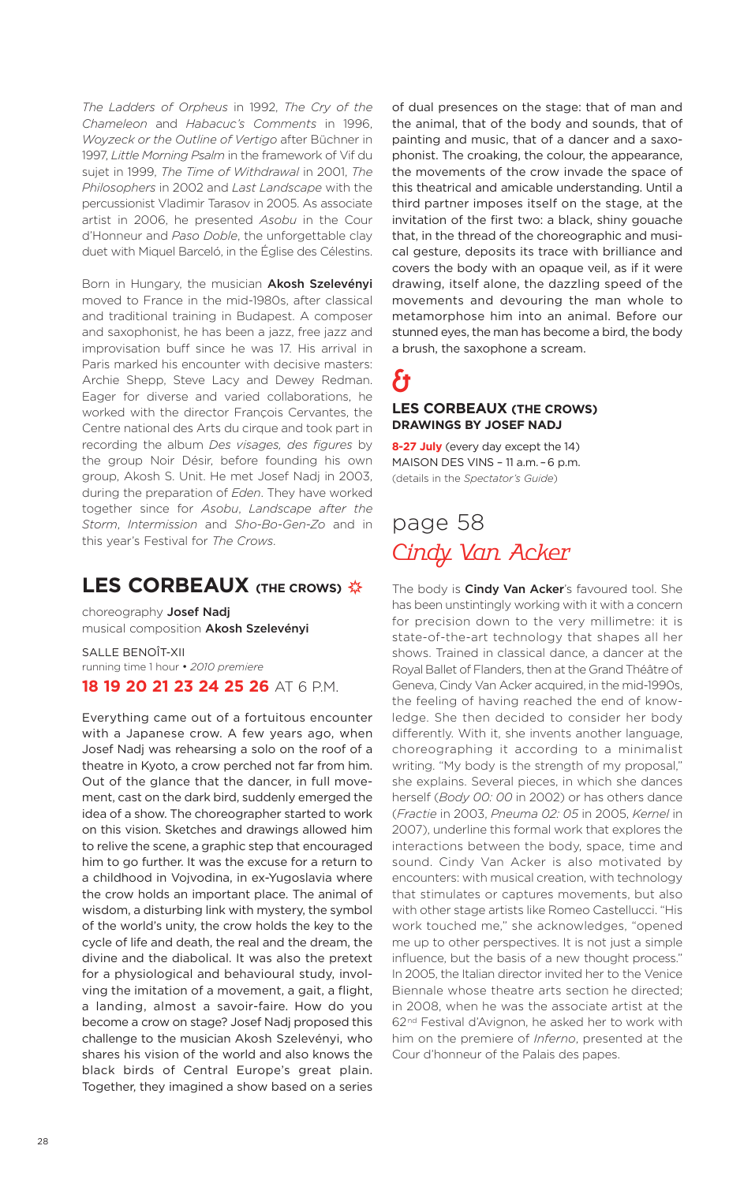*The Ladders of Orpheus* in 1992, *The Cry of the Chameleon* and *Habacuc's Comments* in 1996, *Woyzeck or the Outline of Vertigo* after Büchner in 1997, *Little Morning Psalm* in the framework of Vif du sujet in 1999, *The Time of Withdrawal* in 2001, *The Philosophers* in 2002 and *Last Landscape* with the percussionist Vladimir Tarasov in 2005. As associate artist in 2006, he presented *Asobu* in the Cour d'Honneur and *Paso Doble*, the unforgettable clay duet with Miquel Barceló, in the Église des Célestins.

Born in Hungary, the musician **Akosh Szelevényi** moved to France in the mid-1980s, after classical and traditional training in Budapest. A composer and saxophonist, he has been a jazz, free jazz and improvisation buff since he was 17. His arrival in Paris marked his encounter with decisive masters: Archie Shepp, Steve Lacy and Dewey Redman. Eager for diverse and varied collaborations, he worked with the director François Cervantes, the Centre national des Arts du cirque and took part in recording the album *Des visages, des figures* by the group Noir Désir, before founding his own group, Akosh S. Unit. He met Josef Nadj in 2003, during the preparation of *Eden*. They have worked together since for *Asobu*, *Landscape after the Storm*, *Intermission* and *Sho-Bo-Gen-Zo* and in this year's Festival for *The Crows*.

### **LES CORBEAUX (THE CROWS)**

choreography **Josef Nadj** musical composition **Akosh Szelevényi**

SALLE BENOÎT-XII running time 1 hour • *2010 premiere* **18 19 20 21 23 24 25 26** AT 6 P.M.

Everything came out of a fortuitous encounter with a Japanese crow. A few years ago, when Josef Nadj was rehearsing a solo on the roof of a theatre in Kyoto, a crow perched not far from him. Out of the glance that the dancer, in full movement, cast on the dark bird, suddenly emerged the idea of a show. The choreographer started to work on this vision. Sketches and drawings allowed him to relive the scene, a graphic step that encouraged him to go further. It was the excuse for a return to a childhood in Vojvodina, in ex-Yugoslavia where the crow holds an important place. The animal of wisdom, a disturbing link with mystery, the symbol of the world's unity, the crow holds the key to the cycle of life and death, the real and the dream, the divine and the diabolical. It was also the pretext for a physiological and behavioural study, involving the imitation of a movement, a gait, a flight, a landing, almost a savoir-faire. How do you become a crow on stage? Josef Nadj proposed this challenge to the musician Akosh Szelevényi, who shares his vision of the world and also knows the black birds of Central Europe's great plain. Together, they imagined a show based on a series

of dual presences on the stage: that of man and the animal, that of the body and sounds, that of painting and music, that of a dancer and a saxophonist. The croaking, the colour, the appearance, the movements of the crow invade the space of this theatrical and amicable understanding. Until a third partner imposes itself on the stage, at the invitation of the first two: a black, shiny gouache that, in the thread of the choreographic and musical gesture, deposits its trace with brilliance and covers the body with an opaque veil, as if it were drawing, itself alone, the dazzling speed of the movements and devouring the man whole to metamorphose him into an animal. Before our stunned eyes, the man has become a bird, the body a brush, the saxophone a scream.

# ł3 **LES CORBEAUX (THE CROWS)**

**DRAWINGS BY JOSEF NADJ 8-27 July** (every day except the 14)

MAISON DES VINS – 11 a.m. –6 p.m. (details in the *Spectator's Guide*)

# page 58 Cindy Van Acker

The body is **Cindy Van Acker**'s favoured tool. She has been unstintingly working with it with a concern for precision down to the very millimetre: it is state-of-the-art technology that shapes all her shows. Trained in classical dance, a dancer at the Royal Ballet of Flanders, then at the Grand Théâtre of Geneva, Cindy Van Acker acquired, in the mid-1990s, the feeling of having reached the end of knowledge. She then decided to consider her body differently. With it, she invents another language, choreographing it according to a minimalist writing. "My body is the strength of my proposal," she explains. Several pieces, in which she dances herself (*Body 00: 00* in 2002) or has others dance (*Fractie* in 2003, *Pneuma 02: 05* in 2005, *Kernel* in 2007), underline this formal work that explores the interactions between the body, space, time and sound. Cindy Van Acker is also motivated by encounters: with musical creation, with technology that stimulates or captures movements, but also with other stage artists like Romeo Castellucci. "His work touched me," she acknowledges, "opened me up to other perspectives. It is not just a simple influence, but the basis of a new thought process." In 2005, the Italian director invited her to the Venice Biennale whose theatre arts section he directed; in 2008, when he was the associate artist at the 62<sup>nd</sup> Festival d'Avignon, he asked her to work with him on the premiere of *Inferno*, presented at the Cour d'honneur of the Palais des papes.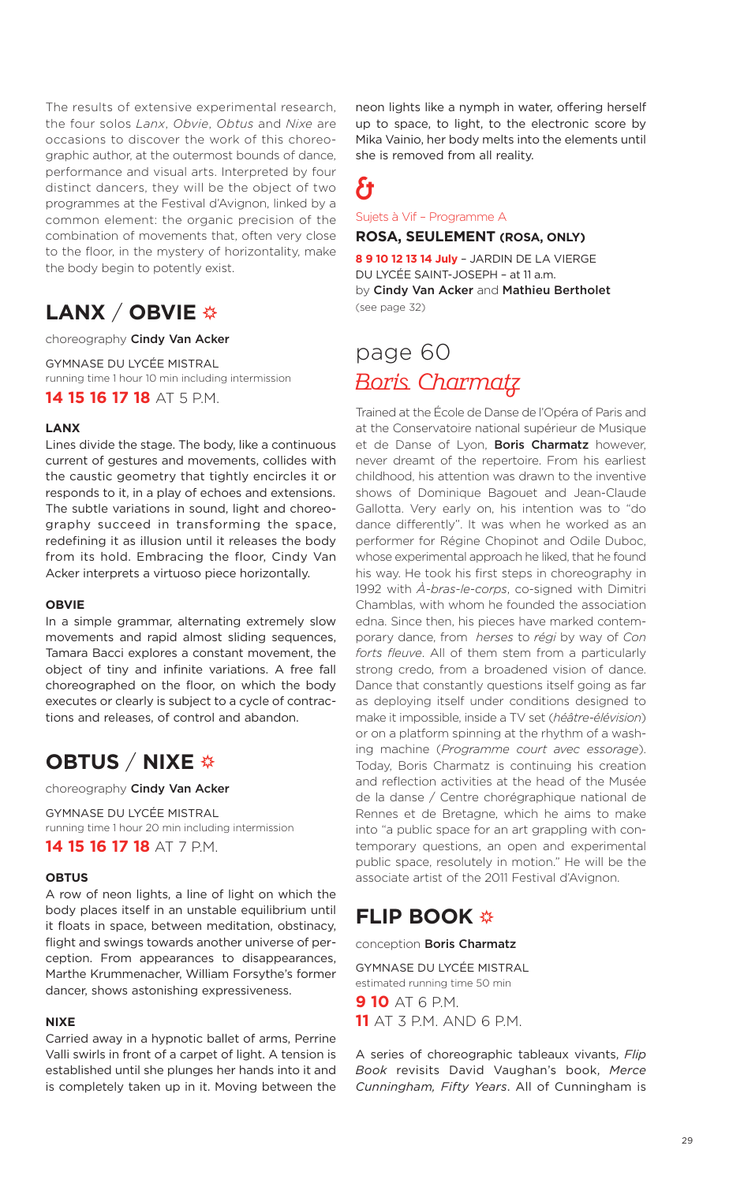The results of extensive experimental research, the four solos *Lanx*, *Obvie*, *Obtus* and *Nixe* are occasions to discover the work of this choreographic author, at the outermost bounds of dance, performance and visual arts. Interpreted by four distinct dancers, they will be the object of two programmes at the Festival d'Avignon, linked by a common element: the organic precision of the combination of movements that, often very close to the floor, in the mystery of horizontality, make the body begin to potently exist.

# **LANX** / **OBVIE**

choreography **Cindy Van Acker**

GYMNASE DU LYCÉE MISTRAL running time 1 hour 10 min including intermission **14 15 16 17 18** AT 5 P.M.

### **LANX**

Lines divide the stage. The body, like a continuous current of gestures and movements, collides with the caustic geometry that tightly encircles it or responds to it, in a play of echoes and extensions. The subtle variations in sound, light and choreography succeed in transforming the space, redefining it as illusion until it releases the body from its hold. Embracing the floor, Cindy Van Acker interprets a virtuoso piece horizontally.

#### **OBVIE**

In a simple grammar, alternating extremely slow movements and rapid almost sliding sequences, Tamara Bacci explores a constant movement, the object of tiny and infinite variations. A free fall choreographed on the floor, on which the body executes or clearly is subject to a cycle of contractions and releases, of control and abandon.

### **OBTUS** / **NIXE**

choreography **Cindy Van Acker**

GYMNASE DU LYCÉE MISTRAL running time 1 hour 20 min including intermission **14 15 16 17 18** AT 7 P.M.

### **OBTUS**

A row of neon lights, a line of light on which the body places itself in an unstable equilibrium until it floats in space, between meditation, obstinacy, flight and swings towards another universe of perception. From appearances to disappearances, Marthe Krummenacher, William Forsythe's former dancer, shows astonishing expressiveness.

#### **NIXE**

Carried away in a hypnotic ballet of arms, Perrine Valli swirls in front of a carpet of light. A tension is established until she plunges her hands into it and is completely taken up in it. Moving between the neon lights like a nymph in water, offering herself up to space, to light, to the electronic score by Mika Vainio, her body melts into the elements until she is removed from all reality.

# &

Sujets à Vif – Programme A

### **ROSA, SEULEMENT (ROSA, ONLY)**

**8 9 10 12 13 14 July** – JARDIN DE LA VIERGE DU LYCÉE SAINT-JOSEPH – at 11 a.m. by **Cindy Van Acker** and **Mathieu Bertholet** (see page 32)

# page 60 Boris Charmatz

Trained at the École de Danse de l'Opéra of Paris and at the Conservatoire national supérieur de Musique et de Danse of Lyon, **Boris Charmatz** however, never dreamt of the repertoire. From his earliest childhood, his attention was drawn to the inventive shows of Dominique Bagouet and Jean-Claude Gallotta. Very early on, his intention was to "do dance differently". It was when he worked as an performer for Régine Chopinot and Odile Duboc, whose experimental approach he liked, that he found his way. He took his first steps in choreography in 1992 with *À-bras-le-corps*, co-signed with Dimitri Chamblas, with whom he founded the association edna. Since then, his pieces have marked contemporary dance, from *herses* to *régi* by way of *Con forts fleuve*. All of them stem from a particularly strong credo, from a broadened vision of dance. Dance that constantly questions itself going as far as deploying itself under conditions designed to make it impossible, inside a TV set (*héâtre-élévision*) or on a platform spinning at the rhythm of a washing machine (*Programme court avec essorage*). Today, Boris Charmatz is continuing his creation and reflection activities at the head of the Musée de la danse / Centre chorégraphique national de Rennes et de Bretagne, which he aims to make into "a public space for an art grappling with contemporary questions, an open and experimental public space, resolutely in motion." He will be the associate artist of the 2011 Festival d'Avignon.

### **FLIP BOOK**

conception **Boris Charmatz**

GYMNASE DU LYCÉE MISTRAL estimated running time 50 min **9 10** AT 6 P.M. **11** AT 3 P.M. AND 6 P.M.

A series of choreographic tableaux vivants, *Flip Book* revisits David Vaughan's book, *Merce Cunningham, Fifty Years*. All of Cunningham is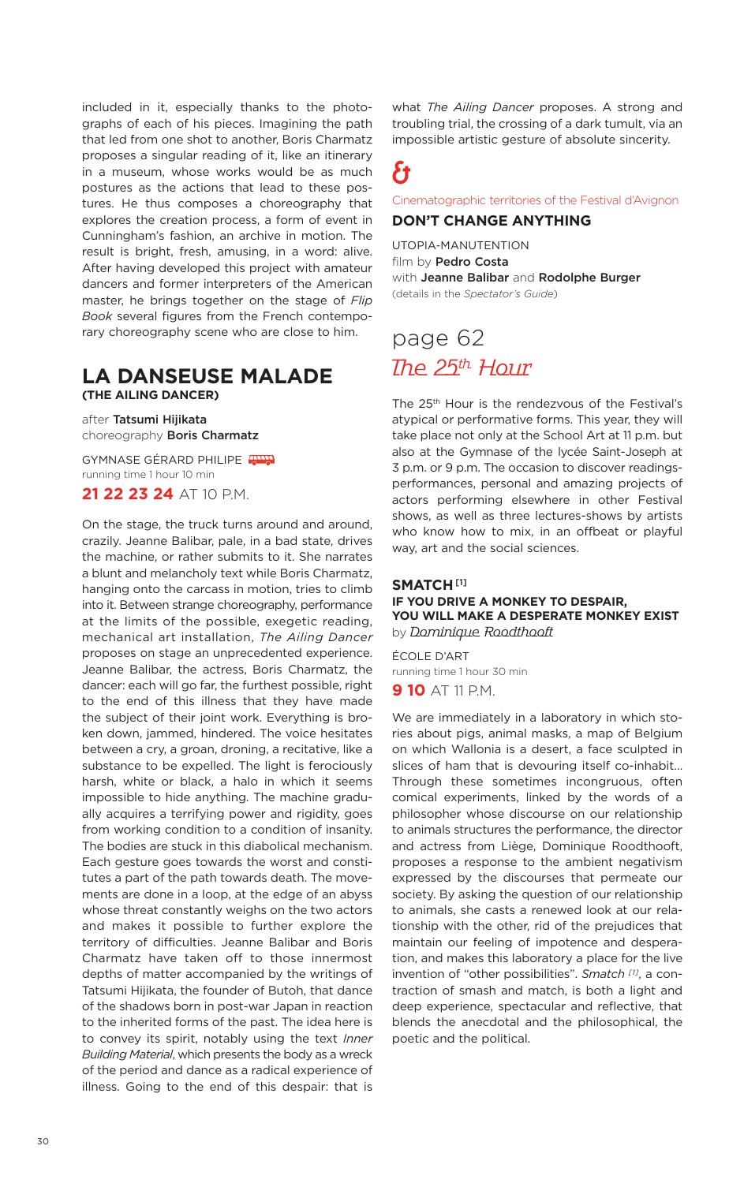included in it, especially thanks to the photographs of each of his pieces. Imagining the path that led from one shot to another, Boris Charmatz proposes a singular reading of it, like an itinerary in a museum, whose works would be as much postures as the actions that lead to these postures. He thus composes a choreography that explores the creation process, a form of event in Cunningham's fashion, an archive in motion. The result is bright, fresh, amusing, in a word: alive. After having developed this project with amateur dancers and former interpreters of the American master, he brings together on the stage of *Flip Book* several figures from the French contemporary choreography scene who are close to him.

### **LA DANSEUSE MALADE (THE AILING DANCER)**

after **Tatsumi Hijikata** choreography **Boris Charmatz**

GYMNASE GÉRARD PHILIPE running time 1 hour 10 min **21 22 23 24** AT 10 P.M.

On the stage, the truck turns around and around, crazily. Jeanne Balibar, pale, in a bad state, drives the machine, or rather submits to it. She narrates a blunt and melancholy text while Boris Charmatz, hanging onto the carcass in motion, tries to climb into it. Between strange choreography, performance at the limits of the possible, exegetic reading, mechanical art installation, *The Ailing Dancer* proposes on stage an unprecedented experience. Jeanne Balibar, the actress, Boris Charmatz, the dancer: each will go far, the furthest possible, right to the end of this illness that they have made the subject of their joint work. Everything is broken down, jammed, hindered. The voice hesitates between a cry, a groan, droning, a recitative, like a substance to be expelled. The light is ferociously harsh, white or black, a halo in which it seems impossible to hide anything. The machine gradually acquires a terrifying power and rigidity, goes from working condition to a condition of insanity. The bodies are stuck in this diabolical mechanism. Each gesture goes towards the worst and constitutes a part of the path towards death. The movements are done in a loop, at the edge of an abyss whose threat constantly weighs on the two actors and makes it possible to further explore the territory of difficulties. Jeanne Balibar and Boris Charmatz have taken off to those innermost depths of matter accompanied by the writings of Tatsumi Hijikata, the founder of Butoh, that dance of the shadows born in post-war Japan in reaction to the inherited forms of the past. The idea here is to convey its spirit, notably using the text *Inner Building Material*, which presents the body as a wreck of the period and dance as a radical experience of illness. Going to the end of this despair: that is

what *The Ailing Dancer* proposes. A strong and troubling trial, the crossing of a dark tumult, via an impossible artistic gesture of absolute sincerity.

# &

Cinematographic territories of the Festival d'Avignon

### **DON'T CHANGE ANYTHING**

UTOPIA-MANUTENTION film by **Pedro Costa** with **Jeanne Balibar** and **Rodolphe Burger** (details in the *Spectator's Guide*)

# page 62 The 25<sup>th</sup> Hour

The 25th Hour is the rendezvous of the Festival's atypical or performative forms. This year, they will take place not only at the School Art at 11 p.m. but also at the Gymnase of the lycée Saint-Joseph at 3 p.m. or 9 p.m. The occasion to discover readingsperformances, personal and amazing projects of actors performing elsewhere in other Festival shows, as well as three lectures-shows by artists who know how to mix, in an offbeat or playful way, art and the social sciences.

### **SMATCH [1] IF YOU DRIVE A MONKEY TO DESPAIR, YOU WILL MAKE A DESPERATE MONKEY EXIST** by Dominique Roodthooft

ÉCOLE D'ART running time 1 hour 30 min **9 10** AT 11 P.M.

We are immediately in a laboratory in which stories about pigs, animal masks, a map of Belgium on which Wallonia is a desert, a face sculpted in slices of ham that is devouring itself co-inhabit… Through these sometimes incongruous, often comical experiments, linked by the words of a philosopher whose discourse on our relationship to animals structures the performance, the director and actress from Liège, Dominique Roodthooft, proposes a response to the ambient negativism expressed by the discourses that permeate our society. By asking the question of our relationship to animals, she casts a renewed look at our relationship with the other, rid of the prejudices that maintain our feeling of impotence and desperation, and makes this laboratory a place for the live invention of "other possibilities". *Smatch [1]* , a contraction of smash and match, is both a light and deep experience, spectacular and reflective, that blends the anecdotal and the philosophical, the poetic and the political.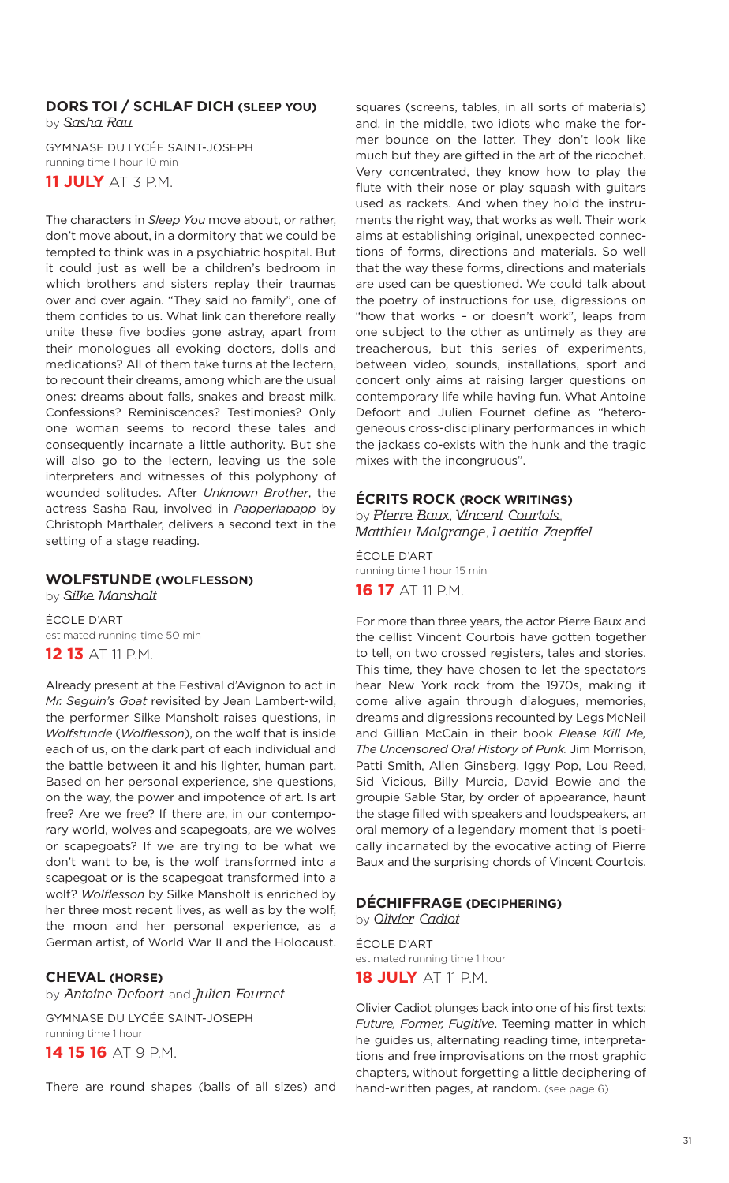### **DORS TOI / SCHLAF DICH (SLEEP YOU)** by Sasha Rau

GYMNASE DU LYCÉE SAINT-JOSEPH running time 1 hour 10 min **11 JULY** AT 3 P.M.

The characters in *Sleep You* move about, or rather, don't move about, in a dormitory that we could be tempted to think was in a psychiatric hospital. But it could just as well be a children's bedroom in which brothers and sisters replay their traumas over and over again. "They said no family", one of them confides to us. What link can therefore really unite these five bodies gone astray, apart from their monologues all evoking doctors, dolls and medications? All of them take turns at the lectern, to recount their dreams, among which are the usual ones: dreams about falls, snakes and breast milk. Confessions? Reminiscences? Testimonies? Only one woman seems to record these tales and consequently incarnate a little authority. But she will also go to the lectern, leaving us the sole interpreters and witnesses of this polyphony of wounded solitudes. After *Unknown Brother*, the actress Sasha Rau, involved in *Papperlapapp* by Christoph Marthaler, delivers a second text in the setting of a stage reading.

### **WOLFSTUNDE (WOLFLESSON)**

by Silke Mansholt ÉCOLE D'ART estimated running time 50 min

**12 13** AT 11 P.M.

Already present at the Festival d'Avignon to act in *Mr. Seguin's Goat* revisited by Jean Lambert-wild, the performer Silke Mansholt raises questions, in *Wolfstunde* (*Wolflesson*), on the wolf that is inside each of us, on the dark part of each individual and the battle between it and his lighter, human part. Based on her personal experience, she questions, on the way, the power and impotence of art. Is art free? Are we free? If there are, in our contemporary world, wolves and scapegoats, are we wolves or scapegoats? If we are trying to be what we don't want to be, is the wolf transformed into a scapegoat or is the scapegoat transformed into a wolf? *Wolflesson* by Silke Mansholt is enriched by her three most recent lives, as well as by the wolf, the moon and her personal experience, as a German artist, of World War II and the Holocaust.

### **CHEVAL (HORSE)**

by Antoine Defoort and Julien Fournet

GYMNASE DU LYCÉE SAINT-JOSEPH running time 1 hour **14 15 16** AT 9 P.M.

There are round shapes (balls of all sizes) and

squares (screens, tables, in all sorts of materials) and, in the middle, two idiots who make the former bounce on the latter. They don't look like much but they are gifted in the art of the ricochet. Very concentrated, they know how to play the flute with their nose or play squash with guitars used as rackets. And when they hold the instruments the right way, that works as well. Their work aims at establishing original, unexpected connections of forms, directions and materials. So well that the way these forms, directions and materials are used can be questioned. We could talk about the poetry of instructions for use, digressions on "how that works – or doesn't work", leaps from one subject to the other as untimely as they are treacherous, but this series of experiments, between video, sounds, installations, sport and concert only aims at raising larger questions on contemporary life while having fun. What Antoine Defoort and Julien Fournet define as "heterogeneous cross-disciplinary performances in which the jackass co-exists with the hunk and the tragic mixes with the incongruous".

### **ÉCRITS ROCK (ROCK WRITINGS)**

by Pierre Baux, Vincent Courtois, Matthieu Malgrange, Laetitia Zaepffel

ÉCOLE D'ART running time 1 hour 15 min **16 17** AT 11 P.M.

For more than three years, the actor Pierre Baux and the cellist Vincent Courtois have gotten together to tell, on two crossed registers, tales and stories. This time, they have chosen to let the spectators hear New York rock from the 1970s, making it come alive again through dialogues, memories, dreams and digressions recounted by Legs McNeil and Gillian McCain in their book *Please Kill Me, The Uncensored Oral History of Punk.* Jim Morrison, Patti Smith, Allen Ginsberg, Iggy Pop, Lou Reed, Sid Vicious, Billy Murcia, David Bowie and the groupie Sable Star, by order of appearance, haunt the stage filled with speakers and loudspeakers, an oral memory of a legendary moment that is poetically incarnated by the evocative acting of Pierre Baux and the surprising chords of Vincent Courtois.

### **DÉCHIFFRAGE (DECIPHERING)**

by Olivier Cadiot

ÉCOLE D'ART estimated running time 1 hour **18 JULY** AT 11 P.M.

Olivier Cadiot plunges back into one of his first texts: *Future, Former, Fugitive*. Teeming matter in which he guides us, alternating reading time, interpretations and free improvisations on the most graphic chapters, without forgetting a little deciphering of hand-written pages, at random. (see page 6)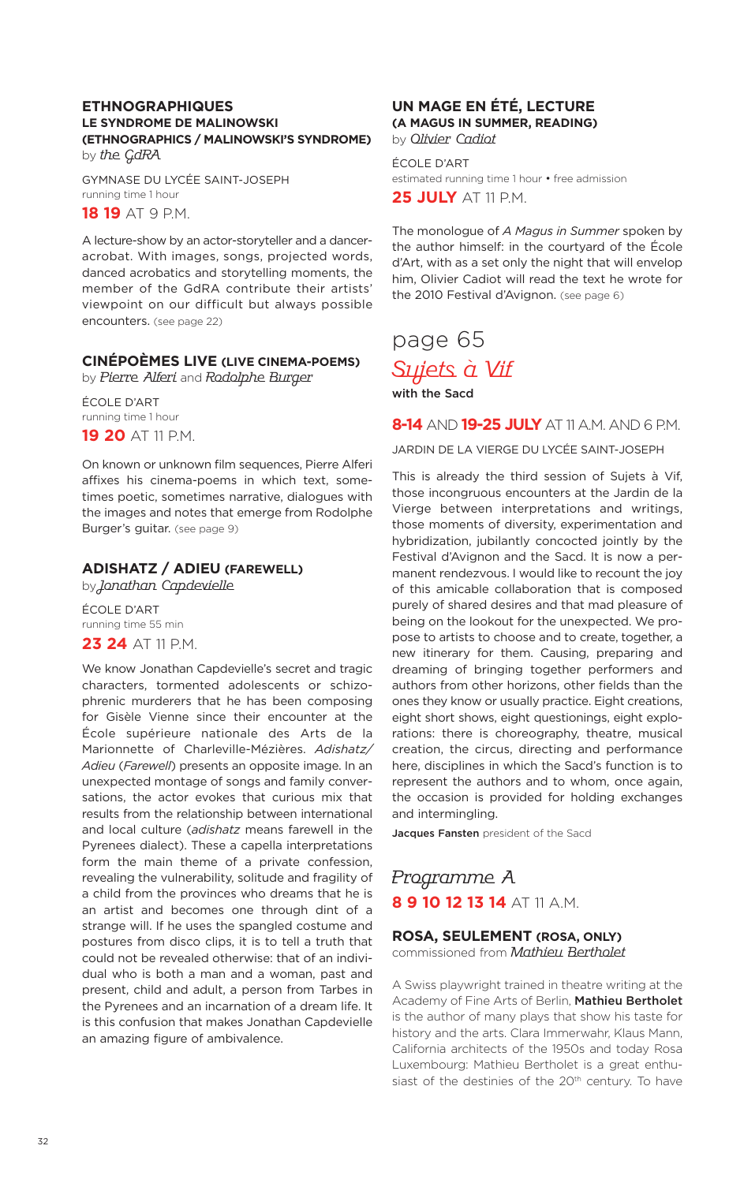### **ETHNOGRAPHIQUES LE SYNDROME DE MALINOWSKI (ETHNOGRAPHICS / MALINOWSKI'S SYNDROME)** by the GdRA

GYMNASE DU LYCÉE SAINT-JOSEPH running time 1 hour **18 19** AT 9 P.M.

A lecture-show by an actor-storyteller and a danceracrobat. With images, songs, projected words, danced acrobatics and storytelling moments, the member of the GdRA contribute their artists' viewpoint on our difficult but always possible encounters. (see page 22)

### **CINÉPOÈMES LIVE (LIVE CINEMA-POEMS)**

by Pierre Alferi and Rodolphe Burger

ÉCOLE D'ART running time 1 hour **19 20** AT 11 P.M.

On known or unknown film sequences, Pierre Alferi affixes his cinema-poems in which text, sometimes poetic, sometimes narrative, dialogues with the images and notes that emerge from Rodolphe Burger's guitar. (see page 9)

### **ADISHATZ / ADIEU (FAREWELL)**

by Jonathan Capdevielle

ÉCOLE D'ART running time 55 min

### **23 24** AT 11 P.M.

We know Jonathan Capdevielle's secret and tragic characters, tormented adolescents or schizophrenic murderers that he has been composing for Gisèle Vienne since their encounter at the École supérieure nationale des Arts de la Marionnette of Charleville-Mézières. *Adishatz/ Adieu* (*Farewell*) presents an opposite image. In an unexpected montage of songs and family conversations, the actor evokes that curious mix that results from the relationship between international and local culture (*adishatz* means farewell in the Pyrenees dialect). These a capella interpretations form the main theme of a private confession, revealing the vulnerability, solitude and fragility of a child from the provinces who dreams that he is an artist and becomes one through dint of a strange will. If he uses the spangled costume and postures from disco clips, it is to tell a truth that could not be revealed otherwise: that of an individual who is both a man and a woman, past and present, child and adult, a person from Tarbes in the Pyrenees and an incarnation of a dream life. It is this confusion that makes Jonathan Capdevielle an amazing figure of ambivalence.

### **UN MAGE EN ÉTÉ, LECTURE (A MAGUS IN SUMMER, READING)** by Olivier Cadiot

ÉCOLE D'ART estimated running time 1 hour • free admission **25 JULY** AT 11 P.M.

The monologue of *A Magus in Summer* spoken by the author himself: in the courtyard of the École d'Art, with as a set only the night that will envelop him, Olivier Cadiot will read the text he wrote for the 2010 Festival d'Avignon. (see page 6)

## page 65 Sujets à Vif **with the Sacd**

**8-14** AND **19-25 JULY** AT 11 A.M. AND 6 P.M.

JARDIN DE LA VIERGE DU LYCÉE SAINT-JOSEPH

This is already the third session of Sujets à Vif, those incongruous encounters at the Jardin de la Vierge between interpretations and writings, those moments of diversity, experimentation and hybridization, jubilantly concocted jointly by the Festival d'Avignon and the Sacd. It is now a permanent rendezvous. I would like to recount the joy of this amicable collaboration that is composed purely of shared desires and that mad pleasure of being on the lookout for the unexpected. We propose to artists to choose and to create, together, a new itinerary for them. Causing, preparing and dreaming of bringing together performers and authors from other horizons, other fields than the ones they know or usually practice. Eight creations, eight short shows, eight questionings, eight explorations: there is choreography, theatre, musical creation, the circus, directing and performance here, disciplines in which the Sacd's function is to represent the authors and to whom, once again, the occasion is provided for holding exchanges and intermingling.

**Jacques Fansten** president of the Sacd

### Programme A **8 9 10 12 13 14** AT 11 A.M.

### **ROSA, SEULEMENT (ROSA, ONLY)**

commissioned from Mathieu Bertholet

A Swiss playwright trained in theatre writing at the Academy of Fine Arts of Berlin, **Mathieu Bertholet** is the author of many plays that show his taste for history and the arts. Clara Immerwahr, Klaus Mann, California architects of the 1950s and today Rosa Luxembourg: Mathieu Bertholet is a great enthusiast of the destinies of the 20<sup>th</sup> century. To have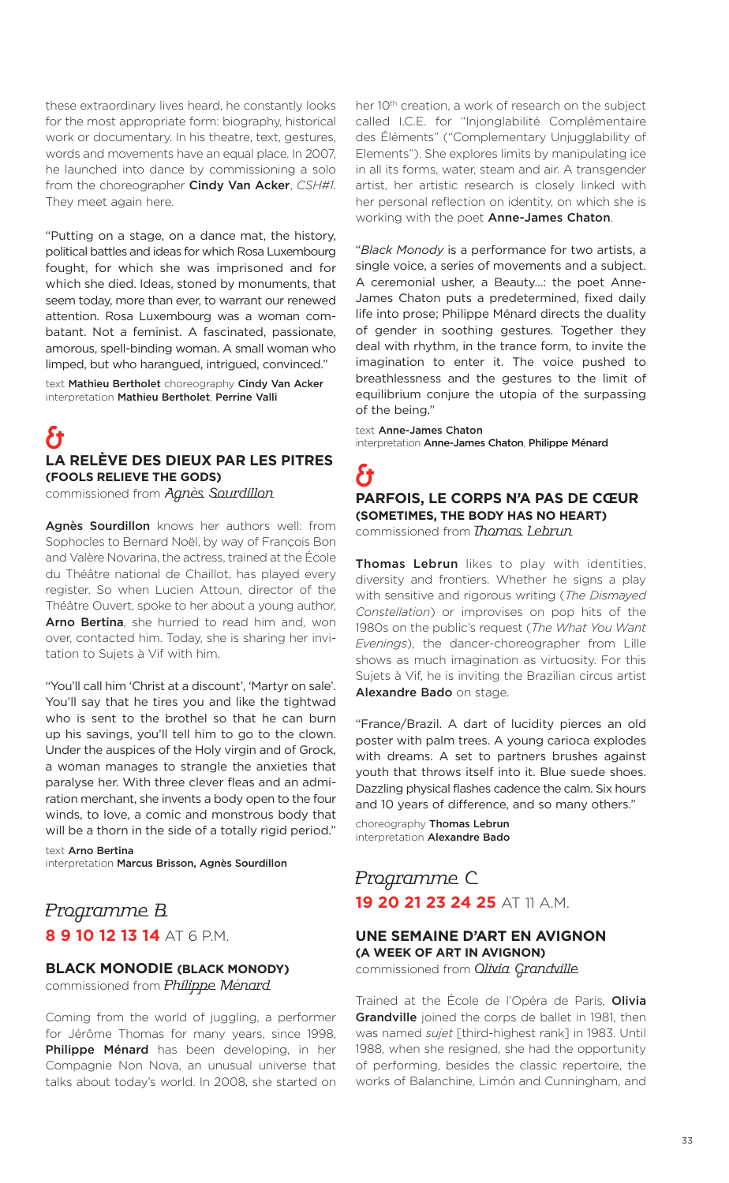these extraordinary lives heard, he constantly looks for the most appropriate form: biography, historical work or documentary. In his theatre, text, gestures, words and movements have an equal place. In 2007, he launched into dance by commissioning a solo from the choreographer **Cindy Van Acker**, *CSH#1*. They meet again here.

"Putting on a stage, on a dance mat, the history, political battles and ideas for which Rosa Luxembourg fought, for which she was imprisoned and for which she died. Ideas, stoned by monuments, that seem today, more than ever, to warrant our renewed attention. Rosa Luxembourg was a woman combatant. Not a feminist. A fascinated, passionate, amorous, spell-binding woman. A small woman who limped, but who harangued, intrigued, convinced."

text **Mathieu Bertholet** choreography **Cindy Van Acker** interpretation **Mathieu Bertholet**, **Perrine Valli**

### & **LA RELÈVE DES DIEUX PAR LES PITRES (FOOLS RELIEVE THE GODS)**

commissioned from Agnès Sourdillon

**Agnès Sourdillon** knows her authors well: from Sophocles to Bernard Noël, by way of François Bon and Valère Novarina, the actress, trained at the École du Théâtre national de Chaillot, has played every register. So when Lucien Attoun, director of the Théâtre Ouvert, spoke to her about a young author, **Arno Bertina**, she hurried to read him and, won over, contacted him. Today, she is sharing her invitation to Sujets à Vif with him.

"You'll call him 'Christ at a discount', 'Martyr on sale'. You'll say that he tires you and like the tightwad who is sent to the brothel so that he can burn up his savings, you'll tell him to go to the clown. Under the auspices of the Holy virgin and of Grock, a woman manages to strangle the anxieties that paralyse her. With three clever fleas and an admiration merchant, she invents a body open to the four winds, to love, a comic and monstrous body that will be a thorn in the side of a totally rigid period."

text **Arno Bertina** interpretation **Marcus Brisson, Agnès Sourdillon**

### Programme B **8 9 10 12 13 14** AT 6 P.M.

# **BLACK MONODIE (BLACK MONODY)**

commissioned from Philippe Ménard

Coming from the world of juggling, a performer for Jérôme Thomas for many years, since 1998, **Philippe Ménard** has been developing, in her Compagnie Non Nova, an unusual universe that talks about today's world. In 2008, she started on her 10<sup>th</sup> creation, a work of research on the subject called I.C.E. for "Injonglabilité Complémentaire des Éléments" ("Complementary Unjugglability of Elements"). She explores limits by manipulating ice in all its forms, water, steam and air. A transgender artist, her artistic research is closely linked with her personal reflection on identity, on which she is working with the poet **Anne-James Chaton**.

"*Black Monody* is a performance for two artists, a single voice, a series of movements and a subject. A ceremonial usher, a Beauty…: the poet Anne-James Chaton puts a predetermined, fixed daily life into prose; Philippe Ménard directs the duality of gender in soothing gestures. Together they deal with rhythm, in the trance form, to invite the imagination to enter it. The voice pushed to breathlessness and the gestures to the limit of equilibrium conjure the utopia of the surpassing of the being."

text **Anne-James Chaton** interpretation **Anne-James Chaton**, **Philippe Ménard**

### & **PARFOIS, LE CORPS N'A PAS DE CŒUR (SOMETIMES, THE BODY HAS NO HEART)** commissioned from Thomas Lebrun

**Thomas Lebrun** likes to play with identities, diversity and frontiers. Whether he signs a play with sensitive and rigorous writing (*The Dismayed Constellation*) or improvises on pop hits of the 1980s on the public's request (*The What You Want Evenings*), the dancer-choreographer from Lille shows as much imagination as virtuosity. For this Sujets à Vif, he is inviting the Brazilian circus artist **Alexandre Bado** on stage.

"France/Brazil. A dart of lucidity pierces an old poster with palm trees. A young carioca explodes with dreams. A set to partners brushes against youth that throws itself into it. Blue suede shoes. Dazzling physical flashes cadence the calm. Six hours and 10 years of difference, and so many others."

choreography **Thomas Lebrun** interpretation **Alexandre Bado**

### Programme C **19 20 21 23 24 25** AT 11 A.M.

### **UNE SEMAINE D'ART EN AVIGNON (A WEEK OF ART IN AVIGNON)**

commissioned from *Olivia Grandville* 

Trained at the École de l'Opéra de Paris, **Olivia Grandville** joined the corps de ballet in 1981, then was named *sujet* [third-highest rank] in 1983. Until 1988, when she resigned, she had the opportunity of performing, besides the classic repertoire, the works of Balanchine, Limón and Cunningham, and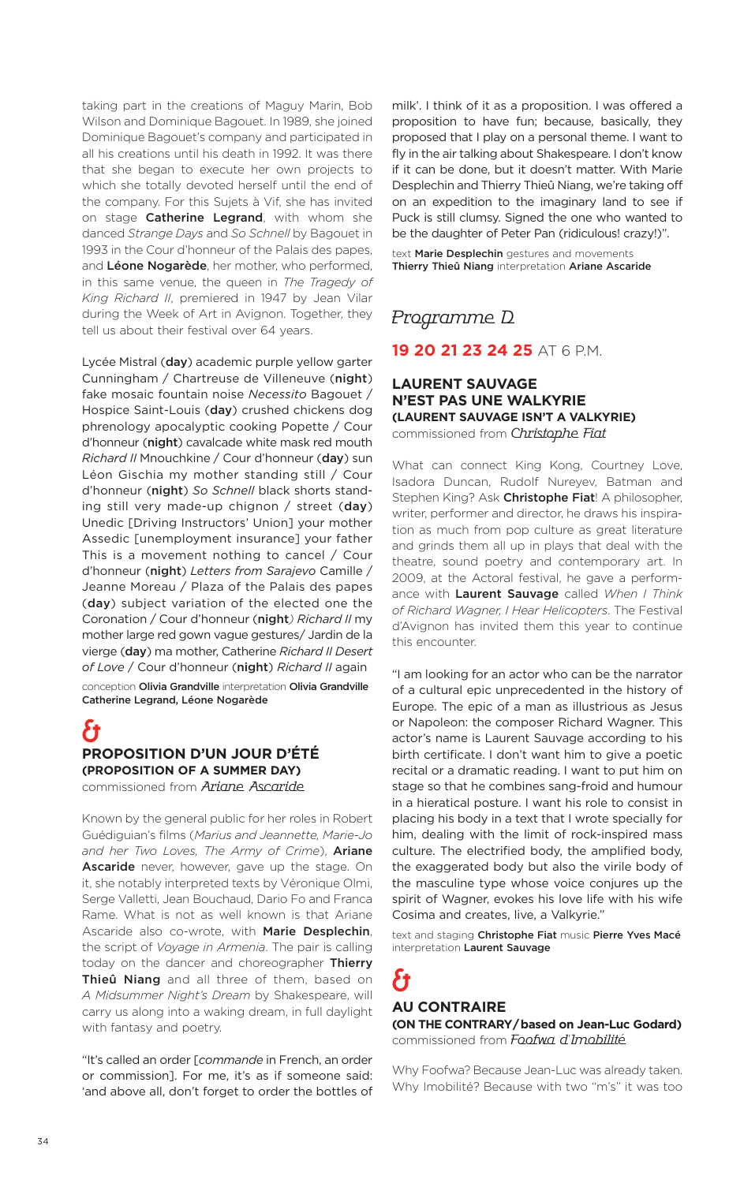taking part in the creations of Maguy Marin, Bob Wilson and Dominique Bagouet. In 1989, she joined Dominique Bagouet's company and participated in all his creations until his death in 1992. It was there that she began to execute her own projects to which she totally devoted herself until the end of the company. For this Sujets à Vif, she has invited on stage **Catherine Legrand**, with whom she danced *Strange Days* and *So Schnell* by Bagouet in 1993 in the Cour d'honneur of the Palais des papes, and **Léone Nogarède**, her mother, who performed, in this same venue, the queen in *The Tragedy of King Richard II*, premiered in 1947 by Jean Vilar during the Week of Art in Avignon. Together, they tell us about their festival over 64 years.

Lycée Mistral (**day**) academic purple yellow garter Cunningham / Chartreuse de Villeneuve (**night**) fake mosaic fountain noise *Necessito* Bagouet / Hospice Saint-Louis (**day**) crushed chickens dog phrenology apocalyptic cooking Popette / Cour d'honneur (**night**) cavalcade white mask red mouth *Richard II* Mnouchkine / Cour d'honneur (**day**) sun Léon Gischia my mother standing still / Cour d'honneur (**night**) *So Schnell* black shorts standing still very made-up chignon / street (**day**) Unedic [Driving Instructors' Union] your mother Assedic [unemployment insurance] your father This is a movement nothing to cancel / Cour d'honneur (**night**) *Letters from Sarajevo* Camille / Jeanne Moreau / Plaza of the Palais des papes (**day**) subject variation of the elected one the Coronation / Cour d'honneur (**night***) Richard II* my mother large red gown vague gestures/ Jardin de la vierge (**day**) ma mother, Catherine *Richard II Desert of Love* / Cour d'honneur (**night**) *Richard II* again

conception **Olivia Grandville** interpretation **Olivia Grandville Catherine Legrand, Léone Nogarède**

### & **PROPOSITION D'UN JOUR D'ÉTÉ (PROPOSITION OF A SUMMER DAY)**

commissioned from Ariane Ascaride

Known by the general public for her roles in Robert Guédiguian's films (*Marius and Jeannette, Marie-Jo and her Two Loves, The Army of Crime*), **Ariane Ascaride** never, however, gave up the stage. On it, she notably interpreted texts by Véronique Olmi, Serge Valletti, Jean Bouchaud, Dario Fo and Franca Rame. What is not as well known is that Ariane Ascaride also co-wrote, with **Marie Desplechin**, the script of *Voyage in Armenia*. The pair is calling today on the dancer and choreographer **Thierry Thieû Niang** and all three of them, based on *A Midsummer Night's Dream* by Shakespeare, will carry us along into a waking dream, in full daylight with fantasy and poetry.

"It's called an order [*commande* in French, an order or commission]. For me, it's as if someone said: 'and above all, don't forget to order the bottles of milk'. I think of it as a proposition. I was offered a proposition to have fun; because, basically, they proposed that I play on a personal theme. I want to fly in the air talking about Shakespeare. I don't know if it can be done, but it doesn't matter. With Marie Desplechin and Thierry Thieû Niang, we're taking off on an expedition to the imaginary land to see if Puck is still clumsy. Signed the one who wanted to be the daughter of Peter Pan (ridiculous! crazy!)".

text **Marie Desplechin** gestures and movements **Thierry Thieû Niang** interpretation **Ariane Ascaride**

### Programme D

### **19 20 21 23 24 25** AT 6 P.M.

### **LAURENT SAUVAGE N'EST PAS UNE WALKYRIE (LAURENT SAUVAGE ISN'T A VALKYRIE)** commissioned from Christophe Fiat

What can connect King Kong, Courtney Love, Isadora Duncan, Rudolf Nureyev, Batman and Stephen King? Ask **Christophe Fiat**! A philosopher, writer, performer and director, he draws his inspiration as much from pop culture as great literature and grinds them all up in plays that deal with the theatre, sound poetry and contemporary art. In 2009, at the Actoral festival, he gave a performance with **Laurent Sauvage** called *When I Think of Richard Wagner, I Hear Helicopters*. The Festival d'Avignon has invited them this year to continue this encounter.

"I am looking for an actor who can be the narrator of a cultural epic unprecedented in the history of Europe. The epic of a man as illustrious as Jesus or Napoleon: the composer Richard Wagner. This actor's name is Laurent Sauvage according to his birth certificate. I don't want him to give a poetic recital or a dramatic reading. I want to put him on stage so that he combines sang-froid and humour in a hieratical posture. I want his role to consist in placing his body in a text that I wrote specially for him, dealing with the limit of rock-inspired mass culture. The electrified body, the amplified body, the exaggerated body but also the virile body of the masculine type whose voice conjures up the spirit of Wagner, evokes his love life with his wife Cosima and creates, live, a Valkyrie."

text and staging **Christophe Fiat** music **Pierre Yves Macé** interpretation **Laurent Sauvage**

## ł1 **AU CONTRAIRE**

**(ON THE CONTRARY/based on Jean-Luc Godard)** commissioned from Foofwa d'Imobilité

Why Foofwa? Because Jean-Luc was already taken. Why Imobilité? Because with two "m's" it was too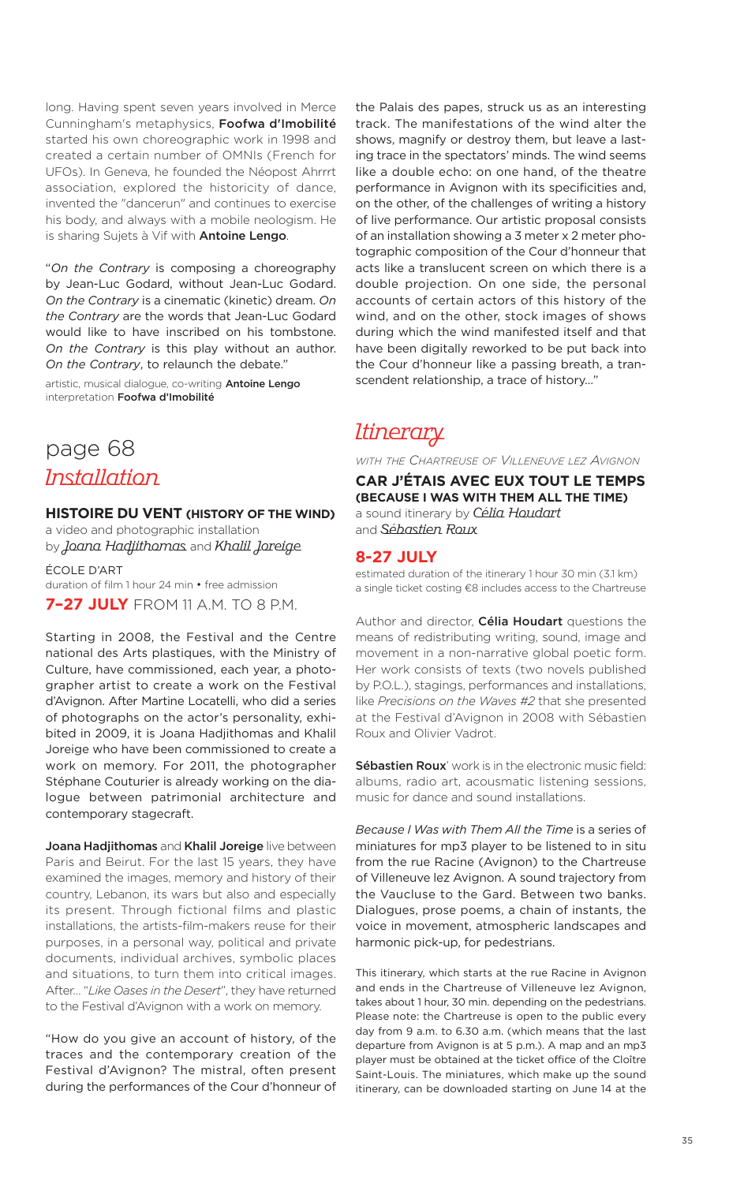long. Having spent seven years involved in Merce Cunningham's metaphysics, **Foofwa d'Imobilité** started his own choreographic work in 1998 and created a certain number of OMNIs (French for UFOs). In Geneva, he founded the Néopost Ahrrrt association, explored the historicity of dance, invented the "dancerun" and continues to exercise his body, and always with a mobile neologism. He is sharing Sujets à Vif with **Antoine Lengo**.

"*On the Contrary* is composing a choreography by Jean-Luc Godard, without Jean-Luc Godard. *On the Contrary* is a cinematic (kinetic) dream. *On the Contrary* are the words that Jean-Luc Godard would like to have inscribed on his tombstone. *On the Contrary* is this play without an author. *On the Contrary*, to relaunch the debate."

artistic, musical dialogue, co-writing **Antoine Lengo** interpretation **Foofwa d'Imobilité**

## page 68 Installation

#### **HISTOIRE DU VENT (HISTORY OF THE WIND)**

a video and photographic installation by Joana Hadjithomas and Khalil Joreige

ÉCOLE D'ART duration of film 1 hour 24 min • free admission **7–27 JULY** FROM 11 A.M. TO 8 P.M.

Starting in 2008, the Festival and the Centre national des Arts plastiques, with the Ministry of Culture, have commissioned, each year, a photographer artist to create a work on the Festival d'Avignon. After Martine Locatelli, who did a series of photographs on the actor's personality, exhibited in 2009, it is Joana Hadjithomas and Khalil Joreige who have been commissioned to create a work on memory. For 2011, the photographer Stéphane Couturier is already working on the dialogue between patrimonial architecture and contemporary stagecraft.

**Joana Hadjithomas** and **Khalil Joreige** live between Paris and Beirut. For the last 15 years, they have examined the images, memory and history of their country, Lebanon, its wars but also and especially its present. Through fictional films and plastic installations, the artists-film-makers reuse for their purposes, in a personal way, political and private documents, individual archives, symbolic places and situations, to turn them into critical images. After… "*Like Oases in the Desert*", they have returned to the Festival d'Avignon with a work on memory.

"How do you give an account of history, of the traces and the contemporary creation of the Festival d'Avignon? The mistral, often present during the performances of the Cour d'honneur of the Palais des papes, struck us as an interesting track. The manifestations of the wind alter the shows, magnify or destroy them, but leave a lasting trace in the spectators' minds. The wind seems like a double echo: on one hand, of the theatre performance in Avignon with its specificities and, on the other, of the challenges of writing a history of live performance. Our artistic proposal consists of an installation showing a 3 meter x 2 meter photographic composition of the Cour d'honneur that acts like a translucent screen on which there is a double projection. On one side, the personal accounts of certain actors of this history of the wind, and on the other, stock images of shows during which the wind manifested itself and that have been digitally reworked to be put back into the Cour d'honneur like a passing breath, a transcendent relationship, a trace of history…"

### **Itinerary**

*WITH THE CHARTREUSE OF VILLENEUVE LEZ AVIGNON*

**CAR J'ÉTAIS AVEC EUX TOUT LE TEMPS (BECAUSE I WAS WITH THEM ALL THE TIME)** a sound itinerary by Célia Houdart and Sébastien Roux

### **8-27 JULY**

estimated duration of the itinerary 1 hour 30 min (3.1 km) a single ticket costing €8 includes access to the Chartreuse

Author and director, **Célia Houdart** questions the means of redistributing writing, sound, image and movement in a non-narrative global poetic form. Her work consists of texts (two novels published by P.O.L.), stagings, performances and installations, like *Precisions on the Waves #2* that she presented at the Festival d'Avignon in 2008 with Sébastien Roux and Olivier Vadrot.

**Sébastien Roux**' work is in the electronic music field: albums, radio art, acousmatic listening sessions, music for dance and sound installations.

*Because I Was with Them All the Time* is a series of miniatures for mp3 player to be listened to in situ from the rue Racine (Avignon) to the Chartreuse of Villeneuve lez Avignon. A sound trajectory from the Vaucluse to the Gard. Between two banks. Dialogues, prose poems, a chain of instants, the voice in movement, atmospheric landscapes and harmonic pick-up, for pedestrians.

This itinerary, which starts at the rue Racine in Avignon and ends in the Chartreuse of Villeneuve lez Avignon, takes about 1 hour, 30 min. depending on the pedestrians. Please note: the Chartreuse is open to the public every day from 9 a.m. to 6.30 a.m. (which means that the last departure from Avignon is at 5 p.m.). A map and an mp3 player must be obtained at the ticket office of the Cloître Saint-Louis. The miniatures, which make up the sound itinerary, can be downloaded starting on June 14 at the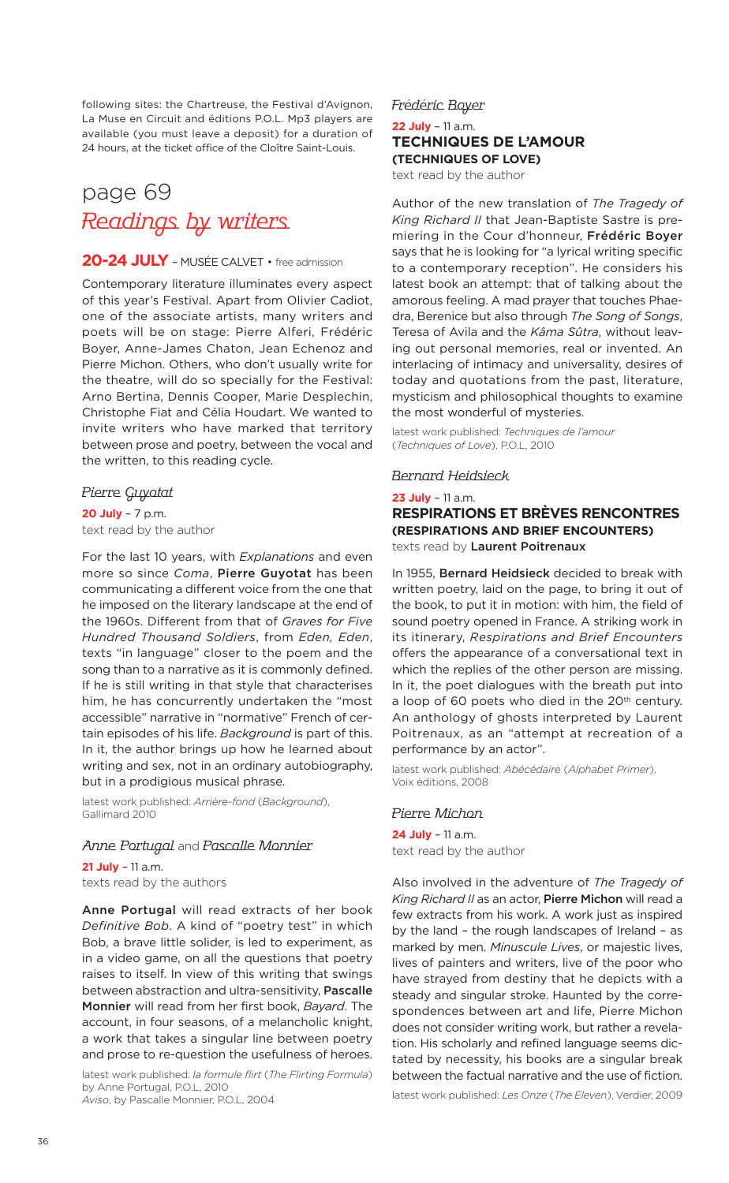following sites: the Chartreuse, the Festival d'Avignon, La Muse en Circuit and éditions P.O.L. Mp3 players are available (you must leave a deposit) for a duration of 24 hours, at the ticket office of the Cloître Saint-Louis.

# page 69 Readings by writers

### **20-24 JULY** – MUSÉE CALVET • free admission

Contemporary literature illuminates every aspect of this year's Festival. Apart from Olivier Cadiot, one of the associate artists, many writers and poets will be on stage: Pierre Alferi, Frédéric Boyer, Anne-James Chaton, Jean Echenoz and Pierre Michon. Others, who don't usually write for the theatre, will do so specially for the Festival: Arno Bertina, Dennis Cooper, Marie Desplechin, Christophe Fiat and Célia Houdart. We wanted to invite writers who have marked that territory between prose and poetry, between the vocal and the written, to this reading cycle.

### Pierre Guyotat

**20 July** – 7 p.m. text read by the author

For the last 10 years, with *Explanations* and even more so since *Coma*, **Pierre Guyotat** has been communicating a different voice from the one that he imposed on the literary landscape at the end of the 1960s. Different from that of *Graves for Five Hundred Thousand Soldiers*, from *Eden, Eden*, texts "in language" closer to the poem and the song than to a narrative as it is commonly defined. If he is still writing in that style that characterises him, he has concurrently undertaken the "most accessible" narrative in "normative" French of certain episodes of his life. *Background* is part of this. In it, the author brings up how he learned about writing and sex, not in an ordinary autobiography, but in a prodigious musical phrase.

latest work published: *Arrière-fond* (*Background*), Gallimard 2010

#### Anne Portugal and Pascalle Monnier

**21 July** – 11 a.m. texts read by the authors

**Anne Portugal** will read extracts of her book *Definitive Bob*. A kind of "poetry test" in which Bob, a brave little solider, is led to experiment, as in a video game, on all the questions that poetry raises to itself. In view of this writing that swings between abstraction and ultra-sensitivity, **Pascalle Monnier** will read from her first book, *Bayard*. The account, in four seasons, of a melancholic knight, a work that takes a singular line between poetry and prose to re-question the usefulness of heroes.

latest work published: *la formule flirt* (*The Flirting Formula*) by Anne Portugal, P.O.L, 2010 *Aviso*, by Pascalle Monnier, P.O.L, 2004

Frédéric Boyer

### **22 July** – 11 a.m. **TECHNIQUES DE L'AMOUR (TECHNIQUES OF LOVE)**

text read by the author

Author of the new translation of *The Tragedy of King Richard II* that Jean-Baptiste Sastre is premiering in the Cour d'honneur, **Frédéric Boyer** says that he is looking for "a lyrical writing specific to a contemporary reception". He considers his latest book an attempt: that of talking about the amorous feeling. A mad prayer that touches Phaedra, Berenice but also through *The Song of Songs*, Teresa of Avila and the *Kâma Sûtra*, without leaving out personal memories, real or invented. An interlacing of intimacy and universality, desires of today and quotations from the past, literature, mysticism and philosophical thoughts to examine the most wonderful of mysteries.

latest work published: *Techniques de l'amour* (*Techniques of Love*), P.O.L, 2010

### Bernard Heidsieck

**23 July** – 11 a.m. **RESPIRATIONS ET BRÈVES RENCONTRES (RESPIRATIONS AND BRIEF ENCOUNTERS)** texts read by **Laurent Poitrenaux**

In 1955, **Bernard Heidsieck** decided to break with written poetry, laid on the page, to bring it out of the book, to put it in motion: with him, the field of sound poetry opened in France. A striking work in its itinerary, *Respirations and Brief Encounters* offers the appearance of a conversational text in which the replies of the other person are missing. In it, the poet dialogues with the breath put into a loop of 60 poets who died in the 20<sup>th</sup> century. An anthology of ghosts interpreted by Laurent Poitrenaux, as an "attempt at recreation of a performance by an actor".

latest work published: *Abécédaire* (*Alphabet Primer*), Voix éditions, 2008

#### Pierre Michon

**24 July** – 11 a.m. text read by the author

Also involved in the adventure of *The Tragedy of King Richard II* as an actor, **Pierre Michon** will read a few extracts from his work. A work just as inspired by the land – the rough landscapes of Ireland – as marked by men. *Minuscule Lives*, or majestic lives, lives of painters and writers, live of the poor who have strayed from destiny that he depicts with a steady and singular stroke. Haunted by the correspondences between art and life, Pierre Michon does not consider writing work, but rather a revelation. His scholarly and refined language seems dictated by necessity, his books are a singular break between the factual narrative and the use of fiction.

latest work published: *Les Onze* (*The Eleven*), Verdier, 2009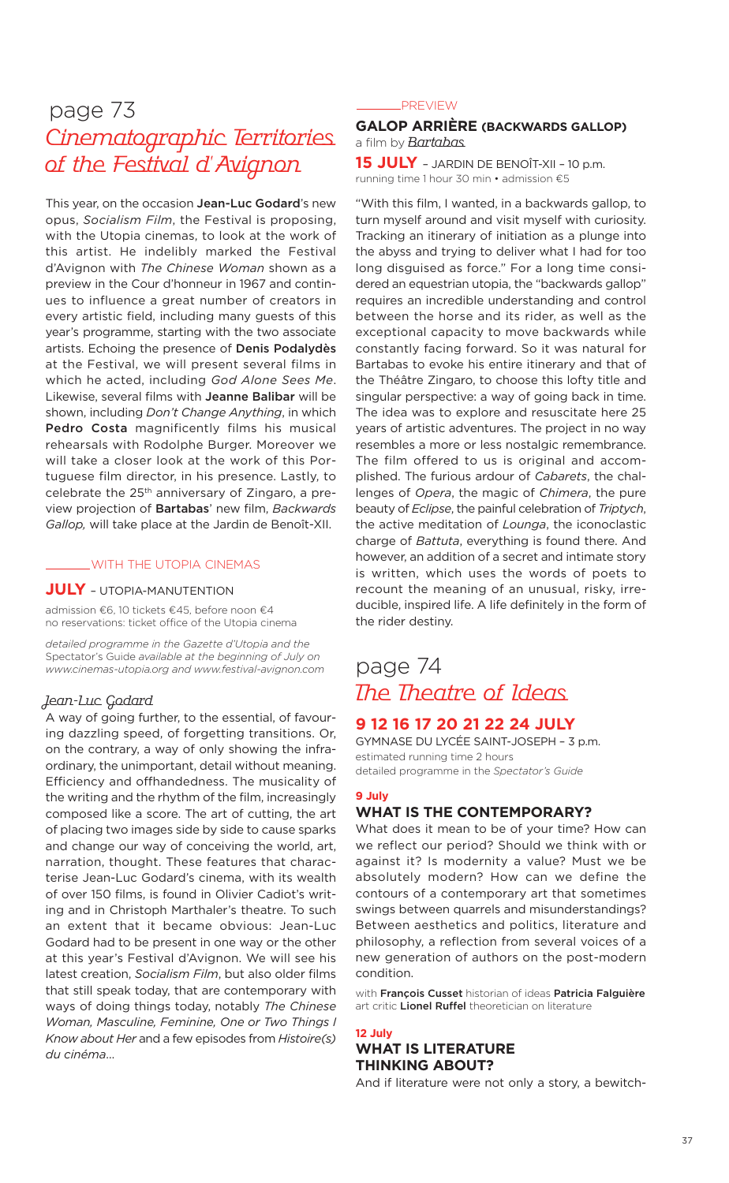# page 73 Cinematographic Territories of the Festival d'Avignon

This year, on the occasion **Jean-Luc Godard**'s new opus, *Socialism Film*, the Festival is proposing, with the Utopia cinemas, to look at the work of this artist. He indelibly marked the Festival d'Avignon with *The Chinese Woman* shown as a preview in the Cour d'honneur in 1967 and continues to influence a great number of creators in every artistic field, including many guests of this year's programme, starting with the two associate artists. Echoing the presence of **Denis Podalydès** at the Festival, we will present several films in which he acted, including *God Alone Sees Me*. Likewise, several films with **Jeanne Balibar** will be shown, including *Don't Change Anything*, in which **Pedro Costa** magnificently films his musical rehearsals with Rodolphe Burger. Moreover we will take a closer look at the work of this Portuguese film director, in his presence. Lastly, to celebrate the 25th anniversary of Zingaro, a preview projection of **Bartabas**' new film, *Backwards Gallop,* will take place at the Jardin de Benoît-XII.

#### WITH THE UTOPIA CINEMAS

### **JULY** – UTOPIA-MANUTENTION

admission €6, 10 tickets €45, before noon €4 no reservations: ticket office of the Utopia cinema

*detailed programme in the Gazette d'Utopia and the* Spectator's Guide *available at the beginning of July on www.cinemas-utopia.org and www.festival-avignon.com*

### Jean-Luc Godard

A way of going further, to the essential, of favouring dazzling speed, of forgetting transitions. Or, on the contrary, a way of only showing the infraordinary, the unimportant, detail without meaning. Efficiency and offhandedness. The musicality of the writing and the rhythm of the film, increasingly composed like a score. The art of cutting, the art of placing two images side by side to cause sparks and change our way of conceiving the world, art, narration, thought. These features that characterise Jean-Luc Godard's cinema, with its wealth of over 150 films, is found in Olivier Cadiot's writing and in Christoph Marthaler's theatre. To such an extent that it became obvious: Jean-Luc Godard had to be present in one way or the other at this year's Festival d'Avignon. We will see his latest creation, *Socialism Film*, but also older films that still speak today, that are contemporary with ways of doing things today, notably *The Chinese Woman, Masculine, Feminine, One or Two Things I Know about Her* and a few episodes from *Histoire(s) du cinéma*…

#### **PREVIEW**

### **GALOP ARRIÈRE (BACKWARDS GALLOP)** a film by **Bartabas**

**15 JULY** – JARDIN DE BENOÎT-XII – <sup>10</sup> p.m. running time 1 hour 30 min • admission €5

"With this film, I wanted, in a backwards gallop, to turn myself around and visit myself with curiosity. Tracking an itinerary of initiation as a plunge into the abyss and trying to deliver what I had for too long disguised as force." For a long time considered an equestrian utopia, the "backwards gallop" requires an incredible understanding and control between the horse and its rider, as well as the exceptional capacity to move backwards while constantly facing forward. So it was natural for Bartabas to evoke his entire itinerary and that of the Théâtre Zingaro, to choose this lofty title and singular perspective: a way of going back in time. The idea was to explore and resuscitate here 25 years of artistic adventures. The project in no way resembles a more or less nostalgic remembrance. The film offered to us is original and accomplished. The furious ardour of *Cabarets*, the challenges of *Opera*, the magic of *Chimera*, the pure beauty of *Eclipse*, the painful celebration of *Triptych*, the active meditation of *Lounga*, the iconoclastic charge of *Battuta*, everything is found there. And however, an addition of a secret and intimate story is written, which uses the words of poets to recount the meaning of an unusual, risky, irreducible, inspired life. A life definitely in the form of the rider destiny.

### page 74 The Theatre of Ideas

### **9 12 16 17 20 21 22 24 JULY**

GYMNASE DU LYCÉE SAINT-JOSEPH – 3 p.m. estimated running time 2 hours detailed programme in the *Spectator's Guide*

### **9 July**

### **WHAT IS THE CONTEMPORARY?**

What does it mean to be of your time? How can we reflect our period? Should we think with or against it? Is modernity a value? Must we be absolutely modern? How can we define the contours of a contemporary art that sometimes swings between quarrels and misunderstandings? Between aesthetics and politics, literature and philosophy, a reflection from several voices of a new generation of authors on the post-modern condition.

with **François Cusset** historian of ideas **Patricia Falguière** art critic **Lionel Ruffel** theoretician on literature

### **12 July WHAT IS LITERATURE**

### **THINKING ABOUT?**

And if literature were not only a story, a bewitch-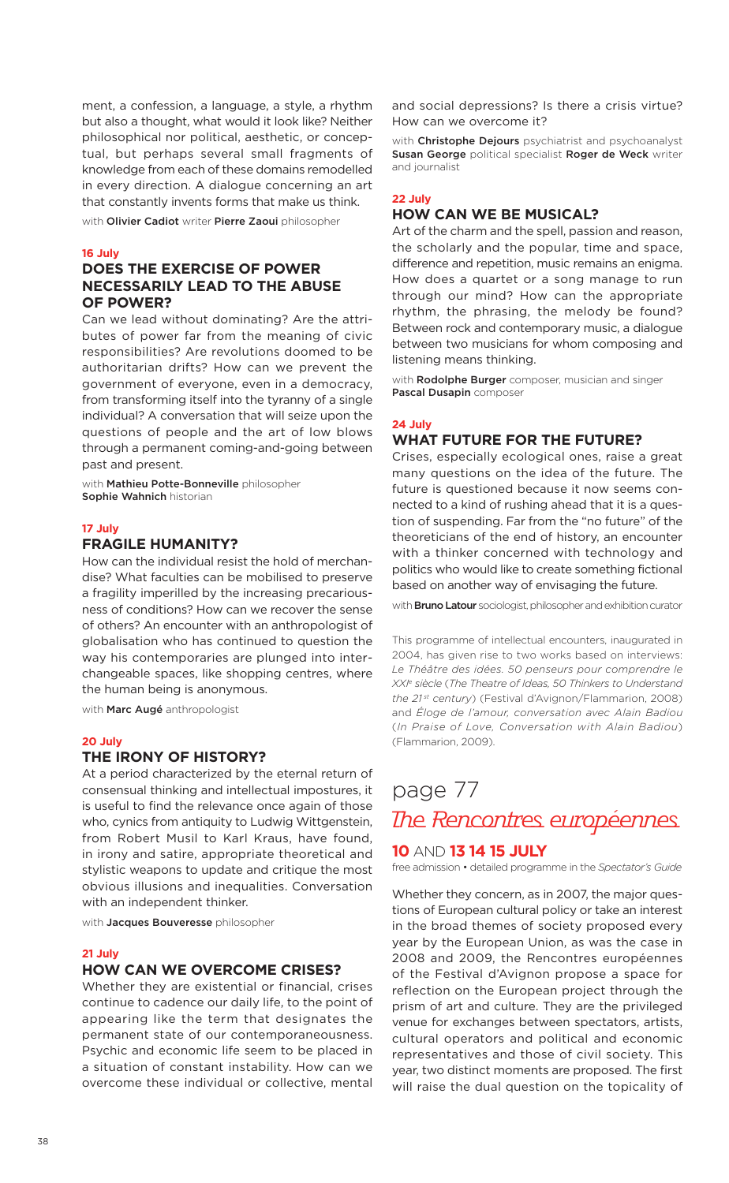ment, a confession, a language, a style, a rhythm but also a thought, what would it look like? Neither philosophical nor political, aesthetic, or conceptual, but perhaps several small fragments of knowledge from each of these domains remodelled in every direction. A dialogue concerning an art that constantly invents forms that make us think.

with **Olivier Cadiot** writer **Pierre Zaoui** philosopher

#### **16 July**

### **DOES THE EXERCISE OF POWER NECESSARILY LEAD TO THE ABUSE OF POWER?**

Can we lead without dominating? Are the attributes of power far from the meaning of civic responsibilities? Are revolutions doomed to be authoritarian drifts? How can we prevent the government of everyone, even in a democracy, from transforming itself into the tyranny of a single individual? A conversation that will seize upon the questions of people and the art of low blows through a permanent coming-and-going between past and present.

with **Mathieu Potte-Bonneville** philosopher **Sophie Wahnich** historian

#### **17 July**

### **FRAGILE HUMANITY?**

How can the individual resist the hold of merchandise? What faculties can be mobilised to preserve a fragility imperilled by the increasing precariousness of conditions? How can we recover the sense of others? An encounter with an anthropologist of globalisation who has continued to question the way his contemporaries are plunged into interchangeable spaces, like shopping centres, where the human being is anonymous.

with **Marc Augé** anthropologist

#### **20 July**

### **THE IRONY OF HISTORY?**

At a period characterized by the eternal return of consensual thinking and intellectual impostures, it is useful to find the relevance once again of those who, cynics from antiquity to Ludwig Wittgenstein, from Robert Musil to Karl Kraus, have found, in irony and satire, appropriate theoretical and stylistic weapons to update and critique the most obvious illusions and inequalities. Conversation with an independent thinker.

with **Jacques Bouveresse** philosopher

#### **21 July**

### **HOW CAN WE OVERCOME CRISES?**

Whether they are existential or financial, crises continue to cadence our daily life, to the point of appearing like the term that designates the permanent state of our contemporaneousness. Psychic and economic life seem to be placed in a situation of constant instability. How can we overcome these individual or collective, mental and social depressions? Is there a crisis virtue? How can we overcome it?

with **Christophe Dejours** psychiatrist and psychoanalyst **Susan George** political specialist **Roger de Weck** writer and journalist

#### **22 July**

### **HOW CAN WE BE MUSICAL?**

Art of the charm and the spell, passion and reason, the scholarly and the popular, time and space, difference and repetition, music remains an enigma. How does a quartet or a song manage to run through our mind? How can the appropriate rhythm, the phrasing, the melody be found? Between rock and contemporary music, a dialogue between two musicians for whom composing and listening means thinking.

with **Rodolphe Burger** composer, musician and singer **Pascal Dusapin** composer

#### **24 July**

### **WHAT FUTURE FOR THE FUTURE?**

Crises, especially ecological ones, raise a great many questions on the idea of the future. The future is questioned because it now seems connected to a kind of rushing ahead that it is a question of suspending. Far from the "no future" of the theoreticians of the end of history, an encounter with a thinker concerned with technology and politics who would like to create something fictional based on another way of envisaging the future.

with **Bruno Latour** sociologist, philosopher and exhibition curator

This programme of intellectual encounters, inaugurated in 2004, has given rise to two works based on interviews: *Le Théâtre des idées. 50 penseurs pour comprendre le XXI <sup>e</sup> siècle* (*The Theatre of Ideas, 50 Thinkers to Understand the 21 st century*) (Festival d'Avignon/Flammarion, 2008) and *Éloge de l'amour, conversation avec Alain Badiou* (*In Praise of Love, Conversation with Alain Badiou*) (Flammarion, 2009).

# page 77 The Rencontres européennes

### **10** AND **13 14 15 JULY**

free admission • detailed programme in the *Spectator's Guide*

Whether they concern, as in 2007, the major questions of European cultural policy or take an interest in the broad themes of society proposed every year by the European Union, as was the case in 2008 and 2009, the Rencontres européennes of the Festival d'Avignon propose a space for reflection on the European project through the prism of art and culture. They are the privileged venue for exchanges between spectators, artists, cultural operators and political and economic representatives and those of civil society. This year, two distinct moments are proposed. The first will raise the dual question on the topicality of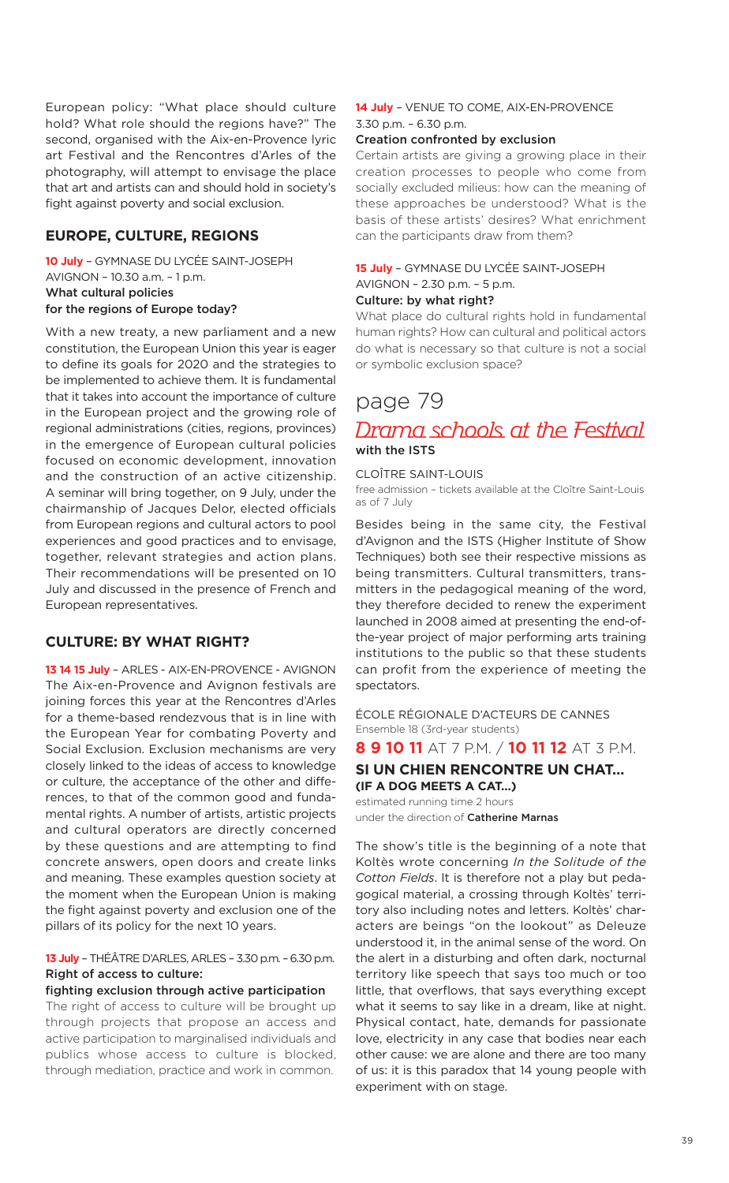European policy: "What place should culture hold? What role should the regions have?" The second, organised with the Aix-en-Provence lyric art Festival and the Rencontres d'Arles of the photography, will attempt to envisage the place that art and artists can and should hold in society's fight against poverty and social exclusion.

### **EUROPE, CULTURE, REGIONS**

**10 July** – GYMNASE DU LYCÉE SAINT-JOSEPH AVIGNON – 10.30 a.m. – 1 p.m. **What cultural policies for the regions of Europe today?**

With a new treaty, a new parliament and a new constitution, the European Union this year is eager to define its goals for 2020 and the strategies to be implemented to achieve them. It is fundamental that it takes into account the importance of culture in the European project and the growing role of regional administrations (cities, regions, provinces) in the emergence of European cultural policies focused on economic development, innovation and the construction of an active citizenship. A seminar will bring together, on 9 July, under the chairmanship of Jacques Delor, elected officials from European regions and cultural actors to pool experiences and good practices and to envisage, together, relevant strategies and action plans. Their recommendations will be presented on 10 July and discussed in the presence of French and European representatives.

### **CULTURE: BY WHAT RIGHT?**

**13 14 15 July** – ARLES - AIX-EN-PROVENCE - AVIGNON The Aix-en-Provence and Avignon festivals are joining forces this year at the Rencontres d'Arles for a theme-based rendezvous that is in line with the European Year for combating Poverty and Social Exclusion. Exclusion mechanisms are very closely linked to the ideas of access to knowledge or culture, the acceptance of the other and differences, to that of the common good and fundamental rights. A number of artists, artistic projects and cultural operators are directly concerned by these questions and are attempting to find concrete answers, open doors and create links and meaning. These examples question society at the moment when the European Union is making the fight against poverty and exclusion one of the pillars of its policy for the next 10 years.

### **13 July** – THÉÂTRE D'ARLES, ARLES – 3.30p.m. –6.30 p.m. **Right of access to culture:**

### **fighting exclusion through active participation**

The right of access to culture will be brought up through projects that propose an access and active participation to marginalised individuals and publics whose access to culture is blocked, through mediation, practice and work in common.

### **14 July** – VENUE TO COME, AIX-EN-PROVENCE 3.30 p.m. – 6.30 p.m.

#### **Creation confronted by exclusion**

Certain artists are giving a growing place in their creation processes to people who come from socially excluded milieus: how can the meaning of these approaches be understood? What is the basis of these artists' desires? What enrichment can the participants draw from them?

### **15 July** – GYMNASE DU LYCÉE SAINT-JOSEPH AVIGNON – 2.30 p.m. – 5 p.m.

#### **Culture: by what right?**

What place do cultural rights hold in fundamental human rights? How can cultural and political actors do what is necessary so that culture is not a social or symbolic exclusion space?

### page 79

# Drama schools at the Festival **with the ISTS**

#### CLOÎTRE SAINT-LOUIS

free admission – tickets available at the Cloître Saint-Louis as of 7 July

Besides being in the same city, the Festival d'Avignon and the ISTS (Higher Institute of Show Techniques) both see their respective missions as being transmitters. Cultural transmitters, transmitters in the pedagogical meaning of the word, they therefore decided to renew the experiment launched in 2008 aimed at presenting the end-ofthe-year project of major performing arts training institutions to the public so that these students can profit from the experience of meeting the spectators.

ÉCOLE RÉGIONALE D'ACTEURS DE CANNES Ensemble 18 (3rd-year students)

### **8 9 10 11** AT 7 P.M. / **10 11 12** AT 3 P.M.

### **SI UN CHIEN RENCONTRE UN CHAT… (IF A DOG MEETS A CAT…)**

estimated running time 2 hours under the direction of **Catherine Marnas**

The show's title is the beginning of a note that Koltès wrote concerning *In the Solitude of the Cotton Fields*. It is therefore not a play but pedagogical material, a crossing through Koltès' territory also including notes and letters. Koltès' characters are beings "on the lookout" as Deleuze understood it, in the animal sense of the word. On the alert in a disturbing and often dark, nocturnal territory like speech that says too much or too little, that overflows, that says everything except what it seems to say like in a dream, like at night. Physical contact, hate, demands for passionate love, electricity in any case that bodies near each other cause: we are alone and there are too many of us: it is this paradox that 14 young people with experiment with on stage.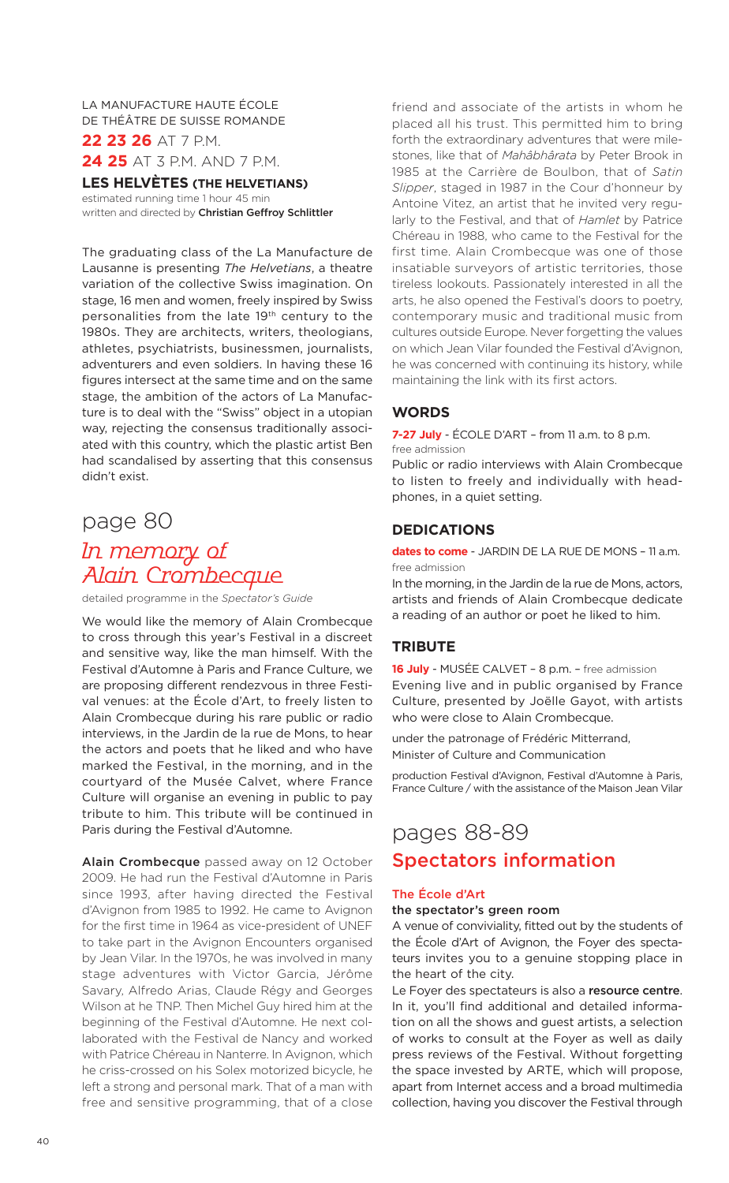LA MANUFACTURE HAUTE ÉCOLE DE THÉÂTRE DE SUISSE ROMANDE **22 23 26** AT 7 P.M.

**24 25** AT 3 P.M. AND 7 P.M.

### **LES HELVÈTES (THE HELVETIANS)**

estimated running time 1 hour 45 min written and directed by **Christian Geffroy Schlittler**

The graduating class of the La Manufacture de Lausanne is presenting *The Helvetians*, a theatre variation of the collective Swiss imagination. On stage, 16 men and women, freely inspired by Swiss personalities from the late 19th century to the 1980s. They are architects, writers, theologians, athletes, psychiatrists, businessmen, journalists, adventurers and even soldiers. In having these 16 figures intersect at the same time and on the same stage, the ambition of the actors of La Manufacture is to deal with the "Swiss" object in a utopian way, rejecting the consensus traditionally associated with this country, which the plastic artist Ben had scandalised by asserting that this consensus didn't exist.

### page 80

# In memory of Alain Crombecque

detailed programme in the *Spectator's Guide*

We would like the memory of Alain Crombecque to cross through this year's Festival in a discreet and sensitive way, like the man himself. With the Festival d'Automne à Paris and France Culture, we are proposing different rendezvous in three Festival venues: at the École d'Art, to freely listen to Alain Crombecque during his rare public or radio interviews, in the Jardin de la rue de Mons, to hear the actors and poets that he liked and who have marked the Festival, in the morning, and in the courtyard of the Musée Calvet, where France Culture will organise an evening in public to pay tribute to him. This tribute will be continued in Paris during the Festival d'Automne.

**Alain Crombecque** passed away on 12 October 2009. He had run the Festival d'Automne in Paris since 1993, after having directed the Festival d'Avignon from 1985 to 1992. He came to Avignon for the first time in 1964 as vice-president of UNEF to take part in the Avignon Encounters organised by Jean Vilar. In the 1970s, he was involved in many stage adventures with Victor Garcia, Jérôme Savary, Alfredo Arias, Claude Régy and Georges Wilson at he TNP. Then Michel Guy hired him at the beginning of the Festival d'Automne. He next collaborated with the Festival de Nancy and worked with Patrice Chéreau in Nanterre. In Avignon, which he criss-crossed on his Solex motorized bicycle, he left a strong and personal mark. That of a man with free and sensitive programming, that of a close friend and associate of the artists in whom he placed all his trust. This permitted him to bring forth the extraordinary adventures that were milestones, like that of *Mahâbhârata* by Peter Brook in 1985 at the Carrière de Boulbon, that of *Satin Slipper*, staged in 1987 in the Cour d'honneur by Antoine Vitez, an artist that he invited very regularly to the Festival, and that of *Hamlet* by Patrice Chéreau in 1988, who came to the Festival for the first time. Alain Crombecque was one of those insatiable surveyors of artistic territories, those tireless lookouts. Passionately interested in all the arts, he also opened the Festival's doors to poetry, contemporary music and traditional music from cultures outside Europe. Never forgetting the values on which Jean Vilar founded the Festival d'Avignon, he was concerned with continuing its history, while maintaining the link with its first actors.

### **WORDS**

**7-27 July** - ÉCOLE D'ART – from 11 a.m. to 8 p.m. free admission

Public or radio interviews with Alain Crombecque to listen to freely and individually with headphones, in a quiet setting.

### **DEDICATIONS**

**dates to come** - JARDIN DE LA RUE DE MONS – 11 a.m. free admission

In the morning, in the Jardin de la rue de Mons, actors, artists and friends of Alain Crombecque dedicate a reading of an author or poet he liked to him.

### **TRIBUTE**

**16 July** - MUSÉE CALVET – 8 p.m. – free admission Evening live and in public organised by France Culture, presented by Joëlle Gayot, with artists who were close to Alain Crombecque.

under the patronage of Frédéric Mitterrand, Minister of Culture and Communication

production Festival d'Avignon, Festival d'Automne à Paris, France Culture / with the assistance of the Maison Jean Vilar

### pages 88-89 **Spectators information**

### **The École d'Art**

#### **the spectator's green room**

A venue of conviviality, fitted out by the students of the École d'Art of Avignon, the Foyer des spectateurs invites you to a genuine stopping place in the heart of the city.

Le Foyer des spectateurs is also a **resource centre**. In it, you'll find additional and detailed information on all the shows and guest artists, a selection of works to consult at the Foyer as well as daily press reviews of the Festival. Without forgetting the space invested by ARTE, which will propose, apart from Internet access and a broad multimedia collection, having you discover the Festival through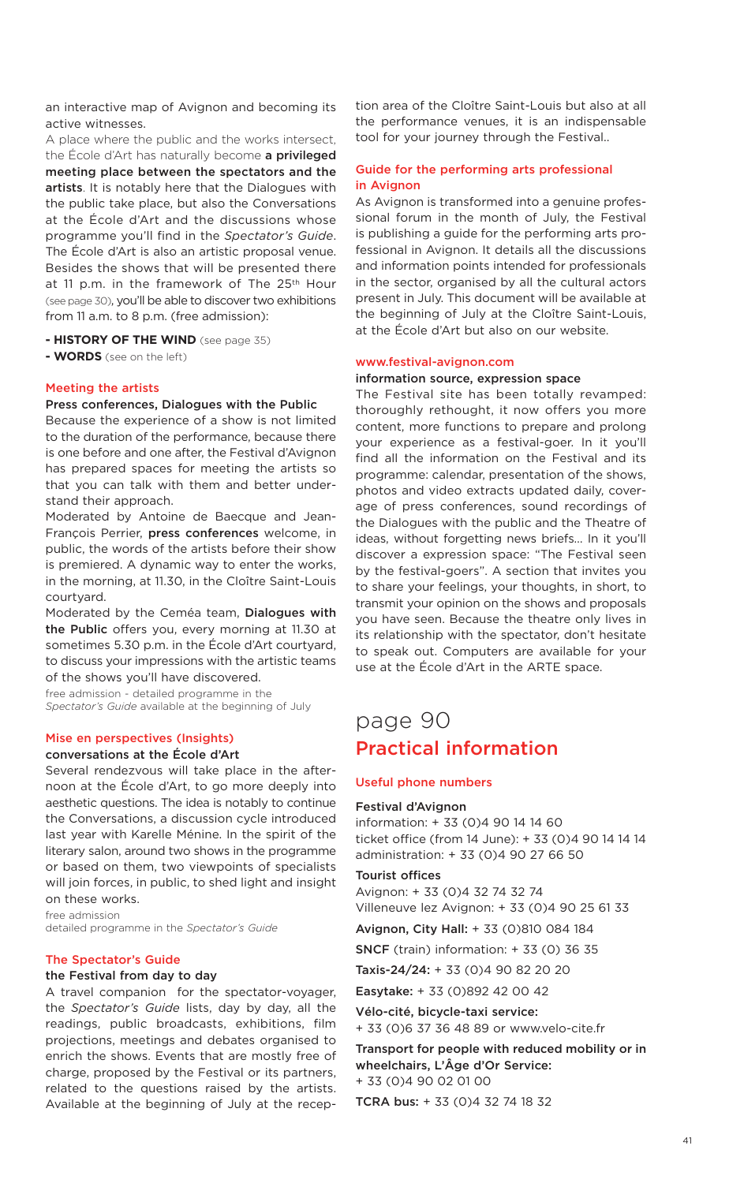an interactive map of Avignon and becoming its active witnesses.

A place where the public and the works intersect, the École d'Art has naturally become **a privileged meeting place between the spectators and the artists**. It is notably here that the Dialogues with the public take place, but also the Conversations at the École d'Art and the discussions whose programme you'll find in the *Spectator's Guide*. The École d'Art is also an artistic proposal venue. Besides the shows that will be presented there at 11 p.m. in the framework of The 25<sup>th</sup> Hour (see page 30), you'll be able to discover two exhibitions from 11 a.m. to 8 p.m. (free admission):

- **- HISTORY OF THE WIND** (see page 35)
- **- WORDS** (see on the left)

#### **Meeting the artists**

#### **Press conferences, Dialogues with the Public**

Because the experience of a show is not limited to the duration of the performance, because there is one before and one after, the Festival d'Avignon has prepared spaces for meeting the artists so that you can talk with them and better understand their approach.

Moderated by Antoine de Baecque and Jean-François Perrier, **press conferences** welcome, in public, the words of the artists before their show is premiered. A dynamic way to enter the works, in the morning, at 11.30, in the Cloître Saint-Louis courtyard.

Moderated by the Ceméa team, **Dialogues with the Public** offers you, every morning at 11.30 at sometimes 5.30 p.m. in the École d'Art courtyard, to discuss your impressions with the artistic teams of the shows you'll have discovered.

free admission - detailed programme in the *Spectator's Guide* available at the beginning of July

### **Mise en perspectives (Insights)**

### **conversations at the École d'Art**

Several rendezvous will take place in the afternoon at the École d'Art, to go more deeply into aesthetic questions. The idea is notably to continue the Conversations, a discussion cycle introduced last year with Karelle Ménine. In the spirit of the literary salon, around two shows in the programme or based on them, two viewpoints of specialists will join forces, in public, to shed light and insight on these works.

free admission detailed programme in the *Spectator's Guide*

#### **The Spectator's Guide**

#### **the Festival from day to day**

A travel companion for the spectator-voyager, the *Spectator's Guide* lists, day by day, all the readings, public broadcasts, exhibitions, film projections, meetings and debates organised to enrich the shows. Events that are mostly free of charge, proposed by the Festival or its partners, related to the questions raised by the artists. Available at the beginning of July at the recep-

tion area of the Cloître Saint-Louis but also at all the performance venues, it is an indispensable tool for your journey through the Festival..

### **Guide for the performing arts professional in Avignon**

As Avignon is transformed into a genuine professional forum in the month of July, the Festival is publishing a guide for the performing arts professional in Avignon. It details all the discussions and information points intended for professionals in the sector, organised by all the cultural actors present in July. This document will be available at the beginning of July at the Cloître Saint-Louis, at the École d'Art but also on our website.

#### **www.festival-avignon.com**

#### **information source, expression space**

The Festival site has been totally revamped: thoroughly rethought, it now offers you more content, more functions to prepare and prolong your experience as a festival-goer. In it you'll find all the information on the Festival and its programme: calendar, presentation of the shows, photos and video extracts updated daily, coverage of press conferences, sound recordings of the Dialogues with the public and the Theatre of ideas, without forgetting news briefs… In it you'll discover a expression space: "The Festival seen by the festival-goers". A section that invites you to share your feelings, your thoughts, in short, to transmit your opinion on the shows and proposals you have seen. Because the theatre only lives in its relationship with the spectator, don't hesitate to speak out. Computers are available for your use at the École d'Art in the ARTE space.

### page 90 **Practical information**

#### **Useful phone numbers**

#### **Festival d'Avignon**

information: + 33 (0)4 90 14 14 60 ticket office (from 14 June): + 33 (0)4 90 14 14 14 administration: + 33 (0)4 90 27 66 50

#### **Tourist offices**

Avignon: + 33 (0)4 32 74 32 74 Villeneuve lez Avignon: + 33 (0)4 90 25 61 33

**Avignon, City Hall:** + 33 (0)810 084 184

**SNCF** (train) information: + 33 (0) 36 35

**Taxis-24/24:** + 33 (0)4 90 82 20 20

**Easytake:** + 33 (0)892 42 00 42

**Vélo-cité, bicycle-taxi service:** + 33 (0)6 37 36 48 89 or www.velo-cite.fr

**Transport for people with reduced mobility or in wheelchairs, L'Âge d'Or Service:** + 33 (0)4 90 02 01 00

**TCRA bus:** + 33 (0)4 32 74 18 32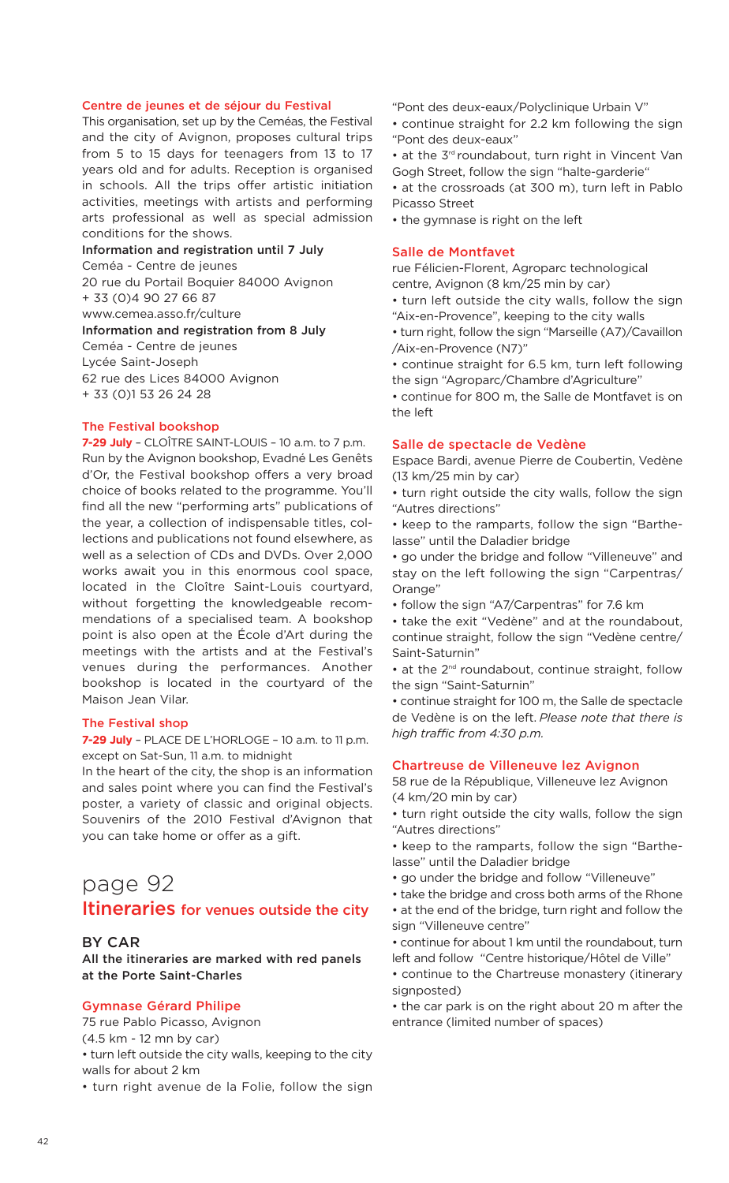#### **Centre de jeunes et de séjour du Festival**

This organisation, set up by the Ceméas, the Festival and the city of Avignon, proposes cultural trips from 5 to 15 days for teenagers from 13 to 17 years old and for adults. Reception is organised in schools. All the trips offer artistic initiation activities, meetings with artists and performing arts professional as well as special admission conditions for the shows.

**Information and registration until 7 July** Ceméa - Centre de jeunes 20 rue du Portail Boquier 84000 Avignon + 33 (0)4 90 27 66 87 www.cemea.asso.fr/culture **Information and registration from 8 July** Ceméa - Centre de jeunes Lycée Saint-Joseph 62 rue des Lices 84000 Avignon + 33 (0)1 53 26 24 28

### **The Festival bookshop**

**7-29 July** – CLOÎTRE SAINT-LOUIS – 10 a.m. to 7 p.m. Run by the Avignon bookshop, Evadné Les Genêts d'Or, the Festival bookshop offers a very broad choice of books related to the programme. You'll find all the new "performing arts" publications of the year, a collection of indispensable titles, collections and publications not found elsewhere, as well as a selection of CDs and DVDs. Over 2,000 works await you in this enormous cool space, located in the Cloître Saint-Louis courtyard, without forgetting the knowledgeable recommendations of a specialised team. A bookshop point is also open at the École d'Art during the meetings with the artists and at the Festival's venues during the performances. Another bookshop is located in the courtyard of the Maison Jean Vilar.

#### **The Festival shop**

**7-29 July** – PLACE DE L'HORLOGE – 10 a.m. to 11 p.m. except on Sat-Sun, 11 a.m. to midnight

In the heart of the city, the shop is an information and sales point where you can find the Festival's poster, a variety of classic and original objects. Souvenirs of the 2010 Festival d'Avignon that you can take home or offer as a gift.

### page 92 **Itineraries for venues outside the city**

### **BY CAR**

**All the itineraries are marked with red panels at the Porte Saint-Charles**

### **Gymnase Gérard Philipe**

75 rue Pablo Picasso, Avignon

(4.5 km - 12 mn by car)

• turn left outside the city walls, keeping to the city walls for about 2 km

• turn right avenue de la Folie, follow the sign

"Pont des deux-eaux/Polyclinique Urbain V" • continue straight for 2.2 km following the sign "Pont des deux-eaux"

• at the 3<sup>rd</sup> roundabout, turn right in Vincent Van Gogh Street, follow the sign "halte-garderie"

• at the crossroads (at 300 m), turn left in Pablo Picasso Street

• the gymnase is right on the left

### **Salle de Montfavet**

rue Félicien-Florent, Agroparc technological centre, Avignon (8 km/25 min by car)

• turn left outside the city walls, follow the sign "Aix-en-Provence", keeping to the city walls

• turn right, follow the sign "Marseille (A7)/Cavaillon /Aix-en-Provence (N7)"

• continue straight for 6.5 km, turn left following the sign "Agroparc/Chambre d'Agriculture"

• continue for 800 m, the Salle de Montfavet is on  $tho$  loft

#### **Salle de spectacle de Vedène**

Espace Bardi, avenue Pierre de Coubertin, Vedène (13 km/25 min by car)

• turn right outside the city walls, follow the sign "Autres directions"

• keep to the ramparts, follow the sign "Barthelasse" until the Daladier bridge

• go under the bridge and follow "Villeneuve" and stay on the left following the sign "Carpentras/ Orange"

• follow the sign "A7/Carpentras" for 7.6 km

• take the exit "Vedène" and at the roundabout, continue straight, follow the sign "Vedène centre/ Saint-Saturnin"

• at the 2<sup>nd</sup> roundabout, continue straight, follow the sign "Saint-Saturnin"

• continue straight for 100 m, the Salle de spectacle de Vedène is on the left. *Please note that there is high traffic from 4:30 p.m.*

### **Chartreuse de Villeneuve lez Avignon**

58 rue de la République, Villeneuve lez Avignon (4 km/20 min by car)

• turn right outside the city walls, follow the sign "Autres directions"

• keep to the ramparts, follow the sign "Barthelasse" until the Daladier bridge

- go under the bridge and follow "Villeneuve"
- take the bridge and cross both arms of the Rhone • at the end of the bridge, turn right and follow the

sign "Villeneuve centre"

• continue for about 1 km until the roundabout, turn left and follow "Centre historique/Hôtel de Ville"

• continue to the Chartreuse monastery (itinerary signposted)

• the car park is on the right about 20 m after the entrance (limited number of spaces)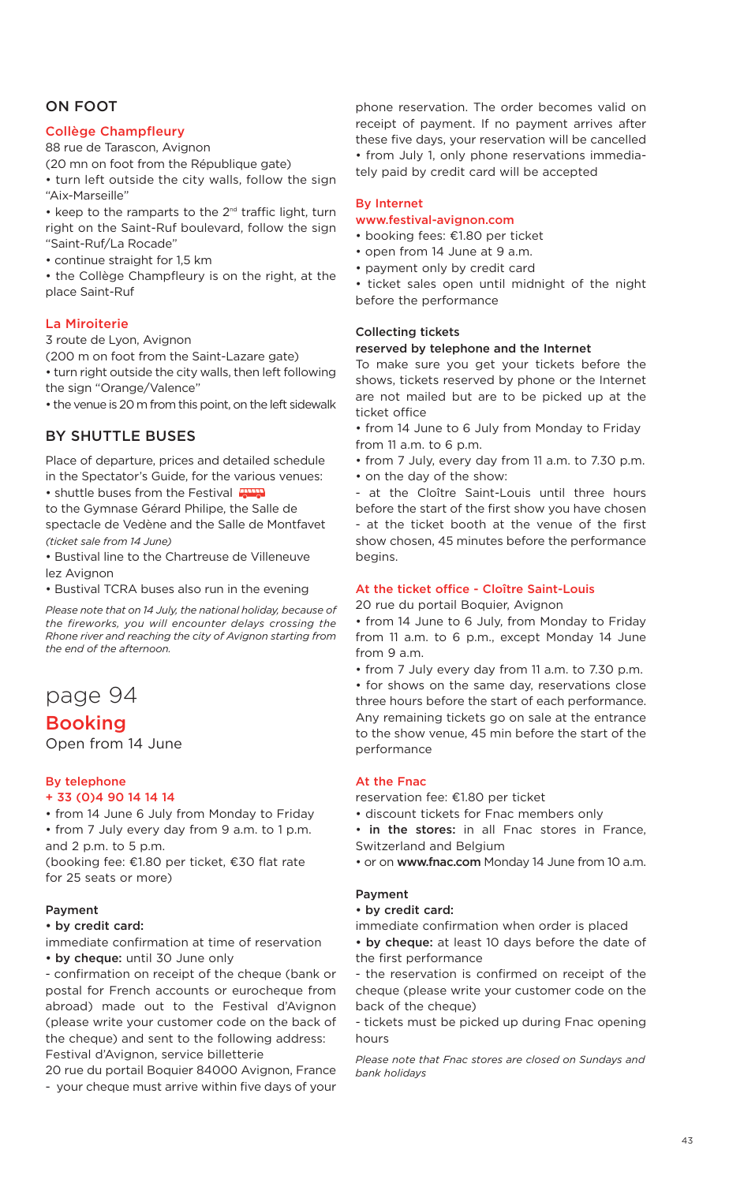### **ON FOOT**

### **Collège Champfleury**

88 rue de Tarascon, Avignon

(20 mn on foot from the République gate)

• turn left outside the city walls, follow the sign "Aix-Marseille"

 $\bullet$  keep to the ramparts to the  $2^{nd}$  traffic light, turn right on the Saint-Ruf boulevard, follow the sign "Saint-Ruf/La Rocade"

• continue straight for 1,5 km

• the Collège Champfleury is on the right, at the place Saint-Ruf

### **La Miroiterie**

3 route de Lyon, Avignon

(200 m on foot from the Saint-Lazare gate)

• turn right outside the city walls, then left following the sign "Orange/Valence"

• the venue is 20 m from this point, on the left sidewalk

### **BY SHUTTLE BUSES**

Place of departure, prices and detailed schedule in the Spectator's Guide, for the various venues: • shuttle buses from the Festival

to the Gymnase Gérard Philipe, the Salle de spectacle de Vedène and the Salle de Montfavet *(ticket sale from 14 June)*

• Bustival line to the Chartreuse de Villeneuve lez Avignon

• Bustival TCRA buses also run in the evening

*Please note that on 14 July, the national holiday, because of the fireworks, you will encounter delays crossing the Rhone river and reaching the city of Avignon starting from the end of the afternoon.*

### page 94

### **Booking**

Open from 14 June

### **By telephone**

### **+ 33 (0)4 90 14 14 14**

• from 14 June 6 July from Monday to Friday • from 7 July every day from 9 a.m. to 1 p.m. and 2 p.m. to 5 p.m.

(booking fee: €1.80 per ticket, €30 flat rate for 25 seats or more)

### **Payment**

### **• by credit card:**

immediate confirmation at time of reservation **• by cheque:** until 30 June only

- confirmation on receipt of the cheque (bank or postal for French accounts or eurocheque from abroad) made out to the Festival d'Avignon (please write your customer code on the back of the cheque) and sent to the following address: Festival d'Avignon, service billetterie

20 rue du portail Boquier 84000 Avignon, France - your cheque must arrive within five days of your

phone reservation. The order becomes valid on receipt of payment. If no payment arrives after these five days, your reservation will be cancelled • from July 1, only phone reservations immediately paid by credit card will be accepted

### **By Internet**

### **www.festival-avignon.com**

- booking fees: €1.80 per ticket
- open from 14 June at 9 a.m.
- payment only by credit card
- ticket sales open until midnight of the night before the performance

### **Collecting tickets**

#### **reserved by telephone and the Internet**

To make sure you get your tickets before the shows, tickets reserved by phone or the Internet are not mailed but are to be picked up at the ticket office

• from 14 June to 6 July from Monday to Friday from 11 a.m. to 6 p.m.

• from 7 July, every day from 11 a.m. to 7.30 p.m.

• on the day of the show:

- at the Cloître Saint-Louis until three hours before the start of the first show you have chosen - at the ticket booth at the venue of the first show chosen, 45 minutes before the performance begins.

#### **At the ticket office - Cloître Saint-Louis**

20 rue du portail Boquier, Avignon

• from 14 June to 6 July, from Monday to Friday from 11 a.m. to 6 p.m., except Monday 14 June from 9 a.m.

• from 7 July every day from 11 a.m. to 7.30 p.m.

• for shows on the same day, reservations close three hours before the start of each performance. Any remaining tickets go on sale at the entrance to the show venue, 45 min before the start of the performance

### **At the Fnac**

reservation fee: €1.80 per ticket

- discount tickets for Fnac members only
- **in the stores:** in all Fnac stores in France, Switzerland and Belgium
- or on **www.fnac.com** Monday 14 June from 10 a.m.

#### **Payment**

### **• by credit card:**

immediate confirmation when order is placed

**• by cheque:** at least 10 days before the date of the first performance

- the reservation is confirmed on receipt of the cheque (please write your customer code on the back of the cheque)

- tickets must be picked up during Fnac opening hours

*Please note that Fnac stores are closed on Sundays and bank holidays*